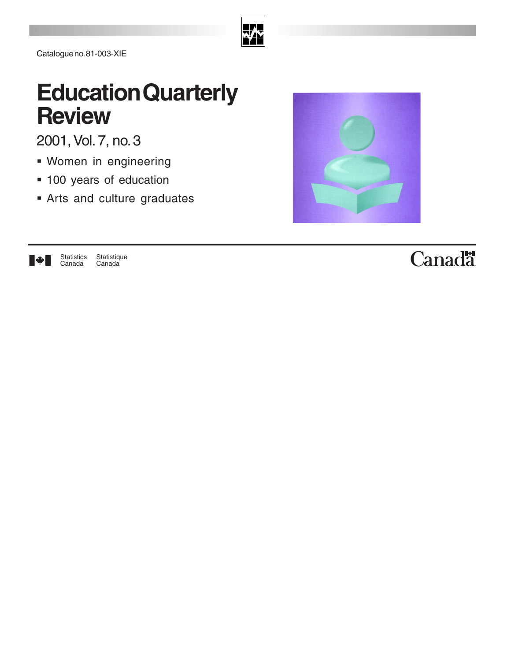

Catalogue no. 81-003-XIE

# **Education Quarterly Review**

2001, Vol. 7, no. 3

- Women in engineering
- **100 years of education**
- Arts and culture graduates





# Canadä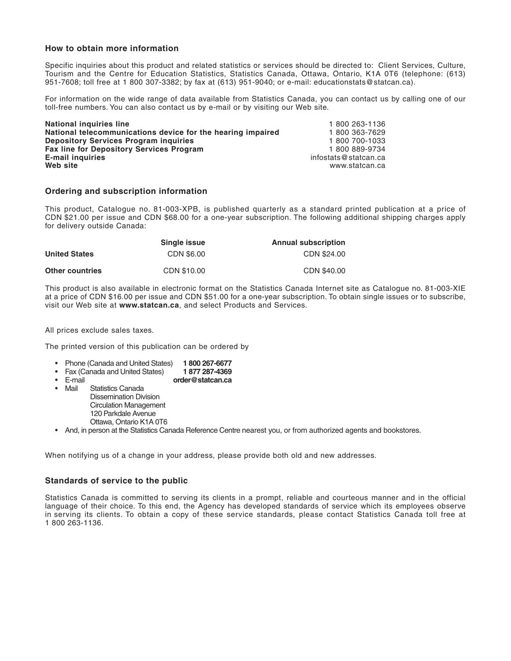### **How to obtain more information**

Specific inquiries about this product and related statistics or services should be directed to: Client Services, Culture, Tourism and the Centre for Education Statistics, Statistics Canada, Ottawa, Ontario, K1A 0T6 (telephone: (613) 951-7608; toll free at 1 800 307-3382; by fax at (613) 951-9040; or e-mail: educationstats@statcan.ca).

For information on the wide range of data available from Statistics Canada, you can contact us by calling one of our toll-free numbers. You can also contact us by e-mail or by visiting our Web site.

| <b>National inquiries line</b>                              | 1800 263-1136        |
|-------------------------------------------------------------|----------------------|
| National telecommunications device for the hearing impaired | 1800 363-7629        |
| <b>Depository Services Program inquiries</b>                | 1 800 700-1033       |
| <b>Fax line for Depository Services Program</b>             | 1 800 889-9734       |
| <b>E-mail inquiries</b>                                     | infostats@statcan.ca |
| Web site                                                    | www.statcan.ca       |
|                                                             |                      |

### **Ordering and subscription information**

This product, Catalogue no. 81-003-XPB, is published quarterly as a standard printed publication at a price of CDN \$21.00 per issue and CDN \$68.00 for a one-year subscription. The following additional shipping charges apply for delivery outside Canada:

|                        | Single issue | <b>Annual subscription</b> |
|------------------------|--------------|----------------------------|
| <b>United States</b>   | CDN \$6.00   | CDN \$24,00                |
| <b>Other countries</b> | CDN \$10.00  | CDN \$40.00                |

This product is also available in electronic format on the Statistics Canada Internet site as Catalogue no. 81-003-XIE at a price of CDN \$16.00 per issue and CDN \$51.00 for a one-year subscription. To obtain single issues or to subscribe, visit our Web site at **www.statcan.ca**, and select Products and Services.

All prices exclude sales taxes.

The printed version of this publication can be ordered by

- Phone (Canada and United States) **1 800 267-6677**
- Fax (Canada and United States)
- E-mail **order@statcan.ca**
- Statistics Canada Dissemination Division
	- Circulation Management 120 Parkdale Avenue Ottawa, Ontario K1A 0T6
- And, in person at the Statistics Canada Reference Centre nearest you, or from authorized agents and bookstores.

When notifying us of a change in your address, please provide both old and new addresses.

### **Standards of service to the public**

Statistics Canada is committed to serving its clients in a prompt, reliable and courteous manner and in the official language of their choice. To this end, the Agency has developed standards of service which its employees observe in serving its clients. To obtain a copy of these service standards, please contact Statistics Canada toll free at 1 800 263-1136.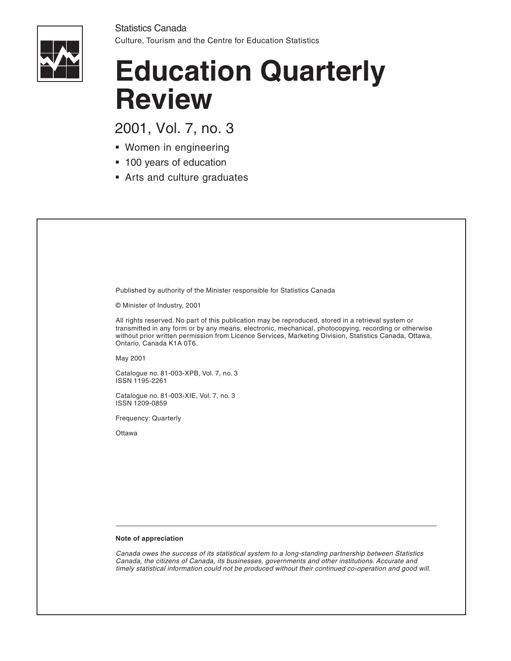

# **Education Quarterly Review**

2001, Vol. 7, no. 3

- Women in engineering
- 100 years of education
- Arts and culture graduates

Published by authority of the Minister responsible for Statistics Canada

© Minister of Industry, 2001

All rights reserved. No part of this publication may be reproduced, stored in a retrieval system or transmitted in any form or by any means, electronic, mechanical, photocopying, recording or otherwise without prior written permission from Licence Services, Marketing Division, Statistics Canada, Ottawa, Ontario, Canada K1A 0T6.

May 2001

Catalogue no. 81-003-XPB, Vol. 7, no. 3 ISSN 1195-2261

Catalogue no. 81-003-XIE, Vol. 7, no. 3 ISSN 1209-0859

Frequency: Quarterly

**Ottawa** 

### **Note of appreciation**

Canada owes the success of its statistical system to a long-standing partnership between Statistics Canada, the citizens of Canada, its businesses, governments and other institutions. Accurate and timely statistical information could not be produced without their continued co-operation and good will.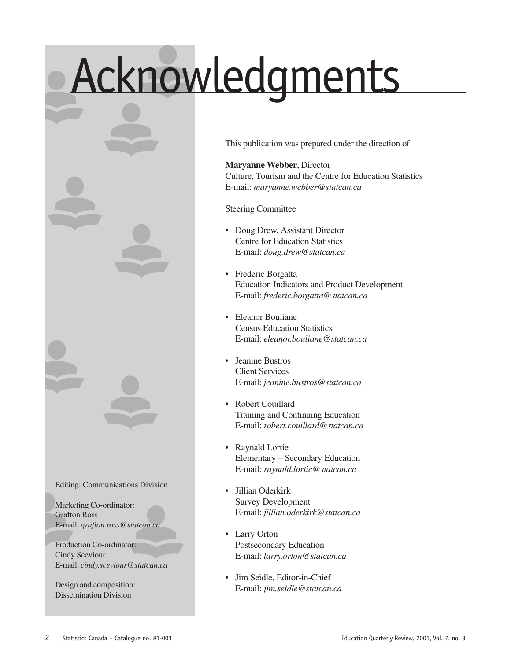# Acknowledgments

Editing: Communications Division

Marketing Co-ordinator: Grafton Ross E-mail: *grafton.ross@statcan.ca*

Production Co-ordinator: Cindy Sceviour E-mail: *cindy.sceviour@statcan.ca*

Design and composition: Dissemination Division

This publication was prepared under the direction of

**Maryanne Webber**, Director Culture, Tourism and the Centre for Education Statistics E-mail: *maryanne.webber@statcan.ca*

Steering Committee

- Doug Drew, Assistant Director Centre for Education Statistics E-mail: *doug.drew@statcan.ca*
- Frederic Borgatta Education Indicators and Product Development E-mail: *frederic.borgatta@statcan.ca*
- Eleanor Bouliane Census Education Statistics E-mail: *eleanor.bouliane@statcan.ca*
- Jeanine Bustros Client Services E-mail: *jeanine.bustros@statcan.ca*
- Robert Couillard Training and Continuing Education E-mail: *robert.couillard@statcan.ca*
- Raynald Lortie Elementary – Secondary Education E-mail: *raynald.lortie@statcan.ca*
- Jillian Oderkirk Survey Development E-mail: *jillian.oderkirk@statcan.ca*
- Larry Orton Postsecondary Education E-mail: *larry.orton@statcan.ca*
- Jim Seidle, Editor-in-Chief E-mail: *jim.seidle@statcan.ca*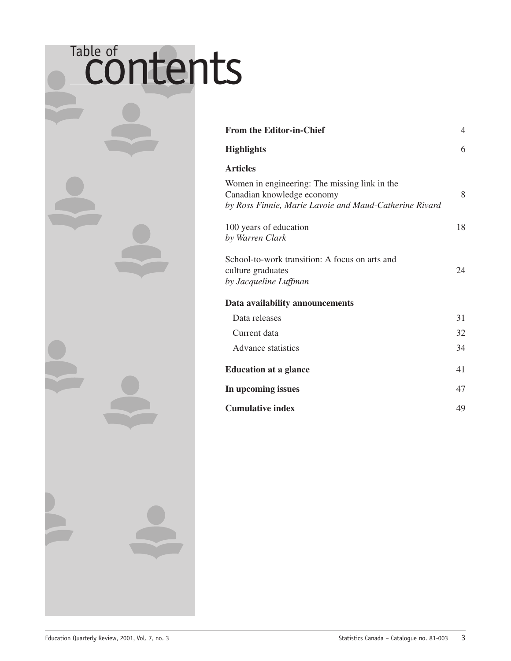# Table of contents

| <b>From the Editor-in-Chief</b>                                                                                                       | $\overline{4}$ |
|---------------------------------------------------------------------------------------------------------------------------------------|----------------|
| <b>Highlights</b>                                                                                                                     | 6              |
| <b>Articles</b>                                                                                                                       |                |
| Women in engineering: The missing link in the<br>Canadian knowledge economy<br>by Ross Finnie, Marie Lavoie and Maud-Catherine Rivard | 8              |
| 100 years of education<br>by Warren Clark                                                                                             | 18             |
| School-to-work transition: A focus on arts and<br>culture graduates<br>by Jacqueline Luffman                                          | 24             |
| Data availability announcements                                                                                                       |                |
| Data releases                                                                                                                         | 31             |
| Current data                                                                                                                          | 32             |
| <b>Advance statistics</b>                                                                                                             | 34             |
| <b>Education at a glance</b>                                                                                                          | 41             |
| In upcoming issues                                                                                                                    | 47             |
| <b>Cumulative index</b>                                                                                                               | 49             |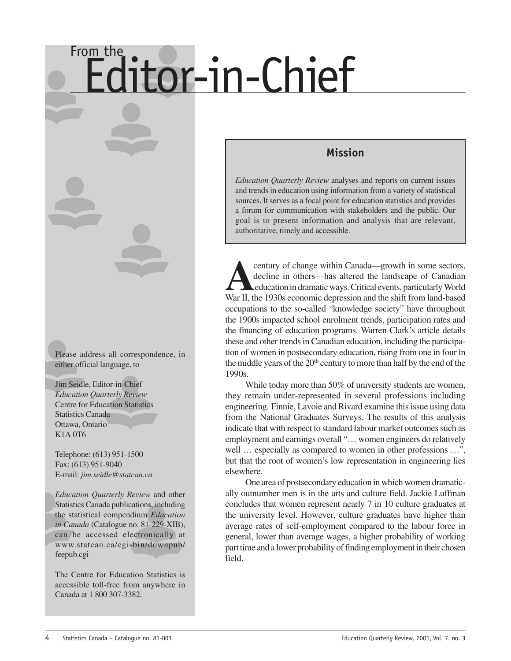# <span id="page-5-0"></span>From the **Editor-in-Chief**

Please address all correspondence, in either official language, to

Jim Seidle, Editor-in-Chief *Education Quarterly Review* Centre for Education Statistics Statistics Canada Ottawa, Ontario K1A 0T6

Telephone: (613) 951-1500 Fax: (613) 951-9040 E-mail: *jim.seidle@statcan.ca*

*Education Quarterly Review* and other Statistics Canada publications, including the statistical compendium *Education in Canada* (Catalogue no. 81-229-XIB), can be accessed electronically at www.statcan.ca/cgi-bin/downpub/ feepub.cgi

The Centre for Education Statistics is accessible toll-free from anywhere in Canada at 1 800 307-3382.

### **Mission**

*Education Quarterly Review* analyses and reports on current issues and trends in education using information from a variety of statistical sources. It serves as a focal point for education statistics and provides a forum for communication with stakeholders and the public. Our goal is to present information and analysis that are relevant, authoritative, timely and accessible.

century of change within Canada—growth in some sectors, decline in others—has altered the landscape of Canadian education in dramatic ways. Critical events, particularly World War II, the 1930s economic depression and the shift from land-based occupations to the so-called "knowledge society" have throughout the 1900s impacted school enrolment trends, participation rates and the financing of education programs. Warren Clark's article details these and other trends in Canadian education, including the participation of women in postsecondary education, rising from one in four in the middle years of the  $20<sup>th</sup>$  century to more than half by the end of the 1990s.

While today more than 50% of university students are women, they remain under-represented in several professions including engineering. Finnie, Lavoie and Rivard examine this issue using data from the National Graduates Surveys. The results of this analysis indicate that with respect to standard labour market outcomes such as employment and earnings overall "… women engineers do relatively well ... especially as compared to women in other professions ...", but that the root of women's low representation in engineering lies elsewhere.

One area of postsecondary education in which women dramatically outnumber men is in the arts and culture field. Jackie Luffman concludes that women represent nearly 7 in 10 culture graduates at the university level. However, culture graduates have higher than average rates of self-employment compared to the labour force in general, lower than average wages, a higher probability of working part time and a lower probability of finding employment in their chosen field.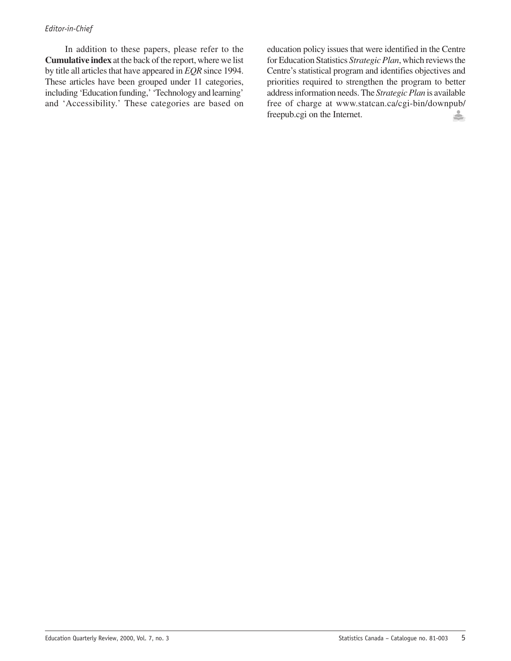### *Editor-in-Chief*

In addition to these papers, please refer to the **Cumulative index** at the back of the report, where we list by title all articles that have appeared in *EQR* since 1994. These articles have been grouped under 11 categories, including 'Education funding,' 'Technology and learning' and 'Accessibility.' These categories are based on

education policy issues that were identified in the Centre for Education Statistics *Strategic Plan*, which reviews the Centre's statistical program and identifies objectives and priorities required to strengthen the program to better address information needs. The *Strategic Plan* is available free of charge at www.statcan.ca/cgi-bin/downpub/ freepub.cgi on the Internet.å.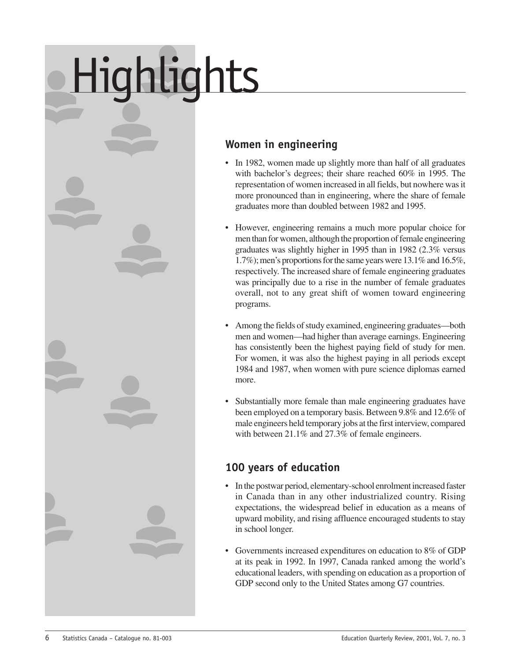# <span id="page-7-0"></span>Highlights



- In 1982, women made up slightly more than half of all graduates with bachelor's degrees; their share reached 60% in 1995. The representation of women increased in all fields, but nowhere was it more pronounced than in engineering, where the share of female graduates more than doubled between 1982 and 1995.
- However, engineering remains a much more popular choice for men than for women, although the proportion of female engineering graduates was slightly higher in 1995 than in 1982 (2.3% versus 1.7%); men's proportions for the same years were 13.1% and 16.5%, respectively. The increased share of female engineering graduates was principally due to a rise in the number of female graduates overall, not to any great shift of women toward engineering programs.
- Among the fields of study examined, engineering graduates—both men and women—had higher than average earnings. Engineering has consistently been the highest paying field of study for men. For women, it was also the highest paying in all periods except 1984 and 1987, when women with pure science diplomas earned more.
- Substantially more female than male engineering graduates have been employed on a temporary basis. Between 9.8% and 12.6% of male engineers held temporary jobs at the first interview, compared with between 21.1% and 27.3% of female engineers.

### **100 years of education**

- In the postwar period, elementary-school enrolment increased faster in Canada than in any other industrialized country. Rising expectations, the widespread belief in education as a means of upward mobility, and rising affluence encouraged students to stay in school longer.
- Governments increased expenditures on education to 8% of GDP at its peak in 1992. In 1997, Canada ranked among the world's educational leaders, with spending on education as a proportion of GDP second only to the United States among G7 countries.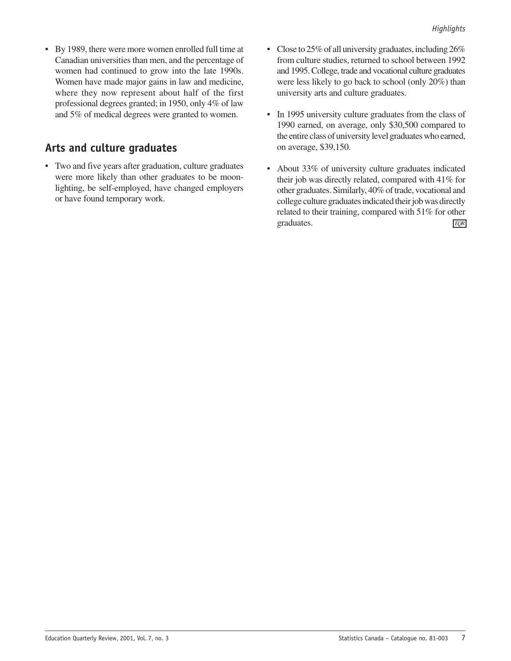• By 1989, there were more women enrolled full time at Canadian universities than men, and the percentage of women had continued to grow into the late 1990s. Women have made major gains in law and medicine, where they now represent about half of the first professional degrees granted; in 1950, only 4% of law and 5% of medical degrees were granted to women.

### **Arts and culture graduates**

- Two and five years after graduation, culture graduates were more likely than other graduates to be moonlighting, be self-employed, have changed employers or have found temporary work.
- Close to 25% of all university graduates, including 26% from culture studies, returned to school between 1992 and 1995. College, trade and vocational culture graduates were less likely to go back to school (only 20%) than university arts and culture graduates.
- In 1995 university culture graduates from the class of 1990 earned, on average, only \$30,500 compared to the entire class of university level graduates who earned, on average, \$39,150.
- About 33% of university culture graduates indicated their job was directly related, compared with 41% for other graduates. Similarly, 40% of trade, vocational and college culture graduates indicated their job was directly related to their training, compared with 51% for other graduates. *EQR*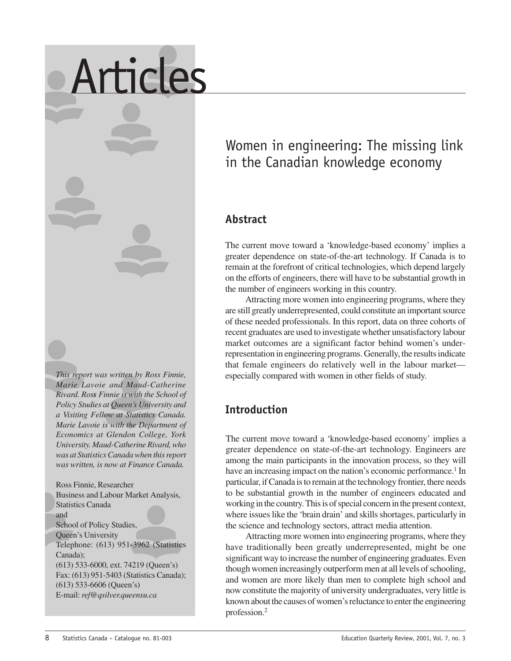### *This report was written by Ross Finnie, Marie Lavoie and Maud-Catherine Rivard. Ross Finnie is with the School of Policy Studies at Queen's University and a Visiting Fellow at Statistics Canada. Marie Lavoie is with the Department of Economics at Glendon College, York University. Maud-Catherine Rivard, who was at Statistics Canada when this report was written, is now at Finance Canada.*

<span id="page-9-0"></span>Articles

Ross Finnie, Researcher Business and Labour Market Analysis, Statistics Canada and School of Policy Studies, Queen's University Telephone: (613) 951-3962 (Statistics Canada); (613) 533-6000, ext. 74219 (Queen's) Fax: (613) 951-5403 (Statistics Canada); (613) 533-6606 (Queen's) E-mail: *ref@qsilver.queensu.ca*

### Women in engineering: The missing link in the Canadian knowledge economy

### **Abstract**

The current move toward a 'knowledge-based economy' implies a greater dependence on state-of-the-art technology. If Canada is to remain at the forefront of critical technologies, which depend largely on the efforts of engineers, there will have to be substantial growth in the number of engineers working in this country.

Attracting more women into engineering programs, where they are still greatly underrepresented, could constitute an important source of these needed professionals. In this report, data on three cohorts of recent graduates are used to investigate whether unsatisfactory labour market outcomes are a significant factor behind women's underrepresentation in engineering programs. Generally, the results indicate that female engineers do relatively well in the labour market especially compared with women in other fields of study.

### **Introduction**

The current move toward a 'knowledge-based economy' implies a greater dependence on state-of-the-art technology. Engineers are among the main participants in the innovation process, so they will have an increasing impact on the nation's economic performance.<sup>1</sup> In particular, if Canada is to remain at the technology frontier, there needs to be substantial growth in the number of engineers educated and working in the country. This is of special concern in the present context, where issues like the 'brain drain' and skills shortages, particularly in the science and technology sectors, attract media attention.

Attracting more women into engineering programs, where they have traditionally been greatly underrepresented, might be one significant way to increase the number of engineering graduates. Even though women increasingly outperform men at all levels of schooling, and women are more likely than men to complete high school and now constitute the majority of university undergraduates, very little is known about the causes of women's reluctance to enter the engineering profession.2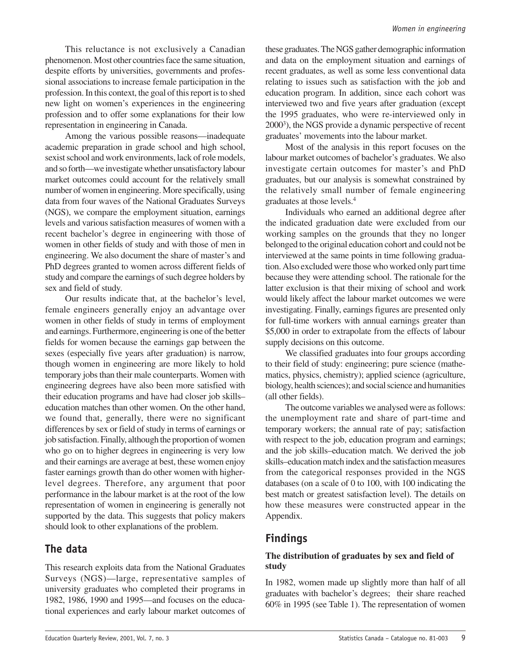This reluctance is not exclusively a Canadian phenomenon. Most other countries face the same situation, despite efforts by universities, governments and professional associations to increase female participation in the profession. In this context, the goal of this report is to shed new light on women's experiences in the engineering profession and to offer some explanations for their low representation in engineering in Canada.

Among the various possible reasons—inadequate academic preparation in grade school and high school, sexist school and work environments, lack of role models, and so forth—we investigate whether unsatisfactory labour market outcomes could account for the relatively small number of women in engineering. More specifically, using data from four waves of the National Graduates Surveys (NGS), we compare the employment situation, earnings levels and various satisfaction measures of women with a recent bachelor's degree in engineering with those of women in other fields of study and with those of men in engineering. We also document the share of master's and PhD degrees granted to women across different fields of study and compare the earnings of such degree holders by sex and field of study.

Our results indicate that, at the bachelor's level, female engineers generally enjoy an advantage over women in other fields of study in terms of employment and earnings. Furthermore, engineering is one of the better fields for women because the earnings gap between the sexes (especially five years after graduation) is narrow, though women in engineering are more likely to hold temporary jobs than their male counterparts. Women with engineering degrees have also been more satisfied with their education programs and have had closer job skills– education matches than other women. On the other hand, we found that, generally, there were no significant differences by sex or field of study in terms of earnings or job satisfaction. Finally, although the proportion of women who go on to higher degrees in engineering is very low and their earnings are average at best, these women enjoy faster earnings growth than do other women with higherlevel degrees. Therefore, any argument that poor performance in the labour market is at the root of the low representation of women in engineering is generally not supported by the data. This suggests that policy makers should look to other explanations of the problem.

### **The data**

This research exploits data from the National Graduates Surveys (NGS)—large, representative samples of university graduates who completed their programs in 1982, 1986, 1990 and 1995—and focuses on the educational experiences and early labour market outcomes of

these graduates. The NGS gather demographic information and data on the employment situation and earnings of recent graduates, as well as some less conventional data relating to issues such as satisfaction with the job and education program. In addition, since each cohort was interviewed two and five years after graduation (except the 1995 graduates, who were re-interviewed only in 2000<sup>3</sup>), the NGS provide a dynamic perspective of recent graduates' movements into the labour market.

Most of the analysis in this report focuses on the labour market outcomes of bachelor's graduates. We also investigate certain outcomes for master's and PhD graduates, but our analysis is somewhat constrained by the relatively small number of female engineering graduates at those levels.4

Individuals who earned an additional degree after the indicated graduation date were excluded from our working samples on the grounds that they no longer belonged to the original education cohort and could not be interviewed at the same points in time following graduation. Also excluded were those who worked only part time because they were attending school. The rationale for the latter exclusion is that their mixing of school and work would likely affect the labour market outcomes we were investigating. Finally, earnings figures are presented only for full-time workers with annual earnings greater than \$5,000 in order to extrapolate from the effects of labour supply decisions on this outcome.

We classified graduates into four groups according to their field of study: engineering; pure science (mathematics, physics, chemistry); applied science (agriculture, biology, health sciences); and social science and humanities (all other fields).

The outcome variables we analysed were as follows: the unemployment rate and share of part-time and temporary workers; the annual rate of pay; satisfaction with respect to the job, education program and earnings; and the job skills–education match. We derived the job skills–education match index and the satisfaction measures from the categorical responses provided in the NGS databases (on a scale of 0 to 100, with 100 indicating the best match or greatest satisfaction level). The details on how these measures were constructed appear in the Appendix.

### **Findings**

### **The distribution of graduates by sex and field of study**

In 1982, women made up slightly more than half of all graduates with bachelor's degrees; their share reached 60% in 1995 (see Table 1). The representation of women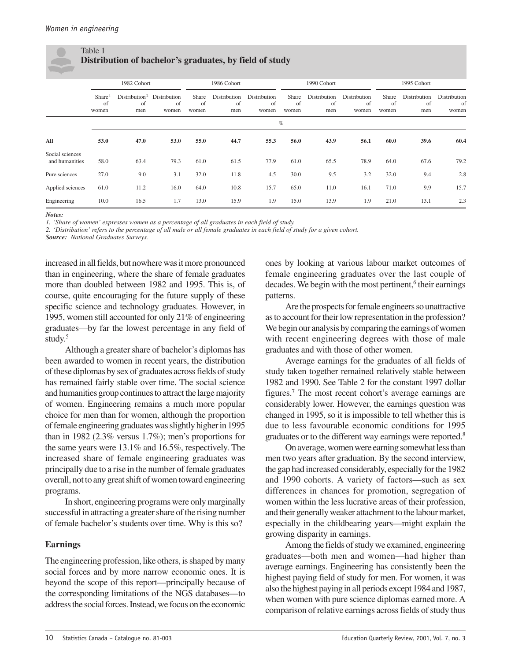### Table 1 **Distribution of bachelor's graduates, by field of study**

|                                   |                                   | 1982 Cohort                                         |             |                      | 1986 Cohort               |                             |                      | 1990 Cohort               |                             |                                 | 1995 Cohort               |                             |
|-----------------------------------|-----------------------------------|-----------------------------------------------------|-------------|----------------------|---------------------------|-----------------------------|----------------------|---------------------------|-----------------------------|---------------------------------|---------------------------|-----------------------------|
|                                   | Share <sup>1</sup><br>of<br>women | Distribution <sup>2</sup> Distribution<br>of<br>men | of<br>women | Share<br>of<br>women | Distribution<br>of<br>men | Distribution<br>of<br>women | Share<br>of<br>women | Distribution<br>of<br>men | Distribution<br>of<br>women | Share<br><sub>of</sub><br>women | Distribution<br>of<br>men | Distribution<br>of<br>women |
|                                   |                                   |                                                     |             |                      |                           |                             | $\%$                 |                           |                             |                                 |                           |                             |
| All                               | 53.0                              | 47.0                                                | 53.0        | 55.0                 | 44.7                      | 55.3                        | 56.0                 | 43.9                      | 56.1                        | 60.0                            | 39.6                      | 60.4                        |
| Social sciences<br>and humanities | 58.0                              | 63.4                                                | 79.3        | 61.0                 | 61.5                      | 77.9                        | 61.0                 | 65.5                      | 78.9                        | 64.0                            | 67.6                      | 79.2                        |
| Pure sciences                     | 27.0                              | 9.0                                                 | 3.1         | 32.0                 | 11.8                      | 4.5                         | 30.0                 | 9.5                       | 3.2                         | 32.0                            | 9.4                       | 2.8                         |
| Applied sciences                  | 61.0                              | 11.2                                                | 16.0        | 64.0                 | 10.8                      | 15.7                        | 65.0                 | 11.0                      | 16.1                        | 71.0                            | 9.9                       | 15.7                        |
| Engineering                       | 10.0                              | 16.5                                                | 1.7         | 13.0                 | 15.9                      | 1.9                         | 15.0                 | 13.9                      | 1.9                         | 21.0                            | 13.1                      | 2.3                         |

*Notes:*

*1. 'Share of women' expresses women as a percentage of all graduates in each field of study.*

*2. 'Distribution' refers to the percentage of all male or all female graduates in each field of study for a given cohort.*

*Source: National Graduates Surveys.*

increased in all fields, but nowhere was it more pronounced than in engineering, where the share of female graduates more than doubled between 1982 and 1995. This is, of course, quite encouraging for the future supply of these specific science and technology graduates. However, in 1995, women still accounted for only 21% of engineering graduates—by far the lowest percentage in any field of study.5

Although a greater share of bachelor's diplomas has been awarded to women in recent years, the distribution of these diplomas by sex of graduates across fields of study has remained fairly stable over time. The social science and humanities group continues to attract the large majority of women. Engineering remains a much more popular choice for men than for women, although the proportion of female engineering graduates was slightly higher in 1995 than in 1982 (2.3% versus 1.7%); men's proportions for the same years were 13.1% and 16.5%, respectively. The increased share of female engineering graduates was principally due to a rise in the number of female graduates overall, not to any great shift of women toward engineering programs.

In short, engineering programs were only marginally successful in attracting a greater share of the rising number of female bachelor's students over time. Why is this so?

### **Earnings**

The engineering profession, like others, is shaped by many social forces and by more narrow economic ones. It is beyond the scope of this report—principally because of the corresponding limitations of the NGS databases—to address the social forces. Instead, we focus on the economic

ones by looking at various labour market outcomes of female engineering graduates over the last couple of decades. We begin with the most pertinent,<sup>6</sup> their earnings patterns.

Are the prospects for female engineers so unattractive as to account for their low representation in the profession? We begin our analysis by comparing the earnings of women with recent engineering degrees with those of male graduates and with those of other women.

Average earnings for the graduates of all fields of study taken together remained relatively stable between 1982 and 1990. See Table 2 for the constant 1997 dollar figures.7 The most recent cohort's average earnings are considerably lower. However, the earnings question was changed in 1995, so it is impossible to tell whether this is due to less favourable economic conditions for 1995 graduates or to the different way earnings were reported.8

On average, women were earning somewhat less than men two years after graduation. By the second interview, the gap had increased considerably, especially for the 1982 and 1990 cohorts. A variety of factors—such as sex differences in chances for promotion, segregation of women within the less lucrative areas of their profession, and their generally weaker attachment to the labour market, especially in the childbearing years—might explain the growing disparity in earnings.

Among the fields of study we examined, engineering graduates—both men and women—had higher than average earnings. Engineering has consistently been the highest paying field of study for men. For women, it was also the highest paying in all periods except 1984 and 1987, when women with pure science diplomas earned more. A comparison of relative earnings across fields of study thus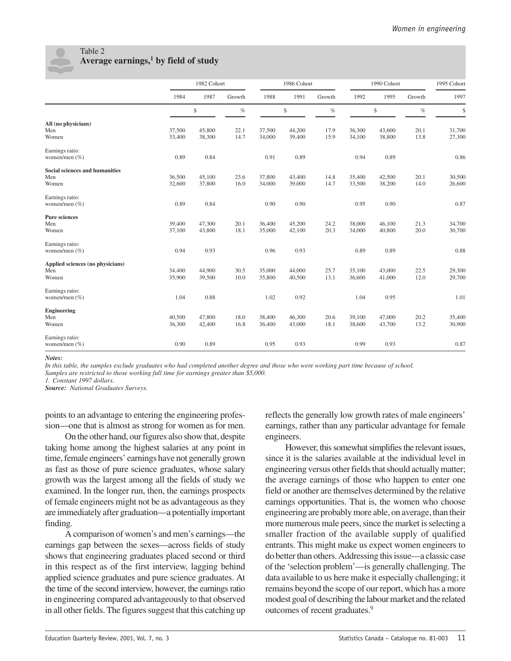

### Table 2 **Average earnings,1 by field of study**

|                                                       |                  | 1982 Cohort      |              | 1986 Cohort      |                  |              | 1990 Cohort      |                  | 1995 Cohort  |                  |
|-------------------------------------------------------|------------------|------------------|--------------|------------------|------------------|--------------|------------------|------------------|--------------|------------------|
|                                                       | 1984             | 1987             | Growth       | 1988             | 1991             | Growth       | 1992             | 1995             | Growth       | 1997             |
|                                                       |                  | \$               | $\%$         |                  | \$               | $\%$         |                  | \$               | $\%$         | \$               |
| All (no physicians)<br>Men<br>Women                   | 37,500<br>33,400 | 45,800<br>38,300 | 22.1<br>14.7 | 37,500<br>34,000 | 44,200<br>39,400 | 17.9<br>15.9 | 36,300<br>34,100 | 43,600<br>38,800 | 20.1<br>13.8 | 31,700<br>27,300 |
| Earnings ratio:<br>women/men $(\% )$                  | 0.89             | 0.84             |              | 0.91             | 0.89             |              | 0.94             | 0.89             |              | 0.86             |
| <b>Social sciences and humanities</b><br>Men<br>Women | 36,500<br>32,600 | 45,100<br>37,800 | 23.6<br>16.0 | 37,800<br>34,000 | 43,400<br>39,000 | 14.8<br>14.7 | 35,400<br>33,500 | 42,500<br>38,200 | 20.1<br>14.0 | 30,500<br>26,600 |
| Earnings ratio:<br>women/men $(\% )$                  | 0.89             | 0.84             |              | 0.90             | 0.90             |              | 0.95             | 0.90             |              | 0.87             |
| <b>Pure sciences</b><br>Men<br>Women                  | 39,400<br>37,100 | 47,300<br>43,800 | 20.1<br>18.1 | 36,400<br>35,000 | 45,200<br>42,100 | 24.2<br>20.3 | 38,000<br>34,000 | 46,100<br>40,800 | 21.3<br>20.0 | 34,700<br>30,700 |
| Earnings ratio:<br>women/men $(\%)$                   | 0.94             | 0.93             |              | 0.96             | 0.93             |              | 0.89             | 0.89             |              | 0.88             |
| Applied sciences (no physicians)<br>Men<br>Women      | 34,400<br>35,900 | 44,900<br>39,500 | 30.5<br>10.0 | 35,000<br>35,800 | 44,000<br>40,500 | 25.7<br>13.1 | 35,100<br>36,600 | 43,000<br>41,000 | 22.5<br>12.0 | 29,300<br>29,700 |
| Earnings ratio:<br>women/men $(\%)$                   | 1.04             | 0.88             |              | 1.02             | 0.92             |              | 1.04             | 0.95             |              | 1.01             |
| <b>Engineering</b><br>Men<br>Women                    | 40,500<br>36,300 | 47,800<br>42,400 | 18.0<br>16.8 | 38,400<br>36,400 | 46,300<br>43,000 | 20.6<br>18.1 | 39,100<br>38,600 | 47,000<br>43,700 | 20.2<br>13.2 | 35,400<br>30,900 |
| Earnings ratio:<br>women/men $(\%)$                   | 0.90             | 0.89             |              | 0.95             | 0.93             |              | 0.99             | 0.93             |              | 0.87             |

*Notes:*

*In this table, the samples exclude graduates who had completed another degree and those who were working part time because of school.*

*Samples are restricted to those working full time for earnings greater than \$5,000.*

*1. Constant 1997 dollars.*

*Source: National Graduates Surveys.*

points to an advantage to entering the engineering profession—one that is almost as strong for women as for men.

On the other hand, our figures also show that, despite taking home among the highest salaries at any point in time, female engineers' earnings have not generally grown as fast as those of pure science graduates, whose salary growth was the largest among all the fields of study we examined. In the longer run, then, the earnings prospects of female engineers might not be as advantageous as they are immediately after graduation—a potentially important finding.

A comparison of women's and men's earnings—the earnings gap between the sexes—across fields of study shows that engineering graduates placed second or third in this respect as of the first interview, lagging behind applied science graduates and pure science graduates. At the time of the second interview, however, the earnings ratio in engineering compared advantageously to that observed in all other fields. The figures suggest that this catching up

reflects the generally low growth rates of male engineers' earnings, rather than any particular advantage for female engineers.

However, this somewhat simplifies the relevant issues, since it is the salaries available at the individual level in engineering versus other fields that should actually matter; the average earnings of those who happen to enter one field or another are themselves determined by the relative earnings opportunities. That is, the women who choose engineering are probably more able, on average, than their more numerous male peers, since the market is selecting a smaller fraction of the available supply of qualified entrants. This might make us expect women engineers to do better than others. Addressing this issue—a classic case of the 'selection problem'—is generally challenging. The data available to us here make it especially challenging; it remains beyond the scope of our report, which has a more modest goal of describing the labour market and the related outcomes of recent graduates.<sup>9</sup>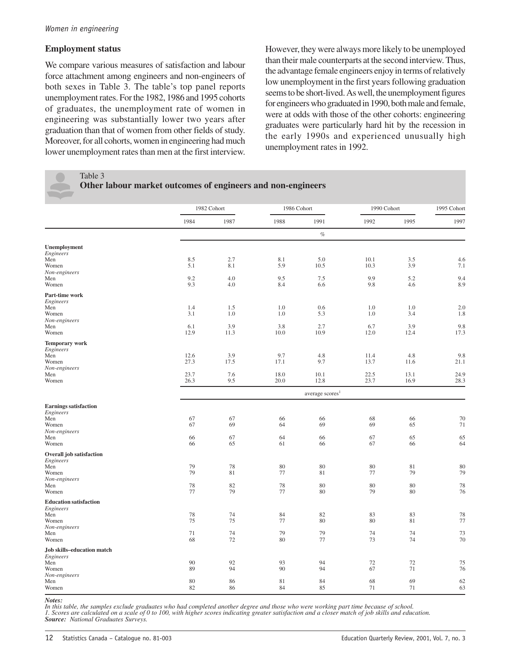### **Employment status**

We compare various measures of satisfaction and labour force attachment among engineers and non-engineers of both sexes in Table 3. The table's top panel reports unemployment rates. For the 1982, 1986 and 1995 cohorts of graduates, the unemployment rate of women in engineering was substantially lower two years after graduation than that of women from other fields of study. Moreover, for all cohorts, women in engineering had much lower unemployment rates than men at the first interview.

However, they were always more likely to be unemployed than their male counterparts at the second interview. Thus, the advantage female engineers enjoy in terms of relatively low unemployment in the first years following graduation seems to be short-lived. As well, the unemployment figures for engineers who graduated in 1990, both male and female, were at odds with those of the other cohorts: engineering graduates were particularly hard hit by the recession in the early 1990s and experienced unusually high unemployment rates in 1992.

Table 3

|  |  |  | Other labour market outcomes of engineers and non-engineers |  |
|--|--|--|-------------------------------------------------------------|--|
|  |  |  |                                                             |  |

|                                                                                               |                              | 1982 Cohort               | 1986 Cohort                 |                                     | 1990 Cohort                  |                             | 1995 Cohort                 |  |
|-----------------------------------------------------------------------------------------------|------------------------------|---------------------------|-----------------------------|-------------------------------------|------------------------------|-----------------------------|-----------------------------|--|
|                                                                                               | 1984                         | 1987                      | 1988                        | 1991                                | 1992                         | 1995                        | 1997                        |  |
|                                                                                               |                              |                           |                             | $\%$                                |                              |                             |                             |  |
| Unemployment<br>Engineers<br>Men<br>Women<br>Non-engineers                                    | 8.5<br>5.1                   | 2.7<br>8.1                | 8.1<br>5.9                  | 5.0<br>10.5                         | 10.1<br>10.3                 | 3.5<br>3.9                  | 4.6<br>7.1                  |  |
| Men<br>Women                                                                                  | 9.2<br>9.3                   | 4.0<br>4.0                | 9.5<br>8.4                  | 7.5<br>6.6                          | 9.9<br>9.8                   | 5.2<br>4.6                  | 9.4<br>8.9                  |  |
| Part-time work<br>Engineers<br>Men<br>Women<br>Non-engineers                                  | 1.4<br>3.1                   | 1.5<br>1.0                | 1.0<br>1.0                  | 0.6<br>5.3                          | 1.0<br>1.0                   | 1.0<br>3.4                  | 2.0<br>1.8                  |  |
| Men<br>Women                                                                                  | 6.1<br>12.9                  | 3.9<br>11.3               | 3.8<br>10.0                 | 2.7<br>10.9                         | 6.7<br>12.0                  | 3.9<br>12.4                 | 9.8<br>17.3                 |  |
| <b>Temporary work</b><br>Engineers<br>Men<br>Women<br>Non-engineers<br>Men                    | 12.6<br>27.3<br>23.7<br>26.3 | 3.9<br>17.5<br>7.6<br>9.5 | 9.7<br>17.1<br>18.0<br>20.0 | 4.8<br>9.7<br>10.1                  | 11.4<br>13.7<br>22.5<br>23.7 | 4.8<br>11.6<br>13.1<br>16.9 | 9.8<br>21.1<br>24.9<br>28.3 |  |
| Women                                                                                         |                              |                           |                             | 12.8<br>average scores <sup>1</sup> |                              |                             |                             |  |
| <b>Earnings satisfaction</b><br>Engineers<br>Men<br>Women<br>Non-engineers<br>Men<br>Women    | 67<br>67<br>66<br>66         | 67<br>69<br>67<br>65      | 66<br>64<br>64<br>61        | 66<br>69<br>66<br>66                | 68<br>69<br>67<br>67         | 66<br>65<br>65<br>66        | 70<br>71<br>65<br>64        |  |
| <b>Overall job satisfaction</b><br>Engineers<br>Men<br>Women<br>Non-engineers<br>Men<br>Women | 79<br>79<br>78<br>77         | 78<br>81<br>82<br>79      | 80<br>77<br>78<br>77        | 80<br>81<br>80<br>80                | 80<br>77<br>80<br>79         | 81<br>79<br>80<br>80        | 80<br>79<br>78<br>76        |  |
| <b>Education satisfaction</b><br>Engineers<br>Men<br>Women<br>Non-engineers<br>Men<br>Women   | 78<br>75<br>71<br>68         | 74<br>75<br>74<br>72      | 84<br>77<br>79<br>80        | 82<br>80<br>79<br>77                | 83<br>80<br>74<br>73         | 83<br>81<br>74<br>74        | 78<br>77<br>73<br>70        |  |
| Job skills-education match<br>Engineers<br>Men<br>Women<br>Non-engineers<br>Men<br>Women      | 90<br>89<br>80<br>82         | 92<br>94<br>86<br>86      | 93<br>90<br>81<br>84        | 94<br>94<br>84<br>85                | 72<br>67<br>68<br>71         | 72<br>71<br>69<br>71        | 75<br>76<br>62<br>63        |  |

*Notes:*

*In this table, the samples exclude graduates who had completed another degree and those who were working part time because of school. 1. Scores are calculated on a scale of 0 to 100, with higher scores indicating greater satisfaction and a closer match of job skills and education. Source: National Graduates Surveys.*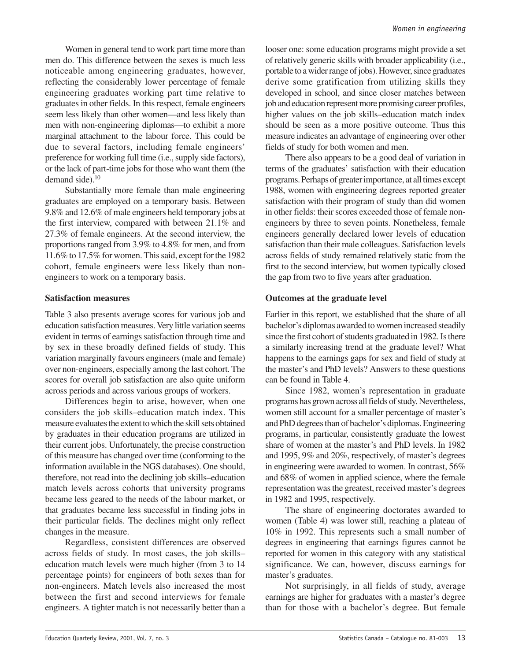Women in general tend to work part time more than men do. This difference between the sexes is much less noticeable among engineering graduates, however, reflecting the considerably lower percentage of female engineering graduates working part time relative to graduates in other fields. In this respect, female engineers seem less likely than other women—and less likely than men with non-engineering diplomas—to exhibit a more marginal attachment to the labour force. This could be due to several factors, including female engineers' preference for working full time (i.e., supply side factors), or the lack of part-time jobs for those who want them (the demand side).<sup>10</sup>

Substantially more female than male engineering graduates are employed on a temporary basis. Between 9.8% and 12.6% of male engineers held temporary jobs at the first interview, compared with between 21.1% and 27.3% of female engineers. At the second interview, the proportions ranged from 3.9% to 4.8% for men, and from 11.6% to 17.5% for women. This said, except for the 1982 cohort, female engineers were less likely than nonengineers to work on a temporary basis.

### **Satisfaction measures**

Table 3 also presents average scores for various job and education satisfaction measures. Very little variation seems evident in terms of earnings satisfaction through time and by sex in these broadly defined fields of study. This variation marginally favours engineers (male and female) over non-engineers, especially among the last cohort. The scores for overall job satisfaction are also quite uniform across periods and across various groups of workers.

Differences begin to arise, however, when one considers the job skills–education match index. This measure evaluates the extent to which the skill sets obtained by graduates in their education programs are utilized in their current jobs. Unfortunately, the precise construction of this measure has changed over time (conforming to the information available in the NGS databases). One should, therefore, not read into the declining job skills–education match levels across cohorts that university programs became less geared to the needs of the labour market, or that graduates became less successful in finding jobs in their particular fields. The declines might only reflect changes in the measure.

Regardless, consistent differences are observed across fields of study. In most cases, the job skills– education match levels were much higher (from 3 to 14 percentage points) for engineers of both sexes than for non-engineers. Match levels also increased the most between the first and second interviews for female engineers. A tighter match is not necessarily better than a looser one: some education programs might provide a set of relatively generic skills with broader applicability (i.e., portable to a wider range of jobs). However, since graduates derive some gratification from utilizing skills they developed in school, and since closer matches between job and education represent more promising career profiles, higher values on the job skills–education match index should be seen as a more positive outcome. Thus this measure indicates an advantage of engineering over other fields of study for both women and men.

There also appears to be a good deal of variation in terms of the graduates' satisfaction with their education programs. Perhaps of greater importance, at all times except 1988, women with engineering degrees reported greater satisfaction with their program of study than did women in other fields: their scores exceeded those of female nonengineers by three to seven points. Nonetheless, female engineers generally declared lower levels of education satisfaction than their male colleagues. Satisfaction levels across fields of study remained relatively static from the first to the second interview, but women typically closed the gap from two to five years after graduation.

### **Outcomes at the graduate level**

Earlier in this report, we established that the share of all bachelor's diplomas awarded to women increased steadily since the first cohort of students graduated in 1982. Is there a similarly increasing trend at the graduate level? What happens to the earnings gaps for sex and field of study at the master's and PhD levels? Answers to these questions can be found in Table 4.

Since 1982, women's representation in graduate programs has grown across all fields of study. Nevertheless, women still account for a smaller percentage of master's and PhD degrees than of bachelor's diplomas. Engineering programs, in particular, consistently graduate the lowest share of women at the master's and PhD levels. In 1982 and 1995, 9% and 20%, respectively, of master's degrees in engineering were awarded to women. In contrast, 56% and 68% of women in applied science, where the female representation was the greatest, received master's degrees in 1982 and 1995, respectively.

The share of engineering doctorates awarded to women (Table 4) was lower still, reaching a plateau of 10% in 1992. This represents such a small number of degrees in engineering that earnings figures cannot be reported for women in this category with any statistical significance. We can, however, discuss earnings for master's graduates.

Not surprisingly, in all fields of study, average earnings are higher for graduates with a master's degree than for those with a bachelor's degree. But female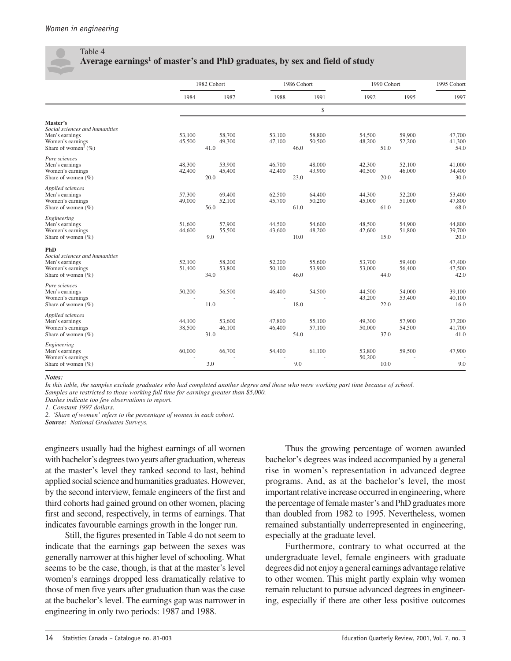### Table 4 **Average earnings1 of master's and PhD graduates, by sex and field of study**

|                                                                                                                        |                  | 1982 Cohort              |                          | 1986 Cohort      | 1990 Cohort              |                  | 1995 Cohort              |
|------------------------------------------------------------------------------------------------------------------------|------------------|--------------------------|--------------------------|------------------|--------------------------|------------------|--------------------------|
|                                                                                                                        | 1984             | 1987                     | 1988                     | 1991             | 1992                     | 1995             | 1997                     |
|                                                                                                                        |                  |                          |                          | \$               |                          |                  |                          |
| Master's<br>Social sciences and humanities<br>Men's earnings<br>Women's earnings<br>Share of women <sup>2</sup> $(\%)$ | 53,100<br>45,500 | 58,700<br>49,300<br>41.0 | 53,100<br>47,100<br>46.0 | 58,800<br>50,500 | 54,500<br>48,200<br>51.0 | 59,900<br>52,200 | 47,700<br>41,300<br>54.0 |
| Pure sciences<br>Men's earnings<br>Women's earnings<br>Share of women $(\%)$                                           | 48,300<br>42,400 | 53,900<br>45,400<br>20.0 | 46,700<br>42,400<br>23.0 | 48,000<br>43,900 | 42,300<br>40,500<br>20.0 | 52,100<br>46,000 | 41,000<br>34,400<br>30.0 |
| Applied sciences<br>Men's earnings<br>Women's earnings<br>Share of women $(\%)$                                        | 57,300<br>49,000 | 69,400<br>52,100<br>56.0 | 62,500<br>45,700<br>61.0 | 64,400<br>50,200 | 44,300<br>45,000<br>61.0 | 52,200<br>51,000 | 53,400<br>47,800<br>68.0 |
| Engineering<br>Men's earnings<br>Women's earnings<br>Share of women $(\%)$                                             | 51,600<br>44,600 | 57,900<br>55,500<br>9.0  | 44,500<br>43,600<br>10.0 | 54,600<br>48,200 | 48,500<br>42,600<br>15.0 | 54,900<br>51,800 | 44,800<br>39,700<br>20.0 |
| PhD<br>Social sciences and humanities<br>Men's earnings<br>Women's earnings<br>Share of women (%)                      | 52,100<br>51,400 | 58,200<br>53,800<br>34.0 | 52,200<br>50,100<br>46.0 | 55,600<br>53,900 | 53,700<br>53,000<br>44.0 | 59,400<br>56,400 | 47,400<br>47,500<br>42.0 |
| Pure sciences<br>Men's earnings<br>Women's earnings<br>Share of women $(\%)$                                           | 50,200           | 56,500<br>11.0           | 46,400<br>18.0           | 54,500           | 44,500<br>43,200<br>22.0 | 54,000<br>53,400 | 39,100<br>40,100<br>16.0 |
| Applied sciences<br>Men's earnings<br>Women's earnings<br>Share of women (%)                                           | 44,100<br>38,500 | 53,600<br>46,100<br>31.0 | 47,800<br>46,400<br>54.0 | 55,100<br>57,100 | 49,300<br>50,000<br>37.0 | 57,900<br>54,500 | 37,200<br>41,700<br>41.0 |
| Engineering<br>Men's earnings<br>Women's earnings<br>Share of women $(\%)$                                             | 60,000           | 66,700<br>3.0            | 54,400<br>9.0            | 61,100           | 53,800<br>50,200<br>10.0 | 59,500           | 47,900<br>9.0            |

*Notes:*

*In this table, the samples exclude graduates who had completed another degree and those who were working part time because of school. Samples are restricted to those working full time for earnings greater than \$5,000.*

*Dashes indicate too few observations to report.*

*1. Constant 1997 dollars.*

*2. 'Share of women' refers to the percentage of women in each cohort.*

*Source: National Graduates Surveys.*

engineers usually had the highest earnings of all women with bachelor's degrees two years after graduation, whereas at the master's level they ranked second to last, behind applied social science and humanities graduates. However, by the second interview, female engineers of the first and third cohorts had gained ground on other women, placing first and second, respectively, in terms of earnings. That indicates favourable earnings growth in the longer run.

Still, the figures presented in Table 4 do not seem to indicate that the earnings gap between the sexes was generally narrower at this higher level of schooling. What seems to be the case, though, is that at the master's level women's earnings dropped less dramatically relative to those of men five years after graduation than was the case at the bachelor's level. The earnings gap was narrower in engineering in only two periods: 1987 and 1988.

Thus the growing percentage of women awarded bachelor's degrees was indeed accompanied by a general rise in women's representation in advanced degree programs. And, as at the bachelor's level, the most important relative increase occurred in engineering, where the percentage of female master's and PhD graduates more than doubled from 1982 to 1995. Nevertheless, women remained substantially underrepresented in engineering, especially at the graduate level.

Furthermore, contrary to what occurred at the undergraduate level, female engineers with graduate degrees did not enjoy a general earnings advantage relative to other women. This might partly explain why women remain reluctant to pursue advanced degrees in engineering, especially if there are other less positive outcomes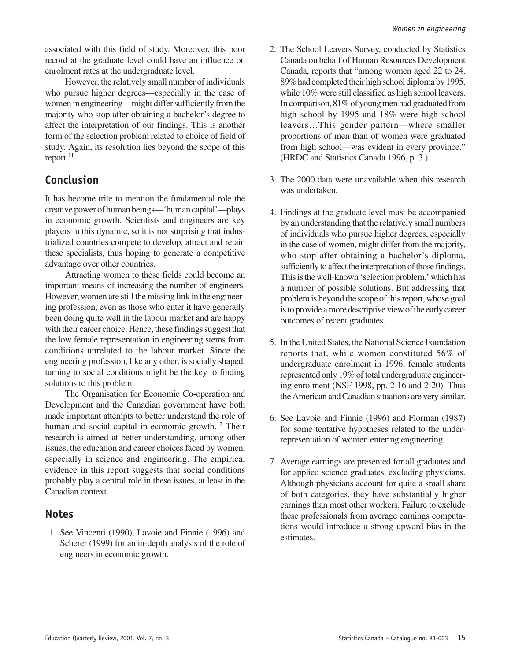associated with this field of study. Moreover, this poor record at the graduate level could have an influence on enrolment rates at the undergraduate level.

However, the relatively small number of individuals who pursue higher degrees—especially in the case of women in engineering—might differ sufficiently from the majority who stop after obtaining a bachelor's degree to affect the interpretation of our findings. This is another form of the selection problem related to choice of field of study. Again, its resolution lies beyond the scope of this  $report.<sup>11</sup>$ 

### **Conclusion**

It has become trite to mention the fundamental role the creative power of human beings—'human capital'—plays in economic growth. Scientists and engineers are key players in this dynamic, so it is not surprising that industrialized countries compete to develop, attract and retain these specialists, thus hoping to generate a competitive advantage over other countries.

Attracting women to these fields could become an important means of increasing the number of engineers. However, women are still the missing link in the engineering profession, even as those who enter it have generally been doing quite well in the labour market and are happy with their career choice. Hence, these findings suggest that the low female representation in engineering stems from conditions unrelated to the labour market. Since the engineering profession, like any other, is socially shaped, turning to social conditions might be the key to finding solutions to this problem.

The Organisation for Economic Co-operation and Development and the Canadian government have both made important attempts to better understand the role of human and social capital in economic growth.<sup>12</sup> Their research is aimed at better understanding, among other issues, the education and career choices faced by women, especially in science and engineering. The empirical evidence in this report suggests that social conditions probably play a central role in these issues, at least in the Canadian context.

### **Notes**

 1. See Vincenti (1990), Lavoie and Finnie (1996) and Scherer (1999) for an in-depth analysis of the role of engineers in economic growth.

- 2. The School Leavers Survey, conducted by Statistics Canada on behalf of Human Resources Development Canada, reports that "among women aged 22 to 24, 89% had completed their high school diploma by 1995, while 10% were still classified as high school leavers. In comparison, 81% of young men had graduated from high school by 1995 and 18% were high school leavers…This gender pattern—where smaller proportions of men than of women were graduated from high school—was evident in every province." (HRDC and Statistics Canada 1996, p. 3.)
- 3. The 2000 data were unavailable when this research was undertaken.
- 4. Findings at the graduate level must be accompanied by an understanding that the relatively small numbers of individuals who pursue higher degrees, especially in the case of women, might differ from the majority, who stop after obtaining a bachelor's diploma, sufficiently to affect the interpretation of those findings. This is the well-known 'selection problem,' which has a number of possible solutions. But addressing that problem is beyond the scope of this report, whose goal is to provide a more descriptive view of the early career outcomes of recent graduates.
- 5. In the United States, the National Science Foundation reports that, while women constituted 56% of undergraduate enrolment in 1996, female students represented only 19% of total undergraduate engineering enrolment (NSF 1998, pp. 2-16 and 2-20). Thus the American and Canadian situations are very similar.
- 6. See Lavoie and Finnie (1996) and Florman (1987) for some tentative hypotheses related to the underrepresentation of women entering engineering.
- 7. Average earnings are presented for all graduates and for applied science graduates, excluding physicians. Although physicians account for quite a small share of both categories, they have substantially higher earnings than most other workers. Failure to exclude these professionals from average earnings computations would introduce a strong upward bias in the estimates.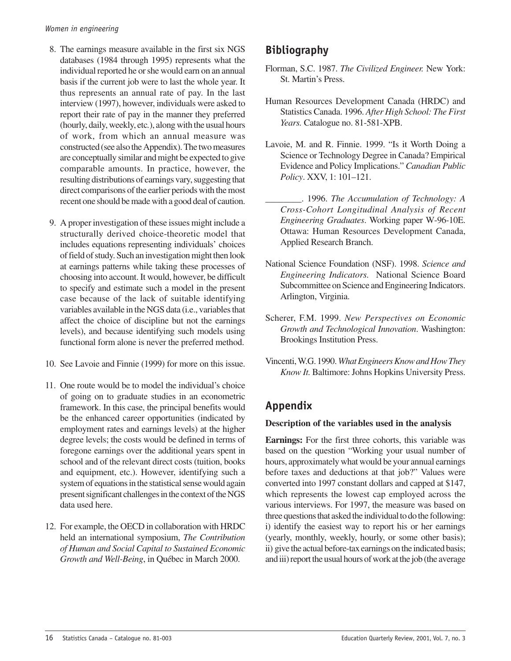- 8. The earnings measure available in the first six NGS databases (1984 through 1995) represents what the individual reported he or she would earn on an annual basis if the current job were to last the whole year. It thus represents an annual rate of pay. In the last interview (1997), however, individuals were asked to report their rate of pay in the manner they preferred (hourly, daily, weekly, etc*.*), along with the usual hours of work, from which an annual measure was constructed (see also the Appendix). The two measures are conceptually similar and might be expected to give comparable amounts. In practice, however, the resulting distributions of earnings vary, suggesting that direct comparisons of the earlier periods with the most recent one should be made with a good deal of caution.
- 9. A proper investigation of these issues might include a structurally derived choice-theoretic model that includes equations representing individuals' choices of field of study. Such an investigation might then look at earnings patterns while taking these processes of choosing into account. It would, however, be difficult to specify and estimate such a model in the present case because of the lack of suitable identifying variables available in the NGS data (i.e., variables that affect the choice of discipline but not the earnings levels), and because identifying such models using functional form alone is never the preferred method.
- 10. See Lavoie and Finnie (1999) for more on this issue.
- 11. One route would be to model the individual's choice of going on to graduate studies in an econometric framework. In this case, the principal benefits would be the enhanced career opportunities (indicated by employment rates and earnings levels) at the higher degree levels; the costs would be defined in terms of foregone earnings over the additional years spent in school and of the relevant direct costs (tuition, books and equipment, etc.). However, identifying such a system of equations in the statistical sense would again present significant challenges in the context of the NGS data used here.
- 12. For example, the OECD in collaboration with HRDC held an international symposium, *The Contribution of Human and Social Capital to Sustained Economic Growth and Well-Being*, in Québec in March 2000.

### **Bibliography**

- Florman, S.C. 1987. *The Civilized Engineer.* New York: St. Martin's Press.
- Human Resources Development Canada (HRDC) and Statistics Canada. 1996. *After High School: The First Years.* Catalogue no. 81-581-XPB.
- Lavoie, M. and R. Finnie. 1999. "Is it Worth Doing a Science or Technology Degree in Canada? Empirical Evidence and Policy Implications." *Canadian Public Policy*. XXV, 1: 101–121.
	- \_\_\_\_\_\_\_\_. 1996. *The Accumulation of Technology: A Cross-Cohort Longitudinal Analysis of Recent Engineering Graduates*. Working paper W-96-10E. Ottawa: Human Resources Development Canada, Applied Research Branch.
- National Science Foundation (NSF). 1998. *Science and Engineering Indicators.* National Science Board Subcommittee on Science and Engineering Indicators. Arlington, Virginia.
- Scherer, F.M. 1999. *New Perspectives on Economic Growth and Technological Innovation*. Washington: Brookings Institution Press.
- Vincenti, W.G. 1990. *What Engineers Know and How They Know It.* Baltimore: Johns Hopkins University Press.

### **Appendix**

### **Description of the variables used in the analysis**

**Earnings:** For the first three cohorts, this variable was based on the question "Working your usual number of hours, approximately what would be your annual earnings before taxes and deductions at that job?" Values were converted into 1997 constant dollars and capped at \$147, which represents the lowest cap employed across the various interviews. For 1997, the measure was based on three questions that asked the individual to do the following: i) identify the easiest way to report his or her earnings (yearly, monthly, weekly, hourly, or some other basis); ii) give the actual before-tax earnings on the indicated basis; and iii) report the usual hours of work at the job (the average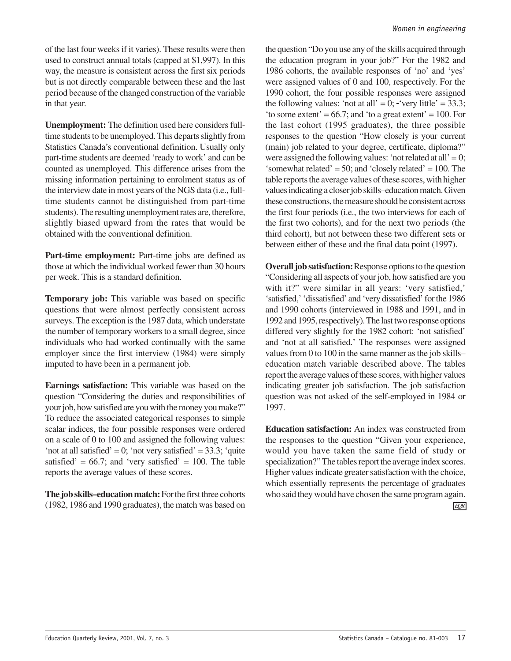of the last four weeks if it varies). These results were then used to construct annual totals (capped at \$1,997). In this way, the measure is consistent across the first six periods but is not directly comparable between these and the last period because of the changed construction of the variable in that year.

**Unemployment:** The definition used here considers fulltime students to be unemployed. This departs slightly from Statistics Canada's conventional definition. Usually only part-time students are deemed 'ready to work' and can be counted as unemployed. This difference arises from the missing information pertaining to enrolment status as of the interview date in most years of the NGS data (i.e., fulltime students cannot be distinguished from part-time students). The resulting unemployment rates are, therefore, slightly biased upward from the rates that would be obtained with the conventional definition.

**Part-time employment:** Part-time jobs are defined as those at which the individual worked fewer than 30 hours per week. This is a standard definition.

**Temporary job:** This variable was based on specific questions that were almost perfectly consistent across surveys. The exception is the 1987 data, which understate the number of temporary workers to a small degree, since individuals who had worked continually with the same employer since the first interview (1984) were simply imputed to have been in a permanent job.

**Earnings satisfaction:** This variable was based on the question "Considering the duties and responsibilities of your job, how satisfied are you with the money you make?" To reduce the associated categorical responses to simple scalar indices, the four possible responses were ordered on a scale of 0 to 100 and assigned the following values: 'not at all satisfied' = 0; 'not very satisfied' =  $33.3$ ; 'quite satisfied' =  $66.7$ ; and 'very satisfied' = 100. The table reports the average values of these scores.

**The job skills–education match:** For the first three cohorts (1982, 1986 and 1990 graduates), the match was based on

the question "Do you use any of the skills acquired through the education program in your job?" For the 1982 and 1986 cohorts, the available responses of 'no' and 'yes' were assigned values of 0 and 100, respectively. For the 1990 cohort, the four possible responses were assigned the following values: 'not at all' = 0;  $\cdot$  'very little' = 33.3; 'to some extent' =  $66.7$ ; and 'to a great extent' =  $100$ . For the last cohort (1995 graduates), the three possible responses to the question "How closely is your current (main) job related to your degree, certificate, diploma?" were assigned the following values: 'not related at all' = 0; 'somewhat related' = 50; and 'closely related' = 100. The table reports the average values of these scores, with higher values indicating a closer job skills–education match. Given these constructions, the measure should be consistent across the first four periods (i.e., the two interviews for each of the first two cohorts), and for the next two periods (the third cohort), but not between these two different sets or between either of these and the final data point (1997).

**Overall job satisfaction:**Response options to the question "Considering all aspects of your job, how satisfied are you with it?" were similar in all years: 'very satisfied,' 'satisfied,''dissatisfied' and 'very dissatisfied' for the 1986 and 1990 cohorts (interviewed in 1988 and 1991, and in 1992 and 1995, respectively). The last two response options differed very slightly for the 1982 cohort: 'not satisfied' and 'not at all satisfied.' The responses were assigned values from 0 to 100 in the same manner as the job skills– education match variable described above. The tables report the average values of these scores, with higher values indicating greater job satisfaction. The job satisfaction question was not asked of the self-employed in 1984 or 1997.

**Education satisfaction:** An index was constructed from the responses to the question "Given your experience, would you have taken the same field of study or specialization?" The tables report the average index scores. Higher values indicate greater satisfaction with the choice, which essentially represents the percentage of graduates who said they would have chosen the same program again. *EQR*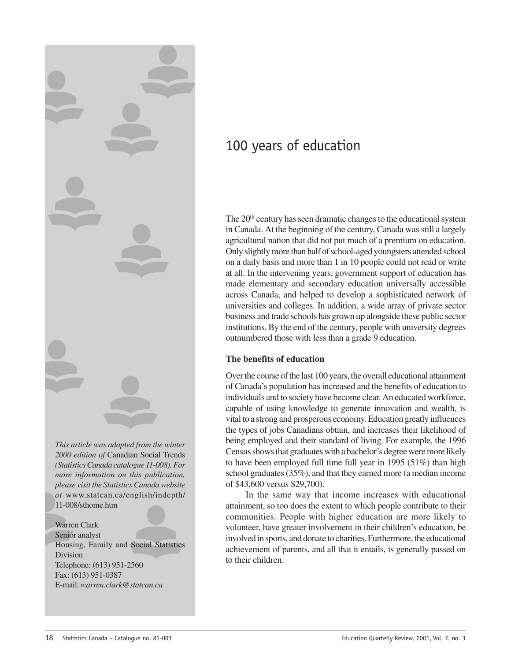<span id="page-19-0"></span>

*This article was adapted from the winter 2000 edition of* Canadian Social Trends *(Statistics Canada catalogue 11-008). For more information on this publication, please visit the Statistics Canada website at* www.statcan.ca/english/indepth/ 11-008/sthome.htm

Warren Clark Senior analyst Housing, Family and Social Statistics Division Telephone: (613) 951-2560 Fax: (613) 951-0387 E-mail: *warren.clark@statcan.ca*

### 100 years of education

The 20<sup>th</sup> century has seen dramatic changes to the educational system in Canada. At the beginning of the century, Canada was still a largely agricultural nation that did not put much of a premium on education. Only slightly more than half of school-aged youngsters attended school on a daily basis and more than 1 in 10 people could not read or write at all. In the intervening years, government support of education has made elementary and secondary education universally accessible across Canada, and helped to develop a sophisticated network of universities and colleges. In addition, a wide array of private sector business and trade schools has grown up alongside these public sector institutions. By the end of the century, people with university degrees outnumbered those with less than a grade 9 education.

### **The benefits of education**

Over the course of the last 100 years, the overall educational attainment of Canada's population has increased and the benefits of education to individuals and to society have become clear. An educated workforce, capable of using knowledge to generate innovation and wealth, is vital to a strong and prosperous economy. Education greatly influences the types of jobs Canadians obtain, and increases their likelihood of being employed and their standard of living. For example, the 1996 Census shows that graduates with a bachelor's degree were more likely to have been employed full time full year in 1995 (51%) than high school graduates (35%), and that they earned more (a median income of \$43,600 versus \$29,700).

In the same way that income increases with educational attainment, so too does the extent to which people contribute to their communities. People with higher education are more likely to volunteer, have greater involvement in their children's education, be involved in sports, and donate to charities. Furthermore, the educational achievement of parents, and all that it entails, is generally passed on to their children.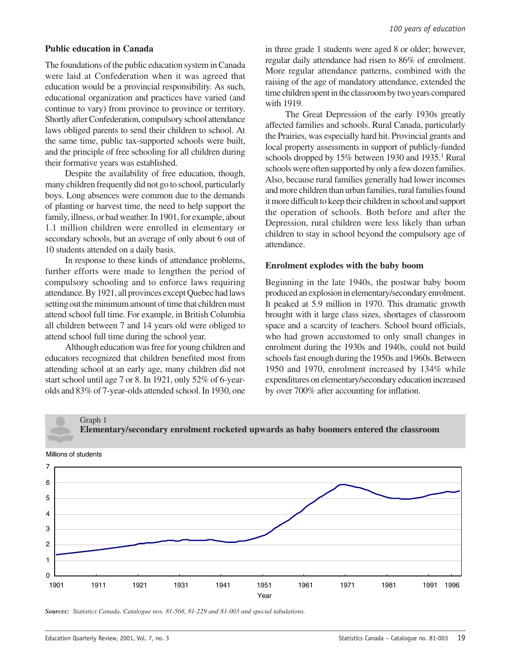### **Public education in Canada**

The foundations of the public education system in Canada were laid at Confederation when it was agreed that education would be a provincial responsibility. As such, educational organization and practices have varied (and continue to vary) from province to province or territory. Shortly after Confederation, compulsory school attendance laws obliged parents to send their children to school. At the same time, public tax-supported schools were built, and the principle of free schooling for all children during their formative years was established.

Despite the availability of free education, though, many children frequently did not go to school, particularly boys. Long absences were common due to the demands of planting or harvest time, the need to help support the family, illness, or bad weather. In 1901, for example, about 1.1 million children were enrolled in elementary or secondary schools, but an average of only about 6 out of 10 students attended on a daily basis.

In response to these kinds of attendance problems, further efforts were made to lengthen the period of compulsory schooling and to enforce laws requiring attendance. By 1921, all provinces except Quebec had laws setting out the minimum amount of time that children must attend school full time. For example, in British Columbia all children between 7 and 14 years old were obliged to attend school full time during the school year.

Although education was free for young children and educators recognized that children benefited most from attending school at an early age, many children did not start school until age 7 or 8. In 1921, only 52% of 6-yearolds and 83% of 7-year-olds attended school. In 1930, one in three grade 1 students were aged 8 or older; however, regular daily attendance had risen to 86% of enrolment. More regular attendance patterns, combined with the raising of the age of mandatory attendance, extended the time children spent in the classroom by two years compared with 1919.

The Great Depression of the early 1930s greatly affected families and schools. Rural Canada, particularly the Prairies, was especially hard hit. Provincial grants and local property assessments in support of publicly-funded schools dropped by 15% between 1930 and 1935.<sup>1</sup> Rural schools were often supported by only a few dozen families. Also, because rural families generally had lower incomes and more children than urban families, rural families found it more difficult to keep their children in school and support the operation of schools. Both before and after the Depression, rural children were less likely than urban children to stay in school beyond the compulsory age of attendance.

### **Enrolment explodes with the baby boom**

Beginning in the late 1940s, the postwar baby boom produced an explosion in elementary/secondary enrolment. It peaked at 5.9 million in 1970. This dramatic growth brought with it large class sizes, shortages of classroom space and a scarcity of teachers. School board officials, who had grown accustomed to only small changes in enrolment during the 1930s and 1940s, could not build schools fast enough during the 1950s and 1960s. Between 1950 and 1970, enrolment increased by 134% while expenditures on elementary/secondary education increased by over 700% after accounting for inflation.



**Elementary/secondary enrolment rocketed upwards as baby boomers entered the classroom**

Graph 1

*Sources: Statistics Canada, Catalogue nos. 81-568, 81-229 and 81-003 and special tabulations.*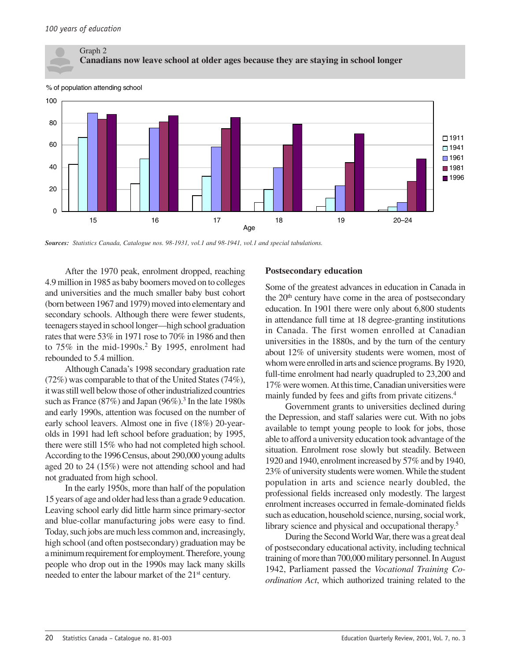

% of population attending school



*Sources: Statistics Canada, Catalogue nos. 98-1931, vol.1 and 98-1941, vol.1 and special tabulations.*

After the 1970 peak, enrolment dropped, reaching 4.9 million in 1985 as baby boomers moved on to colleges and universities and the much smaller baby bust cohort (born between 1967 and 1979) moved into elementary and secondary schools. Although there were fewer students, teenagers stayed in school longer—high school graduation rates that were 53% in 1971 rose to 70% in 1986 and then to  $75\%$  in the mid-1990s.<sup>2</sup> By 1995, enrolment had rebounded to 5.4 million.

Although Canada's 1998 secondary graduation rate (72%) was comparable to that of the United States (74%), it was still well below those of other industrialized countries such as France (87%) and Japan (96%).<sup>3</sup> In the late 1980s and early 1990s, attention was focused on the number of early school leavers. Almost one in five (18%) 20-yearolds in 1991 had left school before graduation; by 1995, there were still 15% who had not completed high school. According to the 1996 Census, about 290,000 young adults aged 20 to 24 (15%) were not attending school and had not graduated from high school.

In the early 1950s, more than half of the population 15 years of age and older had less than a grade 9 education. Leaving school early did little harm since primary-sector and blue-collar manufacturing jobs were easy to find. Today, such jobs are much less common and, increasingly, high school (and often postsecondary) graduation may be a minimum requirement for employment. Therefore, young people who drop out in the 1990s may lack many skills needed to enter the labour market of the 21<sup>st</sup> century.

### **Postsecondary education**

Some of the greatest advances in education in Canada in the  $20<sup>th</sup>$  century have come in the area of postsecondary education. In 1901 there were only about 6,800 students in attendance full time at 18 degree-granting institutions in Canada. The first women enrolled at Canadian universities in the 1880s, and by the turn of the century about 12% of university students were women, most of whom were enrolled in arts and science programs. By 1920, full-time enrolment had nearly quadrupled to 23,200 and 17% were women. At this time, Canadian universities were mainly funded by fees and gifts from private citizens.<sup>4</sup>

Government grants to universities declined during the Depression, and staff salaries were cut. With no jobs available to tempt young people to look for jobs, those able to afford a university education took advantage of the situation. Enrolment rose slowly but steadily. Between 1920 and 1940, enrolment increased by 57% and by 1940, 23% of university students were women. While the student population in arts and science nearly doubled, the professional fields increased only modestly. The largest enrolment increases occurred in female-dominated fields such as education, household science, nursing, social work, library science and physical and occupational therapy.<sup>5</sup>

During the Second World War, there was a great deal of postsecondary educational activity, including technical training of more than 700,000 military personnel. In August 1942, Parliament passed the *Vocational Training Coordination Act*, which authorized training related to the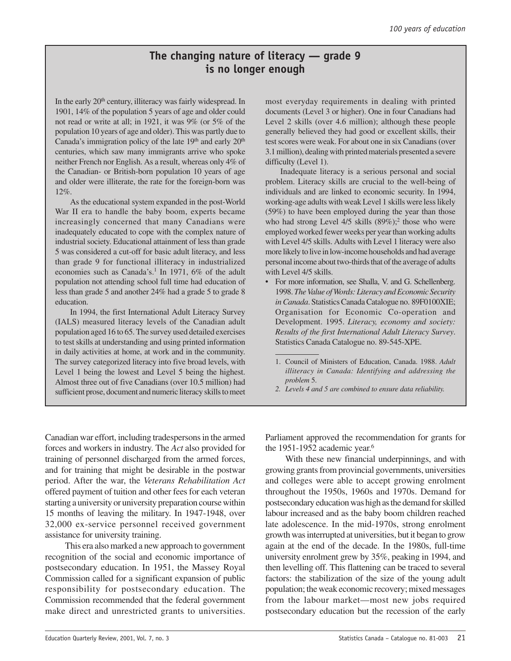### **The changing nature of literacy — grade 9 is no longer enough**

In the early 20<sup>th</sup> century, illiteracy was fairly widespread. In 1901, 14% of the population 5 years of age and older could not read or write at all; in 1921, it was 9% (or 5% of the population 10 years of age and older). This was partly due to Canada's immigration policy of the late  $19<sup>th</sup>$  and early  $20<sup>th</sup>$ centuries, which saw many immigrants arrive who spoke neither French nor English. As a result, whereas only 4% of the Canadian- or British-born population 10 years of age and older were illiterate, the rate for the foreign-born was 12%.

As the educational system expanded in the post-World War II era to handle the baby boom, experts became increasingly concerned that many Canadians were inadequately educated to cope with the complex nature of industrial society. Educational attainment of less than grade 5 was considered a cut-off for basic adult literacy, and less than grade 9 for functional illiteracy in industrialized economies such as Canada's.<sup>1</sup> In 1971, 6% of the adult population not attending school full time had education of less than grade 5 and another 24% had a grade 5 to grade 8 education.

In 1994, the first International Adult Literacy Survey (IALS) measured literacy levels of the Canadian adult population aged 16 to 65. The survey used detailed exercises to test skills at understanding and using printed information in daily activities at home, at work and in the community. The survey categorized literacy into five broad levels, with Level 1 being the lowest and Level 5 being the highest. Almost three out of five Canadians (over 10.5 million) had sufficient prose, document and numeric literacy skills to meet

most everyday requirements in dealing with printed documents (Level 3 or higher). One in four Canadians had Level 2 skills (over 4.6 million); although these people generally believed they had good or excellent skills, their test scores were weak. For about one in six Canadians (over 3.1 million), dealing with printed materials presented a severe difficulty (Level 1).

Inadequate literacy is a serious personal and social problem. Literacy skills are crucial to the well-being of individuals and are linked to economic security. In 1994, working-age adults with weak Level 1 skills were less likely (59%) to have been employed during the year than those who had strong Level 4/5 skills (89%);<sup>2</sup> those who were employed worked fewer weeks per year than working adults with Level 4/5 skills. Adults with Level 1 literacy were also more likely to live in low-income households and had average personal income about two-thirds that of the average of adults with Level 4/5 skills.

- For more information, see Shalla, V. and G. Schellenberg. 1998. *The Value of Words: Literacy and Economic Security in Canada*. Statistics Canada Catalogue no. 89F0100XIE; Organisation for Economic Co-operation and Development. 1995. *Literacy, economy and society: Results of the first International Adult Literacy Survey*. Statistics Canada Catalogue no. 89-545-XPE.
	- 1. Council of Ministers of Education, Canada. 1988. *Adult illiteracy in Canada: Identifying and addressing the problem* 5.
	- *2. Levels 4 and 5 are combined to ensure data reliability.*

Canadian war effort, including tradespersons in the armed forces and workers in industry. The *Act* also provided for training of personnel discharged from the armed forces, and for training that might be desirable in the postwar period. After the war, the *Veterans Rehabilitation Act* offered payment of tuition and other fees for each veteran starting a university or university preparation course within 15 months of leaving the military. In 1947-1948, over 32,000 ex-service personnel received government assistance for university training.

This era also marked a new approach to government recognition of the social and economic importance of postsecondary education. In 1951, the Massey Royal Commission called for a significant expansion of public responsibility for postsecondary education. The Commission recommended that the federal government make direct and unrestricted grants to universities.

Parliament approved the recommendation for grants for the 1951-1952 academic year.<sup>6</sup>

With these new financial underpinnings, and with growing grants from provincial governments, universities and colleges were able to accept growing enrolment throughout the 1950s, 1960s and 1970s. Demand for postsecondary education was high as the demand for skilled labour increased and as the baby boom children reached late adolescence. In the mid-1970s, strong enrolment growth was interrupted at universities, but it began to grow again at the end of the decade. In the 1980s, full-time university enrolment grew by 35%, peaking in 1994, and then levelling off. This flattening can be traced to several factors: the stabilization of the size of the young adult population; the weak economic recovery; mixed messages from the labour market—most new jobs required postsecondary education but the recession of the early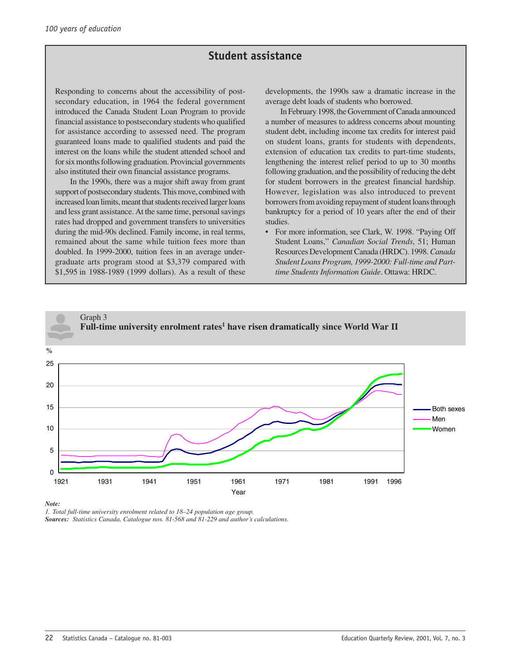### **Student assistance**

Responding to concerns about the accessibility of postsecondary education, in 1964 the federal government introduced the Canada Student Loan Program to provide financial assistance to postsecondary students who qualified for assistance according to assessed need. The program guaranteed loans made to qualified students and paid the interest on the loans while the student attended school and for six months following graduation. Provincial governments also instituted their own financial assistance programs.

In the 1990s, there was a major shift away from grant support of postsecondary students. This move, combined with increased loan limits, meant that students received larger loans and less grant assistance. At the same time, personal savings rates had dropped and government transfers to universities during the mid-90s declined. Family income, in real terms, remained about the same while tuition fees more than doubled. In 1999-2000, tuition fees in an average undergraduate arts program stood at \$3,379 compared with \$1,595 in 1988-1989 (1999 dollars). As a result of these

developments, the 1990s saw a dramatic increase in the average debt loads of students who borrowed.

In February 1998, the Government of Canada announced a number of measures to address concerns about mounting student debt, including income tax credits for interest paid on student loans, grants for students with dependents, extension of education tax credits to part-time students, lengthening the interest relief period to up to 30 months following graduation, and the possibility of reducing the debt for student borrowers in the greatest financial hardship. However, legislation was also introduced to prevent borrowers from avoiding repayment of student loans through bankruptcy for a period of 10 years after the end of their studies.

• For more information, see Clark, W. 1998. "Paying Off Student Loans," *Canadian Social Trends*, 51; Human Resources Development Canada (HRDC). 1998. *Canada Student Loans Program, 1999-2000: Full-time and Parttime Students Information Guide*. Ottawa: HRDC.



*Note:*

*1. Total full-time university enrolment related to 18–24 population age group.*

*Sources: Statistics Canada, Catalogue nos. 81-568 and 81-229 and author's calculations.*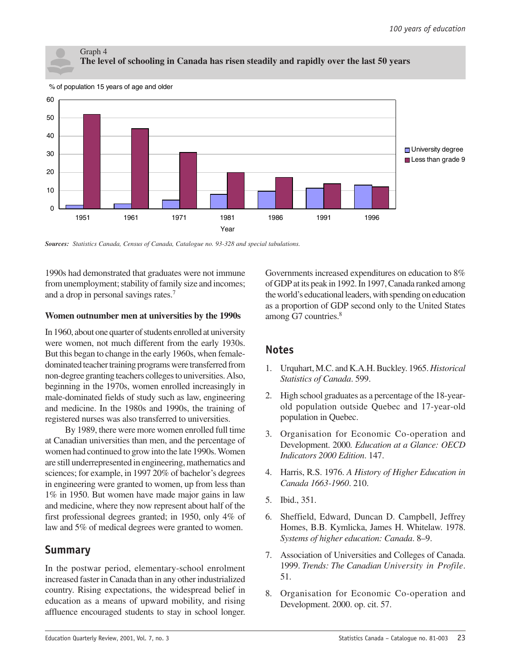### Graph 4 **The level of schooling in Canada has risen steadily and rapidly over the last 50 years**



% of population 15 years of age and older

*Sources: Statistics Canada, Census of Canada, Catalogue no. 93-328 and special tabulations.*

1990s had demonstrated that graduates were not immune from unemployment; stability of family size and incomes; and a drop in personal savings rates.7

### **Women outnumber men at universities by the 1990s**

In 1960, about one quarter of students enrolled at university were women, not much different from the early 1930s. But this began to change in the early 1960s, when femaledominated teacher training programs were transferred from non-degree granting teachers colleges to universities. Also, beginning in the 1970s, women enrolled increasingly in male-dominated fields of study such as law, engineering and medicine. In the 1980s and 1990s, the training of registered nurses was also transferred to universities.

By 1989, there were more women enrolled full time at Canadian universities than men, and the percentage of women had continued to grow into the late 1990s. Women are still underrepresented in engineering, mathematics and sciences; for example, in 1997 20% of bachelor's degrees in engineering were granted to women, up from less than 1% in 1950. But women have made major gains in law and medicine, where they now represent about half of the first professional degrees granted; in 1950, only 4% of law and 5% of medical degrees were granted to women.

### **Summary**

In the postwar period, elementary-school enrolment increased faster in Canada than in any other industrialized country. Rising expectations, the widespread belief in education as a means of upward mobility, and rising affluence encouraged students to stay in school longer.

Governments increased expenditures on education to 8% of GDP at its peak in 1992. In 1997, Canada ranked among the world's educational leaders, with spending on education as a proportion of GDP second only to the United States among G7 countries.<sup>8</sup>

### **Notes**

- 1. Urquhart, M.C. and K.A.H. Buckley. 1965. *Historical Statistics of Canada*. 599.
- 2. High school graduates as a percentage of the 18-yearold population outside Quebec and 17-year-old population in Quebec.
- 3. Organisation for Economic Co-operation and Development. 2000*. Education at a Glance: OECD Indicators 2000 Edition*. 147.
- 4. Harris, R.S. 1976. *A History of Higher Education in Canada 1663-1960*. 210.
- 5. Ibid., 351.
- 6. Sheffield, Edward, Duncan D. Campbell, Jeffrey Homes, B.B. Kymlicka, James H. Whitelaw. 1978. *Systems of higher education: Canada*. 8–9.
- 7. Association of Universities and Colleges of Canada. 1999. *Trends: The Canadian University in Profile*. 51.
- 8. Organisation for Economic Co-operation and Development. 2000. op. cit. 57.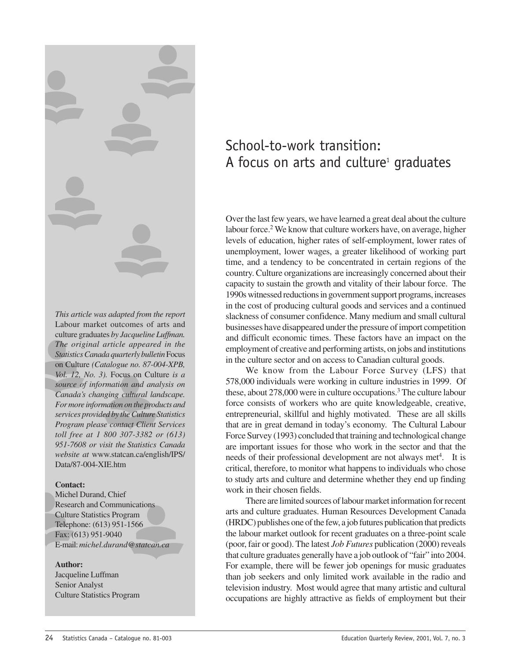<span id="page-25-0"></span>

*This article was adapted from the report* Labour market outcomes of arts and culture graduates *by Jacqueline Luffman. The original article appeared in the Statistics Canada quarterly bulletin* Focus on Culture *(Catalogue no. 87-004-XPB, Vol. 12, No. 3).* Focus on Culture *is a source of information and analysis on Canada's changing cultural landscape. For more information on the products and services provided by the Culture Statistics Program please contact Client Services toll free at 1 800 307-3382 or (613) 951-7608 or visit the Statistics Canada website at* www.statcan.ca/english/IPS/ Data/87-004-XIE.htm

### **Contact:**

Michel Durand, Chief Research and Communications Culture Statistics Program Telephone: (613) 951-1566 Fax: (613) 951-9040 E-mail: *michel.durand@statcan.ca*

### **Author:**

Jacqueline Luffman Senior Analyst Culture Statistics Program

### School-to-work transition: A focus on arts and culture<sup>1</sup> graduates

Over the last few years, we have learned a great deal about the culture labour force.<sup>2</sup> We know that culture workers have, on average, higher levels of education, higher rates of self-employment, lower rates of unemployment, lower wages, a greater likelihood of working part time, and a tendency to be concentrated in certain regions of the country. Culture organizations are increasingly concerned about their capacity to sustain the growth and vitality of their labour force. The 1990s witnessed reductions in government support programs, increases in the cost of producing cultural goods and services and a continued slackness of consumer confidence. Many medium and small cultural businesses have disappeared under the pressure of import competition and difficult economic times. These factors have an impact on the employment of creative and performing artists, on jobs and institutions in the culture sector and on access to Canadian cultural goods.

We know from the Labour Force Survey (LFS) that 578,000 individuals were working in culture industries in 1999. Of these, about 278,000 were in culture occupations.<sup>3</sup> The culture labour force consists of workers who are quite knowledgeable, creative, entrepreneurial, skillful and highly motivated. These are all skills that are in great demand in today's economy. The Cultural Labour Force Survey (1993) concluded that training and technological change are important issues for those who work in the sector and that the needs of their professional development are not always met<sup>4</sup>. It is critical, therefore, to monitor what happens to individuals who chose to study arts and culture and determine whether they end up finding work in their chosen fields.

There are limited sources of labour market information for recent arts and culture graduates. Human Resources Development Canada (HRDC) publishes one of the few, a job futures publication that predicts the labour market outlook for recent graduates on a three-point scale (poor, fair or good). The latest *Job Futures* publication (2000) reveals that culture graduates generally have a job outlook of "fair" into 2004. For example, there will be fewer job openings for music graduates than job seekers and only limited work available in the radio and television industry. Most would agree that many artistic and cultural occupations are highly attractive as fields of employment but their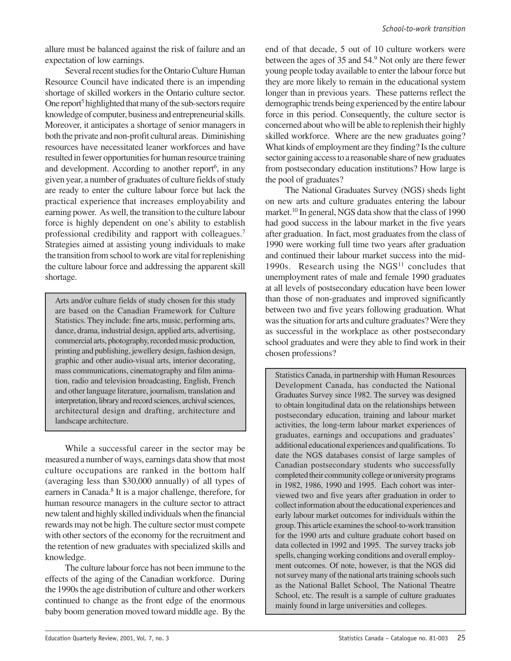allure must be balanced against the risk of failure and an expectation of low earnings.

Several recent studies for the Ontario Culture Human Resource Council have indicated there is an impending shortage of skilled workers in the Ontario culture sector. One report<sup>5</sup> highlighted that many of the sub-sectors require knowledge of computer, business and entrepreneurial skills. Moreover, it anticipates a shortage of senior managers in both the private and non-profit cultural areas. Diminishing resources have necessitated leaner workforces and have resulted in fewer opportunities for human resource training and development. According to another report<sup>6</sup>, in any given year, a number of graduates of culture fields of study are ready to enter the culture labour force but lack the practical experience that increases employability and earning power. As well, the transition to the culture labour force is highly dependent on one's ability to establish professional credibility and rapport with colleagues.7 Strategies aimed at assisting young individuals to make the transition from school to work are vital for replenishing the culture labour force and addressing the apparent skill shortage.

Arts and/or culture fields of study chosen for this study are based on the Canadian Framework for Culture Statistics. They include: fine arts, music, performing arts, dance, drama, industrial design, applied arts, advertising, commercial arts, photography, recorded music production, printing and publishing, jewellery design, fashion design, graphic and other audio-visual arts, interior decorating, mass communications, cinematography and film animation, radio and television broadcasting, English, French and other language literature, journalism, translation and interpretation, library and record sciences, archival sciences, architectural design and drafting, architecture and landscape architecture.

While a successful career in the sector may be measured a number of ways, earnings data show that most culture occupations are ranked in the bottom half (averaging less than \$30,000 annually) of all types of earners in Canada.<sup>8</sup> It is a major challenge, therefore, for human resource managers in the culture sector to attract new talent and highly skilled individuals when the financial rewards may not be high. The culture sector must compete with other sectors of the economy for the recruitment and the retention of new graduates with specialized skills and knowledge.

The culture labour force has not been immune to the effects of the aging of the Canadian workforce. During the 1990s the age distribution of culture and other workers continued to change as the front edge of the enormous baby boom generation moved toward middle age. By the

end of that decade, 5 out of 10 culture workers were between the ages of 35 and 54.<sup>9</sup> Not only are there fewer young people today available to enter the labour force but they are more likely to remain in the educational system longer than in previous years. These patterns reflect the demographic trends being experienced by the entire labour force in this period. Consequently, the culture sector is concerned about who will be able to replenish their highly skilled workforce. Where are the new graduates going? What kinds of employment are they finding? Is the culture sector gaining access to a reasonable share of new graduates from postsecondary education institutions? How large is the pool of graduates?

The National Graduates Survey (NGS) sheds light on new arts and culture graduates entering the labour market.<sup>10</sup> In general, NGS data show that the class of 1990 had good success in the labour market in the five years after graduation. In fact, most graduates from the class of 1990 were working full time two years after graduation and continued their labour market success into the mid-1990s. Research using the NGS<sup>11</sup> concludes that unemployment rates of male and female 1990 graduates at all levels of postsecondary education have been lower than those of non-graduates and improved significantly between two and five years following graduation. What was the situation for arts and culture graduates? Were they as successful in the workplace as other postsecondary school graduates and were they able to find work in their chosen professions?

Statistics Canada, in partnership with Human Resources Development Canada, has conducted the National Graduates Survey since 1982. The survey was designed to obtain longitudinal data on the relationships between postsecondary education, training and labour market activities, the long-term labour market experiences of graduates, earnings and occupations and graduates' additional educational experiences and qualifications. To date the NGS databases consist of large samples of Canadian postsecondary students who successfully completed their community college or university programs in 1982, 1986, 1990 and 1995. Each cohort was interviewed two and five years after graduation in order to collect information about the educational experiences and early labour market outcomes for individuals within the group. This article examines the school-to-work transition for the 1990 arts and culture graduate cohort based on data collected in 1992 and 1995. The survey tracks job spells, changing working conditions and overall employment outcomes. Of note, however, is that the NGS did not survey many of the national arts training schools such as the National Ballet School, The National Theatre School, etc. The result is a sample of culture graduates mainly found in large universities and colleges.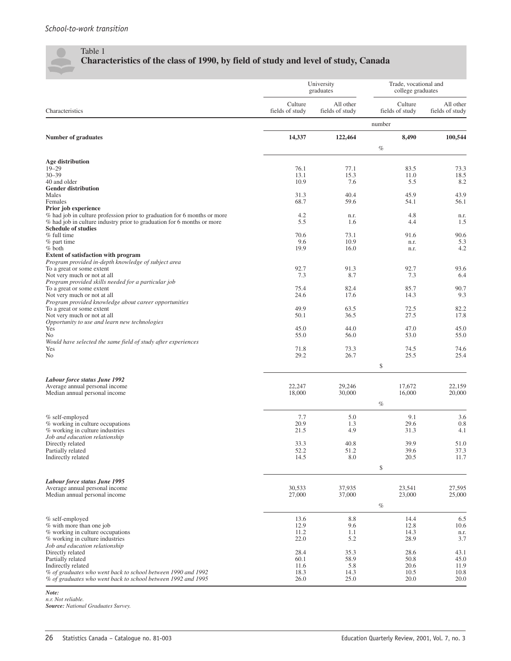$\sqrt{2}$ 

### Table 1 **Characteristics of the class of 1990, by field of study and level of study, Canada**

|                                                                                                                                                    |                            | University<br>graduates      | Trade, vocational and<br>college graduates |                              |  |
|----------------------------------------------------------------------------------------------------------------------------------------------------|----------------------------|------------------------------|--------------------------------------------|------------------------------|--|
| Characteristics                                                                                                                                    | Culture<br>fields of study | All other<br>fields of study | Culture<br>fields of study                 | All other<br>fields of study |  |
|                                                                                                                                                    |                            |                              | number                                     |                              |  |
| <b>Number of graduates</b>                                                                                                                         | 14,337                     | 122,464                      | 8,490                                      | 100,544                      |  |
|                                                                                                                                                    |                            |                              | $\%$                                       |                              |  |
| <b>Age distribution</b>                                                                                                                            |                            |                              |                                            |                              |  |
| $19 - 29$                                                                                                                                          | 76.1                       | 77.1                         | 83.5                                       | 73.3                         |  |
| $30 - 39$<br>40 and older                                                                                                                          | 13.1<br>10.9               | 15.3<br>7.6                  | 11.0<br>5.5                                | 18.5<br>8.2                  |  |
| <b>Gender distribution</b>                                                                                                                         |                            |                              |                                            |                              |  |
| Males<br>Females                                                                                                                                   | 31.3<br>68.7               | 40.4<br>59.6                 | 45.9<br>54.1                               | 43.9<br>56.1                 |  |
| Prior job experience                                                                                                                               |                            |                              |                                            |                              |  |
| % had job in culture profession prior to graduation for 6 months or more<br>% had job in culture industry prior to graduation for 6 months or more | 4.2<br>5.5                 | n.r.<br>1.6                  | 4.8<br>4.4                                 | n.r.<br>1.5                  |  |
| <b>Schedule of studies</b>                                                                                                                         |                            |                              |                                            |                              |  |
| % full time                                                                                                                                        | 70.6                       | 73.1                         | 91.6                                       | 90.6                         |  |
| $%$ part time<br>$%$ both                                                                                                                          | 9.6<br>19.9                | 10.9<br>16.0                 | n.r.<br>n.r.                               | 5.3<br>4.2                   |  |
| <b>Extent of satisfaction with program</b>                                                                                                         |                            |                              |                                            |                              |  |
| Program provided in-depth knowledge of subject area<br>To a great or some extent                                                                   | 92.7                       | 91.3                         | 92.7                                       | 93.6                         |  |
| Not very much or not at all                                                                                                                        | 7.3                        | 8.7                          | 7.3                                        | 6.4                          |  |
| Program provided skills needed for a particular job                                                                                                |                            |                              |                                            |                              |  |
| To a great or some extent<br>Not very much or not at all                                                                                           | 75.4<br>24.6               | 82.4<br>17.6                 | 85.7<br>14.3                               | 90.7<br>9.3                  |  |
| Program provided knowledge about career opportunities                                                                                              |                            |                              |                                            |                              |  |
| To a great or some extent<br>Not very much or not at all                                                                                           | 49.9<br>50.1               | 63.5<br>36.5                 | 72.5<br>27.5                               | 82.2<br>17.8                 |  |
| Opportunity to use and learn new technologies                                                                                                      |                            |                              |                                            |                              |  |
| Yes                                                                                                                                                | 45.0                       | 44.0                         | 47.0                                       | 45.0                         |  |
| No<br>Would have selected the same field of study after experiences                                                                                | 55.0                       | 56.0                         | 53.0                                       | 55.0                         |  |
| Yes                                                                                                                                                | 71.8                       | 73.3                         | 74.5                                       | 74.6                         |  |
| No                                                                                                                                                 | 29.2                       | 26.7                         | 25.5                                       | 25.4                         |  |
|                                                                                                                                                    |                            |                              | \$                                         |                              |  |
| Labour force status June 1992                                                                                                                      |                            |                              |                                            |                              |  |
| Average annual personal income                                                                                                                     | 22,247                     | 29,246                       | 17,672                                     | 22,159                       |  |
| Median annual personal income                                                                                                                      | 18,000                     | 30,000                       | 16,000                                     | 20,000                       |  |
|                                                                                                                                                    |                            |                              | $\%$                                       |                              |  |
| % self-employed                                                                                                                                    | 7.7                        | 5.0                          | 9.1                                        | 3.6                          |  |
| % working in culture occupations<br>% working in culture industries                                                                                | 20.9<br>21.5               | 1.3<br>4.9                   | 29.6<br>31.3                               | 0.8<br>4.1                   |  |
| Job and education relationship                                                                                                                     |                            |                              |                                            |                              |  |
| Directly related                                                                                                                                   | 33.3                       | 40.8                         | 39.9                                       | 51.0                         |  |
| Partially related<br>Indirectly related                                                                                                            | 52.2<br>14.5               | 51.2<br>8.0                  | 39.6<br>20.5                               | 37.3<br>11.7                 |  |
|                                                                                                                                                    |                            |                              | \$                                         |                              |  |
|                                                                                                                                                    |                            |                              |                                            |                              |  |
| Labour force status June 1995<br>Average annual personal income                                                                                    | 30,533                     | 37,935                       | 23,541                                     | 27,595                       |  |
| Median annual personal income                                                                                                                      | 27,000                     | 37,000                       | 23,000                                     | 25,000                       |  |
|                                                                                                                                                    |                            |                              | $\%$                                       |                              |  |
|                                                                                                                                                    |                            |                              |                                            |                              |  |
| % self-employed<br>% with more than one job                                                                                                        | 13.6<br>12.9               | 8.8<br>9.6                   | 14.4<br>12.8                               | 6.5<br>10.6                  |  |
| % working in culture occupations                                                                                                                   | 11.2                       | 1.1                          | 14.3                                       | n.r.                         |  |
| % working in culture industries<br>Job and education relationship                                                                                  | 22.0                       | 5.2                          | 28.9                                       | 3.7                          |  |
| Directly related                                                                                                                                   | 28.4                       | 35.3                         | 28.6                                       | 43.1                         |  |
| Partially related                                                                                                                                  | 60.1                       | 58.9                         | 50.8                                       | 45.0                         |  |
| Indirectly related<br>% of graduates who went back to school between 1990 and 1992                                                                 | 11.6<br>18.3               | 5.8<br>14.3                  | 20.6<br>10.5                               | 11.9<br>10.8                 |  |
| % of graduates who went back to school between 1992 and 1995                                                                                       | 26.0                       | 25.0                         | 20.0                                       | 20.0                         |  |

*Note:*

*n.r. Not reliable. Source: National Graduates Survey.*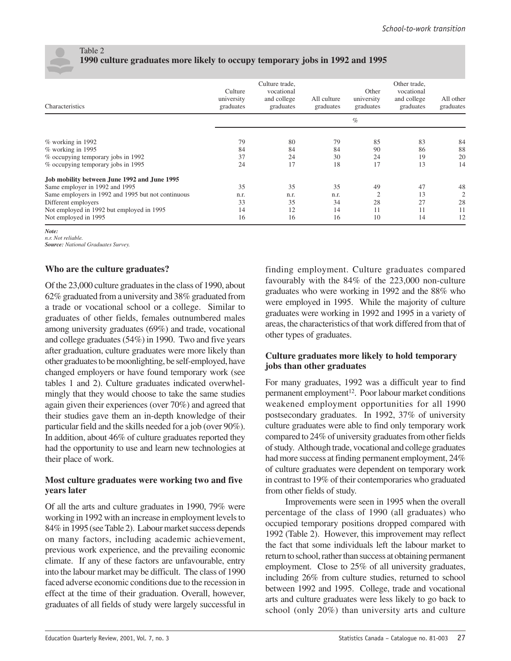

### Table 2 **1990 culture graduates more likely to occupy temporary jobs in 1992 and 1995**

| Characteristics                                    | Culture<br>university<br>graduates | Culture trade,<br>vocational<br>and college<br>graduates | All culture<br>graduates | Other<br>university<br>graduates | Other trade,<br>vocational<br>and college<br>graduates | All other<br>graduates |
|----------------------------------------------------|------------------------------------|----------------------------------------------------------|--------------------------|----------------------------------|--------------------------------------------------------|------------------------|
|                                                    |                                    |                                                          |                          | $\%$                             |                                                        |                        |
| $%$ working in 1992                                | 79                                 | 80                                                       | 79                       | 85                               | 83                                                     | 84                     |
| % working in 1995                                  | 84                                 | 84                                                       | 84                       | 90                               | 86                                                     | 88                     |
| % occupying temporary jobs in 1992                 | 37                                 | 24                                                       | 30                       | 24                               | 19                                                     | 20                     |
| % occupying temporary jobs in 1995                 | 24                                 | 17                                                       | 18                       | 17                               | 13                                                     | 14                     |
| Job mobility between June 1992 and June 1995       |                                    |                                                          |                          |                                  |                                                        |                        |
| Same employer in 1992 and 1995                     | 35                                 | 35                                                       | 35                       | 49                               | 47                                                     | 48                     |
| Same employers in 1992 and 1995 but not continuous | n.r.                               | n.r.                                                     | n.r.                     | $\overline{2}$                   | 13                                                     | $\overline{2}$         |
| Different employers                                | 33                                 | 35                                                       | 34                       | 28                               | 27                                                     | 28                     |
| Not employed in 1992 but employed in 1995          | 14                                 | 12                                                       | 14                       | 11                               | 11                                                     | 11                     |
| Not employed in 1995                               | 16                                 | 16                                                       | 16                       | 10                               | 14                                                     | 12                     |

*Note:*

*n.r. Not reliable. Source: National Graduates Survey.*

### **Who are the culture graduates?**

Of the 23,000 culture graduates in the class of 1990, about 62% graduated from a university and 38% graduated from a trade or vocational school or a college. Similar to graduates of other fields, females outnumbered males among university graduates (69%) and trade, vocational and college graduates (54%) in 1990. Two and five years after graduation, culture graduates were more likely than other graduates to be moonlighting, be self-employed, have changed employers or have found temporary work (see tables 1 and 2). Culture graduates indicated overwhelmingly that they would choose to take the same studies again given their experiences (over 70%) and agreed that their studies gave them an in-depth knowledge of their particular field and the skills needed for a job (over 90%). In addition, about 46% of culture graduates reported they had the opportunity to use and learn new technologies at their place of work.

### **Most culture graduates were working two and five years later**

Of all the arts and culture graduates in 1990, 79% were working in 1992 with an increase in employment levels to 84% in 1995 (see Table 2). Labour market success depends on many factors, including academic achievement, previous work experience, and the prevailing economic climate. If any of these factors are unfavourable, entry into the labour market may be difficult. The class of 1990 faced adverse economic conditions due to the recession in effect at the time of their graduation. Overall, however, graduates of all fields of study were largely successful in

finding employment. Culture graduates compared favourably with the 84% of the 223,000 non-culture graduates who were working in 1992 and the 88% who were employed in 1995. While the majority of culture graduates were working in 1992 and 1995 in a variety of areas, the characteristics of that work differed from that of other types of graduates.

### **Culture graduates more likely to hold temporary jobs than other graduates**

For many graduates, 1992 was a difficult year to find permanent employment<sup>12</sup>. Poor labour market conditions weakened employment opportunities for all 1990 postsecondary graduates. In 1992, 37% of university culture graduates were able to find only temporary work compared to 24% of university graduates from other fields of study. Although trade, vocational and college graduates had more success at finding permanent employment, 24% of culture graduates were dependent on temporary work in contrast to 19% of their contemporaries who graduated from other fields of study.

Improvements were seen in 1995 when the overall percentage of the class of 1990 (all graduates) who occupied temporary positions dropped compared with 1992 (Table 2). However, this improvement may reflect the fact that some individuals left the labour market to return to school, rather than success at obtaining permanent employment. Close to 25% of all university graduates, including 26% from culture studies, returned to school between 1992 and 1995. College, trade and vocational arts and culture graduates were less likely to go back to school (only 20%) than university arts and culture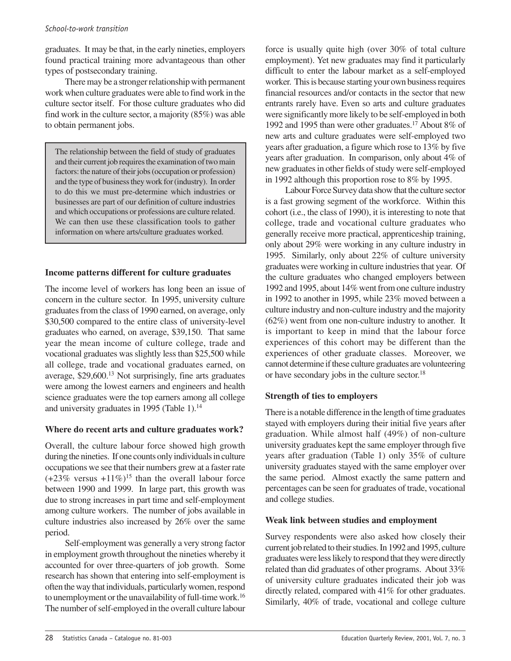### *School-to-work transition*

graduates. It may be that, in the early nineties, employers found practical training more advantageous than other types of postsecondary training.

There may be a stronger relationship with permanent work when culture graduates were able to find work in the culture sector itself. For those culture graduates who did find work in the culture sector, a majority (85%) was able to obtain permanent jobs.

The relationship between the field of study of graduates and their current job requires the examination of two main factors: the nature of their jobs (occupation or profession) and the type of business they work for (industry). In order to do this we must pre-determine which industries or businesses are part of our definition of culture industries and which occupations or professions are culture related. We can then use these classification tools to gather information on where arts/culture graduates worked.

### **Income patterns different for culture graduates**

The income level of workers has long been an issue of concern in the culture sector. In 1995, university culture graduates from the class of 1990 earned, on average, only \$30,500 compared to the entire class of university-level graduates who earned, on average, \$39,150. That same year the mean income of culture college, trade and vocational graduates was slightly less than \$25,500 while all college, trade and vocational graduates earned, on average, \$29,600.13 Not surprisingly, fine arts graduates were among the lowest earners and engineers and health science graduates were the top earners among all college and university graduates in 1995 (Table 1).<sup>14</sup>

### **Where do recent arts and culture graduates work?**

Overall, the culture labour force showed high growth during the nineties. If one counts only individuals in culture occupations we see that their numbers grew at a faster rate  $(+23\% \text{ versus } +11\%)^{15}$  than the overall labour force between 1990 and 1999. In large part, this growth was due to strong increases in part time and self-employment among culture workers. The number of jobs available in culture industries also increased by 26% over the same period.

Self-employment was generally a very strong factor in employment growth throughout the nineties whereby it accounted for over three-quarters of job growth. Some research has shown that entering into self-employment is often the way that individuals, particularly women, respond to unemployment or the unavailability of full-time work.16 The number of self-employed in the overall culture labour force is usually quite high (over 30% of total culture employment). Yet new graduates may find it particularly difficult to enter the labour market as a self-employed worker. This is because starting your own business requires financial resources and/or contacts in the sector that new entrants rarely have. Even so arts and culture graduates were significantly more likely to be self-employed in both 1992 and 1995 than were other graduates.17 About 8% of new arts and culture graduates were self-employed two years after graduation, a figure which rose to 13% by five years after graduation. In comparison, only about 4% of new graduates in other fields of study were self-employed in 1992 although this proportion rose to 8% by 1995.

Labour Force Survey data show that the culture sector is a fast growing segment of the workforce. Within this cohort (i.e., the class of 1990), it is interesting to note that college, trade and vocational culture graduates who generally receive more practical, apprenticeship training, only about 29% were working in any culture industry in 1995. Similarly, only about 22% of culture university graduates were working in culture industries that year. Of the culture graduates who changed employers between 1992 and 1995, about 14% went from one culture industry in 1992 to another in 1995, while 23% moved between a culture industry and non-culture industry and the majority (62%) went from one non-culture industry to another. It is important to keep in mind that the labour force experiences of this cohort may be different than the experiences of other graduate classes. Moreover, we cannot determine if these culture graduates are volunteering or have secondary jobs in the culture sector.<sup>18</sup>

### **Strength of ties to employers**

There is a notable difference in the length of time graduates stayed with employers during their initial five years after graduation. While almost half (49%) of non-culture university graduates kept the same employer through five years after graduation (Table 1) only 35% of culture university graduates stayed with the same employer over the same period. Almost exactly the same pattern and percentages can be seen for graduates of trade, vocational and college studies.

### **Weak link between studies and employment**

Survey respondents were also asked how closely their current job related to their studies. In 1992 and 1995, culture graduates were less likely to respond that they were directly related than did graduates of other programs. About 33% of university culture graduates indicated their job was directly related, compared with 41% for other graduates. Similarly, 40% of trade, vocational and college culture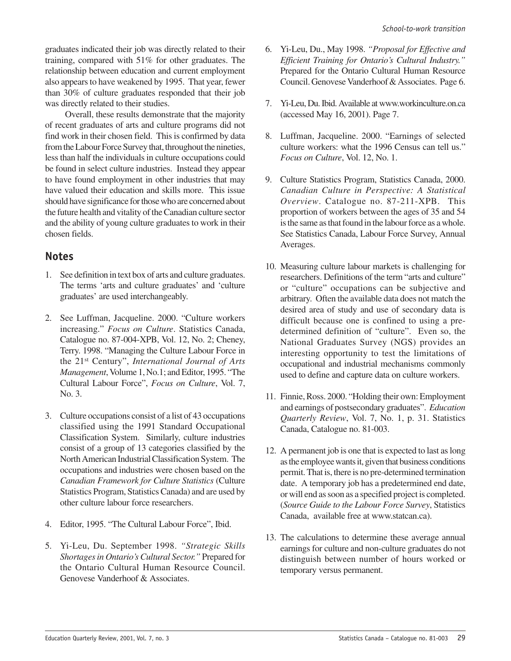graduates indicated their job was directly related to their training, compared with 51% for other graduates. The relationship between education and current employment also appears to have weakened by 1995. That year, fewer than 30% of culture graduates responded that their job was directly related to their studies.

Overall, these results demonstrate that the majority of recent graduates of arts and culture programs did not find work in their chosen field. This is confirmed by data from the Labour Force Survey that, throughout the nineties, less than half the individuals in culture occupations could be found in select culture industries. Instead they appear to have found employment in other industries that may have valued their education and skills more. This issue should have significance for those who are concerned about the future health and vitality of the Canadian culture sector and the ability of young culture graduates to work in their chosen fields.

### **Notes**

- 1. See definition in text box of arts and culture graduates. The terms 'arts and culture graduates' and 'culture graduates' are used interchangeably.
- 2. See Luffman, Jacqueline. 2000. "Culture workers increasing." *Focus on Culture*. Statistics Canada, Catalogue no. 87-004-XPB, Vol. 12, No. 2; Cheney, Terry. 1998. "Managing the Culture Labour Force in the 21st Century", *International Journal of Arts Management*, Volume 1, No.1; and Editor, 1995. "The Cultural Labour Force", *Focus on Culture*, Vol. 7, No. 3.
- 3. Culture occupations consist of a list of 43 occupations classified using the 1991 Standard Occupational Classification System. Similarly, culture industries consist of a group of 13 categories classified by the North American Industrial Classification System. The occupations and industries were chosen based on the *Canadian Framework for Culture Statistics* (Culture Statistics Program, Statistics Canada) and are used by other culture labour force researchers.
- 4. Editor, 1995. "The Cultural Labour Force", Ibid.
- 5. Yi-Leu, Du. September 1998. *"Strategic Skills Shortages in Ontario's Cultural Sector."* Prepared for the Ontario Cultural Human Resource Council. Genovese Vanderhoof & Associates.
- 6. Yi-Leu, Du., May 1998. *"Proposal for Effective and Efficient Training for Ontario's Cultural Industry."* Prepared for the Ontario Cultural Human Resource Council. Genovese Vanderhoof & Associates. Page 6.
- 7. Yi-Leu, Du. Ibid. Available at www.workinculture.on.ca (accessed May 16, 2001). Page 7.
- 8. Luffman, Jacqueline. 2000. "Earnings of selected culture workers: what the 1996 Census can tell us." *Focus on Culture*, Vol. 12, No. 1.
- 9. Culture Statistics Program, Statistics Canada, 2000. *Canadian Culture in Perspective: A Statistical Overview*. Catalogue no. 87-211-XPB. This proportion of workers between the ages of 35 and 54 is the same as that found in the labour force as a whole. See Statistics Canada, Labour Force Survey, Annual Averages.
- 10. Measuring culture labour markets is challenging for researchers. Definitions of the term "arts and culture" or "culture" occupations can be subjective and arbitrary. Often the available data does not match the desired area of study and use of secondary data is difficult because one is confined to using a predetermined definition of "culture". Even so, the National Graduates Survey (NGS) provides an interesting opportunity to test the limitations of occupational and industrial mechanisms commonly used to define and capture data on culture workers.
- 11. Finnie, Ross. 2000. "Holding their own: Employment and earnings of postsecondary graduates". *Education Quarterly Review*, Vol. 7, No. 1, p. 31. Statistics Canada, Catalogue no. 81-003.
- 12. A permanent job is one that is expected to last as long as the employee wants it, given that business conditions permit. That is, there is no pre-determined termination date. A temporary job has a predetermined end date, or will end as soon as a specified project is completed. (*Source Guide to the Labour Force Survey*, Statistics Canada, available free at www.statcan.ca).
- 13. The calculations to determine these average annual earnings for culture and non-culture graduates do not distinguish between number of hours worked or temporary versus permanent.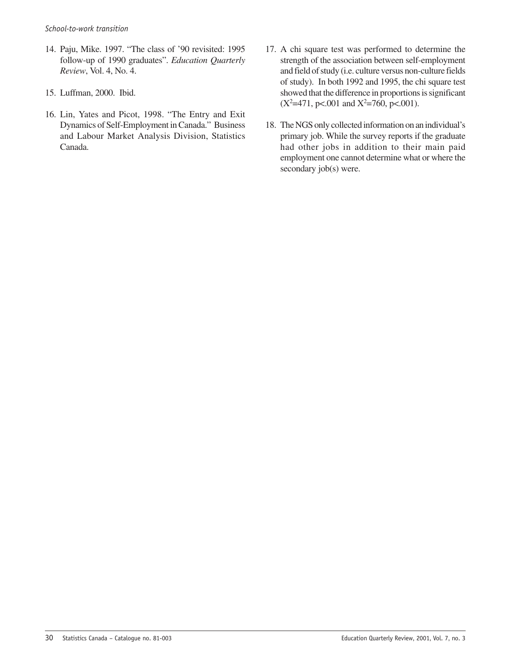- 14. Paju, Mike. 1997. "The class of '90 revisited: 1995 follow-up of 1990 graduates". *Education Quarterly Review*, Vol. 4, No. 4.
- 15. Luffman, 2000. Ibid.
- 16. Lin, Yates and Picot, 1998. "The Entry and Exit Dynamics of Self-Employment in Canada." Business and Labour Market Analysis Division, Statistics Canada.
- 17. A chi square test was performed to determine the strength of the association between self-employment and field of study (i.e. culture versus non-culture fields of study). In both 1992 and 1995, the chi square test showed that the difference in proportions is significant  $(X^2=471, p<.001$  and  $X^2=760, p<.001$ ).
- 18. The NGS only collected information on an individual's primary job. While the survey reports if the graduate had other jobs in addition to their main paid employment one cannot determine what or where the secondary job(s) were.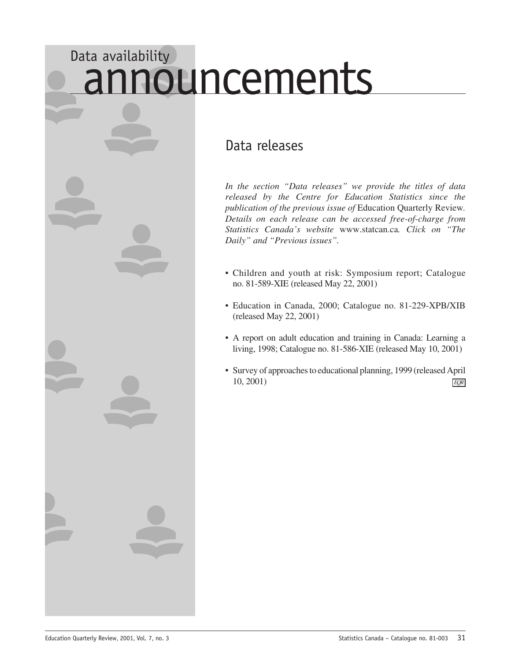# <span id="page-32-0"></span>Data availability nouncements

### Data releases

*In the section "Data releases" we provide the titles of data released by the Centre for Education Statistics since the publication of the previous issue of* Education Quarterly Review*. Details on each release can be accessed free-of-charge from Statistics Canada's website* www.statcan.ca*. Click on "The Daily" and "Previous issues".*

- Children and youth at risk: Symposium report; Catalogue no. 81-589-XIE (released May 22, 2001)
- Education in Canada, 2000; Catalogue no. 81-229-XPB/XIB (released May 22, 2001)
- A report on adult education and training in Canada: Learning a living, 1998; Catalogue no. 81-586-XIE (released May 10, 2001)
- Survey of approaches to educational planning, 1999 (released April 10, 2001) *EQR*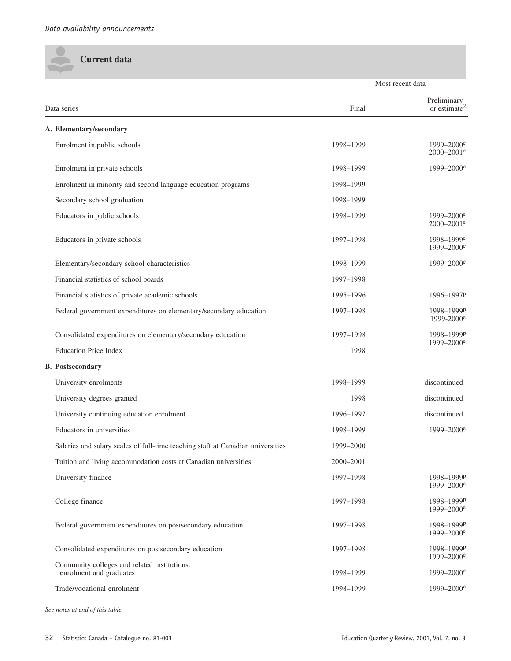**Current data**

<span id="page-33-0"></span> $\bullet$ 

|                                                                                 |                    | Most recent data                                     |
|---------------------------------------------------------------------------------|--------------------|------------------------------------------------------|
| Data series                                                                     | Final <sup>1</sup> | Preliminary<br>or estimate <sup>2</sup>              |
| A. Elementary/secondary                                                         |                    |                                                      |
| Enrolment in public schools                                                     | 1998-1999          | $1999 - 2000^e$<br>2000-2001 <sup>e</sup>            |
| Enrolment in private schools                                                    | 1998-1999          | $1999 - 2000^e$                                      |
| Enrolment in minority and second language education programs                    | 1998-1999          |                                                      |
| Secondary school graduation                                                     | 1998-1999          |                                                      |
| Educators in public schools                                                     | 1998-1999          | $1999 - 2000^e$<br>2000-2001 <sup>e</sup>            |
| Educators in private schools                                                    | 1997-1998          | 1998-1999 <sup>e</sup><br>$1999 - 2000$ <sup>e</sup> |
| Elementary/secondary school characteristics                                     | 1998-1999          | $1999 - 2000^e$                                      |
| Financial statistics of school boards                                           | 1997-1998          |                                                      |
| Financial statistics of private academic schools                                | 1995-1996          | 1996-1997P                                           |
| Federal government expenditures on elementary/secondary education               | 1997-1998          | 1998-1999P<br>1999-2000 <sup>e</sup>                 |
| Consolidated expenditures on elementary/secondary education                     | 1997-1998          | 1998-1999P                                           |
| <b>Education Price Index</b>                                                    | 1998               | 1999-2000 <sup>e</sup>                               |
| <b>B.</b> Postsecondary                                                         |                    |                                                      |
| University enrolments                                                           | 1998-1999          | discontinued                                         |
| University degrees granted                                                      | 1998               | discontinued                                         |
| University continuing education enrolment                                       | 1996-1997          | discontinued                                         |
| Educators in universities                                                       | 1998-1999          | $1999 - 2000^e$                                      |
| Salaries and salary scales of full-time teaching staff at Canadian universities | 1999-2000          |                                                      |
| Tuition and living accommodation costs at Canadian universities                 | 2000-2001          |                                                      |
| University finance                                                              | 1997-1998          | 1998-1999P<br>1999-2000 <sup>e</sup>                 |
| College finance                                                                 | 1997-1998          | 1998-1999P<br>1999-2000 <sup>e</sup>                 |
| Federal government expenditures on postsecondary education                      | 1997-1998          | 1998-1999P<br>$1999 - 2000^e$                        |
| Consolidated expenditures on postsecondary education                            | 1997-1998          | 1998-1999P<br>$1999 - 2000^e$                        |
| Community colleges and related institutions:<br>enrolment and graduates         | 1998-1999          | $1999 - 2000^e$                                      |
| Trade/vocational enrolment                                                      | 1998-1999          | 1999-2000 <sup>e</sup>                               |

*See notes at end of this table.*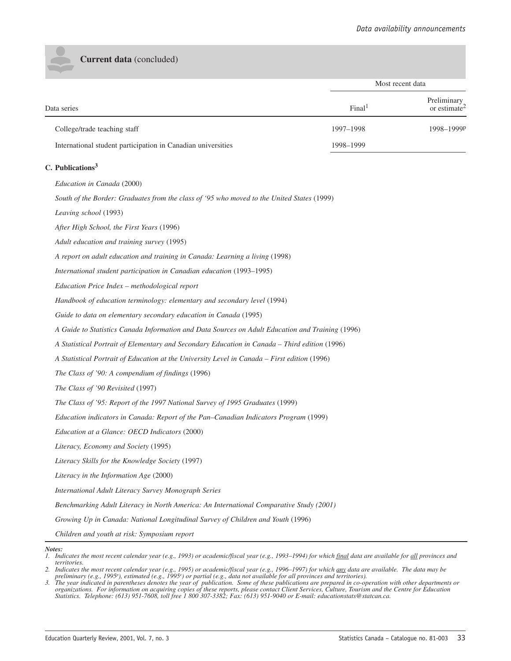**Current data** (concluded)

|                                                              |                    | Most recent data                        |
|--------------------------------------------------------------|--------------------|-----------------------------------------|
| Data series                                                  | Final <sup>1</sup> | Preliminary<br>or estimate <sup>2</sup> |
| College/trade teaching staff                                 | 1997-1998          | 1998-1999P                              |
| International student participation in Canadian universities | 1998-1999          |                                         |

### **C. Publications<sup>3</sup>**

*Education in Canada* (2000)

*South of the Border: Graduates from the class of '95 who moved to the United States* (1999)

*Leaving school* (1993)

*After High School, the First Years* (1996)

*Adult education and training survey* (1995)

*A report on adult education and training in Canada: Learning a living* (1998)

*International student participation in Canadian education* (1993–1995)

*Education Price Index – methodological report*

*Handbook of education terminology: elementary and secondary level* (1994)

*Guide to data on elementary secondary education in Canada* (1995)

*A Guide to Statistics Canada Information and Data Sources on Adult Education and Training* (1996)

*A Statistical Portrait of Elementary and Secondary Education in Canada – Third edition* (1996)

*A Statistical Portrait of Education at the University Level in Canada – First edition* (1996)

*The Class of '90: A compendium of findings* (1996)

*The Class of '90 Revisited* (1997)

*The Class of '95: Report of the 1997 National Survey of 1995 Graduates* (1999)

*Education indicators in Canada: Report of the Pan–Canadian Indicators Program* (1999)

*Education at a Glance: OECD Indicators* (2000)

*Literacy, Economy and Society* (1995)

*Literacy Skills for the Knowledge Society* (1997)

*Literacy in the Information Age* (2000)

*International Adult Literacy Survey Monograph Series*

*Benchmarking Adult Literacy in North America: An International Comparative Study (2001)*

*Growing Up in Canada: National Longitudinal Survey of Children and Youth* (1996)

*Children and youth at risk: Symposium report*

*Notes:*

*<sup>1.</sup> Indicates the most recent calendar year (e.g., 1993) or academic/fiscal year (e.g., 1993–1994) for which final data are available for all provinces and territories.*

*<sup>2.</sup> Indicates the most recent calendar year (e.g., 1995) or academic/fiscal year (e.g., 1996–1997) for which any data are available. The data may be preliminary (e.g., 1995p ), estimated (e.g., 1995e ) or partial (e.g., data not available for all provinces and territories).*

*<sup>3.</sup> The year indicated in parentheses denotes the year of publication. Some of these publications are prepared in co-operation with other departments or*<br>3. The year indicated in parentheses denotes the year of publication *organizations. For information on acquiring copies of these reports, please contact Client Services, Culture, Tourism and the Centre for Education Statistics. Telephone: (613) 951-7608, toll free 1 800 307-3382; Fax: (613) 951-9040 or E-mail: educationstats@statcan.ca.*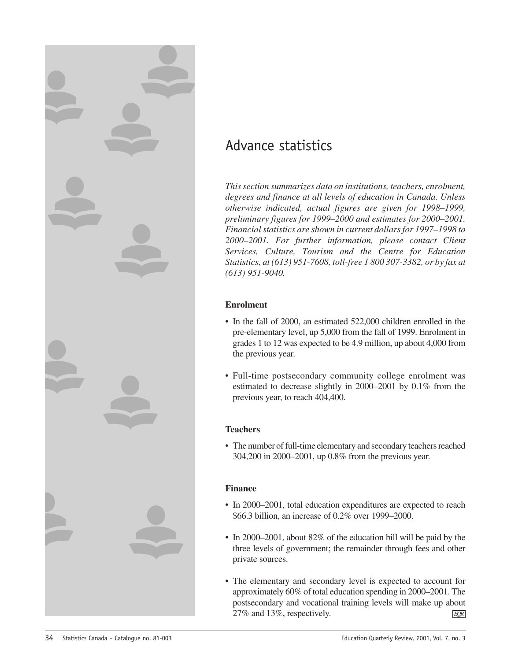<span id="page-35-0"></span>

### Advance statistics

*This section summarizes data on institutions, teachers, enrolment, degrees and finance at all levels of education in Canada. Unless otherwise indicated, actual figures are given for 1998–1999, preliminary figures for 1999–2000 and estimates for 2000–2001. Financial statistics are shown in current dollars for 1997–1998 to 2000–2001. For further information, please contact Client Services, Culture, Tourism and the Centre for Education Statistics, at (613) 951-7608, toll-free 1 800 307-3382, or by fax at (613) 951-9040.*

### **Enrolment**

- In the fall of 2000, an estimated 522,000 children enrolled in the pre-elementary level, up 5,000 from the fall of 1999. Enrolment in grades 1 to 12 was expected to be 4.9 million, up about 4,000 from the previous year.
- Full-time postsecondary community college enrolment was estimated to decrease slightly in 2000–2001 by 0.1% from the previous year, to reach 404,400.

### **Teachers**

• The number of full-time elementary and secondary teachers reached 304,200 in 2000–2001, up 0.8% from the previous year.

### **Finance**

- In 2000–2001, total education expenditures are expected to reach \$66.3 billion, an increase of 0.2% over 1999–2000.
- In 2000–2001, about 82% of the education bill will be paid by the three levels of government; the remainder through fees and other private sources.
- The elementary and secondary level is expected to account for approximately 60% of total education spending in 2000–2001. The postsecondary and vocational training levels will make up about 27% and 13%, respectively. *EQR*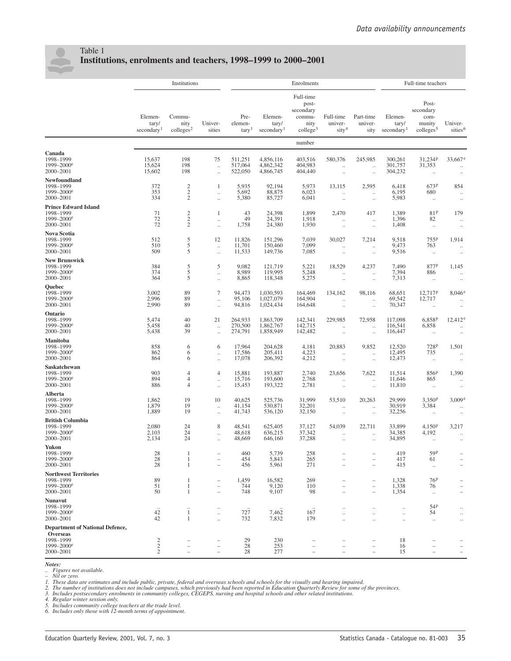

### Table 1 **Institutions, enrolments and teachers, 1998–1999 to 2000–2001**

|                                                                                                               | Institutions                                 |                                       |                                                                    | Enrolments                           |                                            |                                                                         |                                                                    |                                               | Full-time teachers                                        |                                                             |                                               |
|---------------------------------------------------------------------------------------------------------------|----------------------------------------------|---------------------------------------|--------------------------------------------------------------------|--------------------------------------|--------------------------------------------|-------------------------------------------------------------------------|--------------------------------------------------------------------|-----------------------------------------------|-----------------------------------------------------------|-------------------------------------------------------------|-----------------------------------------------|
|                                                                                                               | Elemen-<br>tary/<br>secondary <sup>1</sup>   | Commu-<br>nity<br>$\text{colleges}^2$ | Univer-<br>sities                                                  | Pre-<br>elemen-<br>tary <sup>1</sup> | Elemen-<br>tary/<br>secondary <sup>1</sup> | Full-time<br>post-<br>secondary<br>commu-<br>nity<br>$\text{college}^3$ | Full-time<br>univer-<br>sity <sup>4</sup>                          | Part-time<br>univer-<br>sity                  | Elemen-<br>tary/<br>secondary <sup>1</sup>                | Post-<br>secondary<br>com-<br>munity<br>$\text{colleges}^5$ | Univer-<br>sities <sup>6</sup>                |
|                                                                                                               |                                              |                                       |                                                                    |                                      |                                            | number                                                                  |                                                                    |                                               |                                                           |                                                             |                                               |
| Canada<br>1998-1999<br>1999-2000 <sup>e</sup><br>2000-2001                                                    | 15,637<br>15,624<br>15,602                   | 198<br>198<br>198                     | 75<br>$\ldots$<br>$\ddotsc$                                        | 511,251<br>517,064<br>522,050        | 4,856,116<br>4,862,342<br>4,866,745        | 403,516<br>404,983<br>404,440                                           | 580,376<br>μ,<br>$\ldots$                                          | 245,985<br><br>$\ldots$                       | 300,261<br>301,757<br>304,232                             | 31,234P<br>31,353<br>$\ldots$                               | $33,667$ <sup>e</sup><br>$\ldots$<br>$\ldots$ |
| Newfoundland<br>1998-1999<br>1999-2000 <sup>e</sup><br>2000-2001                                              | 372<br>353<br>334                            | $\frac{2}{2}$<br>$\mathfrak{2}$       | 1<br>$\ldots$<br>$\ldots$                                          | 5,935<br>5,692<br>5,380              | 92,194<br>88,875<br>85,727                 | 5,973<br>6,023<br>6,041                                                 | 13,115<br>$\ldots$<br>$\ldots$                                     | 2,595<br><br>$\ldots$                         | 6,418<br>6,195<br>5,983                                   | 673P<br>680<br>$\ldots$                                     | 854<br>$\ldots$<br>$\cdot\cdot$               |
| <b>Prince Edward Island</b><br>1998-1999<br>1999-2000 <sup>e</sup><br>2000-2001                               | 71<br>72<br>72                               | $\sqrt{2}$<br>$\frac{2}{2}$           | 1<br>$\ddotsc$<br>$\ddotsc$                                        | 43<br>49<br>1,758                    | 24,398<br>24,391<br>24,380                 | 1,899<br>1,918<br>1,930                                                 | 2,470<br>$\ddotsc$<br>$\ldots$                                     | 417<br>$\ldots$<br>$\ldots$                   | 1,389<br>1,396<br>1,408                                   | 81P<br>82<br>$\ldots$                                       | 179<br>$\ddotsc$<br>$\ldots$                  |
| Nova Scotia<br>1998-1999<br>1999-2000 <sup>e</sup><br>2000-2001                                               | 512<br>510<br>509                            | 5<br>5<br>5                           | 12<br>$\ldots$<br>$\ldots$                                         | 11,826<br>11,701<br>11,533           | 151,296<br>150,460<br>149,736              | 7,039<br>7,099<br>7,085                                                 | 30,027<br>$\ddotsc$<br>$\ldots$                                    | 7,214<br>$\ldots$<br>$\ldots$                 | 9,518<br>9,473<br>9,516                                   | 755P<br>763<br>$\ldots$                                     | 1,914<br>$\ldots$<br>$\ldots$                 |
| <b>New Brunswick</b><br>1998-1999<br>1999-2000 <sup>e</sup><br>2000-2001                                      | 384<br>374<br>364                            | 5<br>$\overline{5}$<br>5              | 5<br>$\ldots$<br>$\ldots$                                          | 9,082<br>8,989<br>8,865              | 121,719<br>119,995<br>118,348              | 5,221<br>5,248<br>5,275                                                 | 18,529<br>$\ldots$<br>$\ldots$                                     | 4,237<br>$\ddot{\phantom{0}}$<br>$\cdot\cdot$ | 7,490<br>7,394<br>7,313                                   | 877P<br>886<br>$\ldots$                                     | 1,145<br>$\ddots$<br>$\cdot\cdot$             |
| Quebec<br>1998-1999<br>$1999 - 2000^e$<br>2000-2001                                                           | 3,002<br>2,996<br>2,990                      | 89<br>89<br>89                        | 7<br>$\ddotsc$<br>$\ldots$                                         | 94,473<br>95,106<br>94,816           | 1.030.593<br>1,027,079<br>1,024,434        | 164,469<br>164,904<br>164,648                                           | 134,162<br>$\ldots$<br>$\ldots$                                    | 98,116<br>$\ddotsc$<br>$\ldots$               | 68,651<br>69,542<br>70,347                                | 12,717P<br>12,717<br>$\ldots$                               | $8,046^{\circ}$<br>$\ldots$<br>$\ldots$       |
| Ontario<br>1998-1999<br>1999-2000 <sup>e</sup><br>2000-2001                                                   | 5,474<br>5,458<br>5,438                      | 40<br>40<br>39                        | 21<br>$\ddotsc$<br>$\ldots$                                        | 264,933<br>270,500<br>274,791        | 1,863,709<br>1,862,767<br>1,858,949        | 142,341<br>142,715<br>142,482                                           | 229,985<br>$\ddotsc$<br>$\ldots$                                   | 72,958<br>$\ldots$<br>$\ddot{\phantom{0}}$    | 117,098<br>116,541<br>116,447                             | 6,858 <sup>p</sup><br>6,858<br>$\ldots$                     | $12,412^e$<br>$\ddotsc$<br>$\ldots$           |
| Manitoba<br>1998-1999<br>$1999 - 2000^e$<br>2000-2001                                                         | 858<br>862<br>864                            | 6<br>6<br>6                           | 6<br>$\ldots$<br>$\ldots$                                          | 17,964<br>17,586<br>17,078           | 204,628<br>205,411<br>206,392              | 4,181<br>4,223<br>4,212                                                 | 20,883<br>$\ddotsc$<br>$\ldots$                                    | 9,852<br>$\ddot{\phantom{0}}$<br>$\ldots$     | 12,520<br>12,495<br>12,473                                | 728P<br>735<br>$\ldots$                                     | 1,501<br>$\ldots$<br>$\cdot\cdot$             |
| Saskatchewan<br>1998-1999<br>$1999 - 2000^e$<br>2000-2001                                                     | 903<br>894<br>886                            | 4<br>$\overline{4}$<br>$\overline{4}$ | $\overline{4}$<br>$\ldots$<br>$\ldots$                             | 15,881<br>15,716<br>15,453           | 193,887<br>193,600<br>193,322              | 2,740<br>2,768<br>2,781                                                 | 23,656<br>$\ldots$<br>$\ldots$                                     | 7,622<br>$\ldots$<br>$\ldots$                 | 11,514<br>11,646<br>11,810                                | 856P<br>865<br>$\ldots$                                     | 1,390<br>$\ldots$<br>$\ldots$                 |
| Alberta<br>1998-1999<br>1999-2000 <sup>e</sup><br>2000-2001                                                   | 1,862<br>1,879<br>1,889                      | 19<br>19<br>19                        | 10<br>$\ldots$<br>$\ldots$                                         | 40,625<br>41,154<br>41,743           | 525,736<br>530,871<br>536,120              | 31,999<br>32,201<br>32,150                                              | 53,510<br>$\ddot{\phantom{0}}$<br>$\ldots$                         | 20,263<br>$\ddotsc$<br>$\cdot\cdot$           | 29,999<br>30,919<br>32,256                                | 3,350P<br>3,384<br>$\ldots$                                 | 3,009e<br>$\ldots$<br>$\ldots$                |
| <b>British Columbia</b><br>1998-1999<br>1999-2000 <sup>e</sup><br>2000-2001                                   | 2,080<br>2,103<br>2,134                      | 24<br>24<br>24                        | 8<br>$\ldots$<br>$\ldots$                                          | 48,541<br>48,618<br>48,669           | 625,405<br>636,215<br>646,160              | 37,127<br>37,342<br>37,288                                              | 54,039<br>$\ldots$                                                 | 22,711<br>$\ddotsc$<br>$\ldots$               | 33.899<br>34,385<br>34,895                                | 4,150 <sup>p</sup><br>4,192<br>$\ldots$                     | 3,217<br>$\ldots$<br>$\ldots$                 |
| Yukon<br>1998–1999<br>1999-2000 <sup>e</sup><br>2000-2001                                                     | 28<br>$\frac{28}{28}$                        | -1<br>1<br>1                          | $\qquad \qquad -$<br>$\qquad \qquad -$<br>$\overline{\phantom{0}}$ | 460<br>454<br>456                    | 5,739<br>5,843<br>5,961                    | 258<br>265<br>271                                                       | $\qquad \qquad -$<br>$\qquad \qquad -$<br>$\overline{\phantom{0}}$ | $\overline{\phantom{0}}$<br>-                 | 419<br>417<br>415                                         | 59P<br>61<br>$\ldots$                                       | $\qquad \qquad -$<br>$\overline{\phantom{0}}$ |
| <b>Northwest Territories</b><br>1998-1999<br>1999-2000 <sup>e</sup><br>2000-2001                              | 89<br>51<br>50                               | 1<br>1<br>$\mathbf{1}$                | $\qquad \qquad -$                                                  | 1,459<br>744<br>748                  | 16,582<br>9,120<br>9,107                   | 269<br>110<br>98                                                        | $\overline{\phantom{0}}$                                           | -<br>$\overline{\phantom{0}}$                 | 1,328<br>1,338<br>1,354                                   | 76 <sup>p</sup><br>76<br>$\ddotsc$                          |                                               |
| <b>Nunavut</b><br>1998-1999<br>$1999 - 2000$ <sup>e</sup><br>2000-2001                                        | $42\,$<br>42                                 | $\mathbf{1}$<br>$\mathbf{1}$          | $\ddotsc$<br>$\ldots$<br>$\ldots$                                  | 727<br>732                           | 7,462<br>7,832                             | 167<br>179                                                              | <br><br>$\ddot{\phantom{0}}$                                       | <br>$\ddot{\phantom{0}}$                      | $\ddot{\phantom{0}}$<br>$\ddotsc$<br>$\ddot{\phantom{0}}$ | 54P<br>54<br>$\ldots$                                       | $\ldots$<br>$\ldots$<br>$\ldots$              |
| <b>Department of National Defence,</b><br><b>Overseas</b><br>1998-1999<br>1999-2000 <sup>e</sup><br>2000-2001 | $\sqrt{2}$<br>$\mathbf{2}$<br>$\overline{c}$ |                                       | $\overline{\phantom{0}}$                                           | 29<br>28<br>28                       | 230<br>253<br>277                          |                                                                         | $\qquad \qquad -$<br>÷                                             | $\overline{\phantom{0}}$<br>$\qquad \qquad -$ | 18<br>16<br>15                                            |                                                             |                                               |

*Notes:*

*.. Figures not available.*

- Nil or zero.<br>1. These data are estimates and include public, private, federal and overseas schools and schools for the visually and hearing impaired.<br>2. The number of institutions does not include campuses, which previou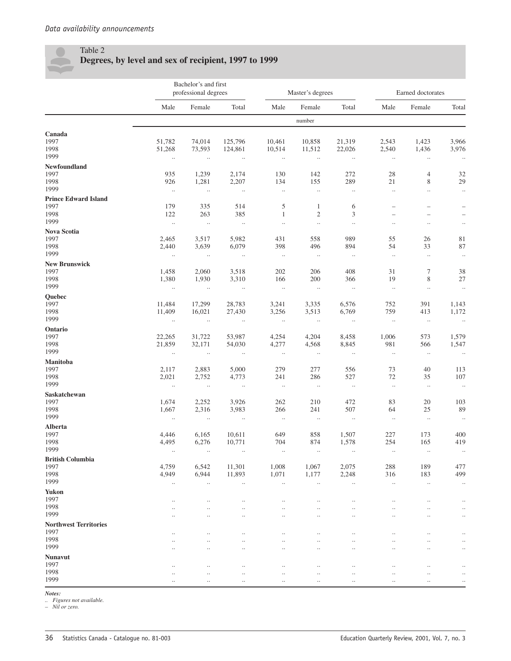

### Table 2 **Degrees, by level and sex of recipient, 1997 to 1999**

|                                      |                         | Bachelor's and first<br>professional degrees |                         |                        | Master's degrees       |                             | Earned doctorates        |                                 |                 |
|--------------------------------------|-------------------------|----------------------------------------------|-------------------------|------------------------|------------------------|-----------------------------|--------------------------|---------------------------------|-----------------|
|                                      | Male                    | Female                                       | Total                   | Male                   | Female                 | Total                       | Male                     | Female                          | Total           |
|                                      |                         |                                              |                         |                        | number                 |                             |                          |                                 |                 |
| Canada<br>1997<br>1998               | 51,782<br>51,268        | 74,014<br>73,593                             | 125,796<br>124,861      | 10,461<br>10,514       | 10,858<br>11,512       | 21,319<br>22,026            | 2,543<br>2,540           | 1,423<br>1,436                  | 3,966<br>3,976  |
| 1999                                 | $\ldots$                | $\ldots$                                     | $\ldots$                | $\ldots$               | $\ldots$               | $\ldots$                    | $\ldots$                 | $\ldots$                        | $\ldots$        |
| Newfoundland<br>1997                 | 935                     | 1,239                                        | 2,174                   | 130                    | 142                    | 272                         | 28                       | 4                               | 32              |
| 1998<br>1999                         | 926<br>$\ldots$         | 1,281<br>$\ldots$                            | 2,207<br>$\ddotsc$      | 134                    | 155<br>$\ldots$        | 289<br>$\ldots$             | $21\,$<br>$\ddotsc$      | 8                               | 29              |
| <b>Prince Edward Island</b>          |                         |                                              |                         | $\ldots$               |                        |                             |                          | $\ldots$                        | $\ldots$        |
| 1997                                 | 179                     | 335                                          | 514                     | 5                      | $\mathbf{1}$           | 6                           | $\overline{\phantom{0}}$ | $\overline{\phantom{0}}$        |                 |
| 1998<br>1999                         | 122<br>$\ldots$         | 263<br>$\ddotsc$                             | 385<br>$\ddotsc$        | $\mathbf{1}$           | $\sqrt{2}$             | $\mathfrak{Z}$<br>$\ddotsc$ | $\overline{\phantom{0}}$ | $\equiv$                        |                 |
| Nova Scotia                          |                         |                                              |                         | $\ddotsc$              | $\ddotsc$              |                             | $\ldots$                 | $\ldots$                        | $\ldots$        |
| 1997                                 | 2,465                   | 3,517                                        | 5,982                   | 431                    | 558                    | 989                         | 55                       | 26                              | 81              |
| 1998                                 | 2,440                   | 3,639                                        | 6,079                   | 398                    | 496                    | 894                         | 54                       | 33                              | 87              |
| 1999                                 | $\ldots$                | $\ldots$                                     | $\ddotsc$               | $\ldots$               | $\sim$                 | $\ldots$                    | $\ldots$                 | $\ldots$                        | $\ldots$        |
| <b>New Brunswick</b>                 |                         |                                              |                         |                        |                        |                             |                          |                                 |                 |
| 1997<br>1998                         | 1,458<br>1,380          | 2,060<br>1,930                               | 3,518<br>3,310          | 202<br>166             | 206<br>200             | 408<br>366                  | 31<br>19                 | 7<br>8                          | 38<br>27        |
| 1999                                 | $\ldots$                | $\ldots$                                     | $\ddotsc$               | $\ddotsc$              | $\ldots$               | $\ldots$                    | $\ddotsc$                | $\ldots$                        | $\ddotsc$       |
| Quebec                               |                         |                                              |                         |                        |                        |                             |                          |                                 |                 |
| 1997                                 | 11,484                  | 17,299                                       | 28,783                  | 3,241                  | 3,335                  | 6,576                       | 752                      | 391                             | 1,143           |
| 1998<br>1999                         | 11,409<br>$\sim$ $\sim$ | 16,021<br>$\sim$ $\sim$                      | 27,430<br>$\sim$ $\sim$ | 3,256<br>$\sim$ $\sim$ | 3,513<br>$\sim$ $\sim$ | 6,769<br>$\sim$ $\sim$      | 759<br>$\ldots$          | 413<br>$\overline{\phantom{a}}$ | 1,172<br>$\sim$ |
| Ontario                              |                         |                                              |                         |                        |                        |                             |                          |                                 |                 |
| 1997                                 | 22,265                  | 31,722                                       | 53,987                  | 4,254                  | 4,204                  | 8,458                       | 1,006                    | 573                             | 1,579           |
| 1998                                 | 21,859                  | 32,171                                       | 54,030                  | 4,277                  | 4,568                  | 8,845                       | 981                      | 566                             | 1,547           |
| 1999                                 | $\ldots$                | $\ldots$                                     | $\ldots$                | $\ldots$               | $\ldots$               | $\ldots$                    | $\ldots$                 | $\ldots$                        | $\ldots$        |
| <b>Manitoba</b>                      |                         |                                              |                         |                        |                        |                             |                          |                                 |                 |
| 1997<br>1998                         | 2,117<br>2,021          | 2,883<br>2,752                               | 5,000<br>4,773          | 279<br>241             | 277<br>286             | 556<br>527                  | 73<br>72                 | 40<br>35                        | 113<br>107      |
| 1999                                 | $\ldots$                | $\ddotsc$                                    | $\ddotsc$               | $\ldots$               | $\sim$                 | $\ldots$                    | $\ldots$                 | $\ldots$                        | $\cdot$         |
| Saskatchewan                         |                         |                                              |                         |                        |                        |                             |                          |                                 |                 |
| 1997                                 | 1,674                   | 2,252                                        | 3,926                   | 262                    | 210                    | 472                         | 83                       | 20                              | 103             |
| 1998                                 | 1,667                   | 2,316                                        | 3,983                   | 266                    | 241                    | 507                         | 64                       | $25\,$                          | 89              |
| 1999                                 | $\ldots$                | $\ldots$                                     | $\ldots$                | $\ldots$               | $\ldots$               | $\ldots$                    | $\ldots$                 | $\ldots$                        | $\ldots$        |
| <b>Alberta</b><br>1997               | 4,446                   | 6,165                                        | 10,611                  | 649                    | 858                    | 1,507                       | 227                      | 173                             | 400             |
| 1998                                 | 4,495                   | 6,276                                        | 10,771                  | 704                    | 874                    | 1,578                       | 254                      | 165                             | 419             |
| 1999                                 | $\ldots$                | $\ldots$                                     | $\ldots$                | $\ldots$               | $\ldots$               | $\ldots$                    | $\ldots$                 | $\ldots$                        | $\ldots$        |
| <b>British Columbia</b>              |                         |                                              |                         |                        |                        |                             |                          |                                 |                 |
| 1997                                 | 4,759                   | 6,542                                        | 11,301                  | 1,008                  | 1,067                  | 2,075                       | 288                      | 189                             | 477             |
| 1998<br>1999                         | 4,949<br>$\ldots$       | 6,944<br>$\ldots$                            | 11,893<br>$\ldots$      | 1,071<br>$\ldots$      | 1,177<br>$\ddotsc$     | 2,248<br>$\ldots$           | 316<br>$\ldots$          | 183<br>$\ddotsc$                | 499<br>$\ldots$ |
| <b>Yukon</b>                         |                         |                                              |                         |                        |                        |                             |                          |                                 |                 |
| 1997                                 | $\cdot$ .               | $\ldots$                                     | $\cdot$ .               | $\ddotsc$              |                        | $\cdot$ .                   | $\ldots$                 | $\cdot$ .                       | $\cdot$ .       |
| 1998                                 | $\cdot \cdot$           | $\ddotsc$                                    | $\cdot$                 | $\ddotsc$              | $\ddot{\phantom{a}}$   | $\ddotsc$                   | $\cdot \cdot$            | $\cdot$                         | $\ddotsc$       |
| 1999                                 | $\cdot \cdot$           | $\ddotsc$                                    | $\cdot$                 | $\ddotsc$              | $\ddot{\phantom{a}}$   | $\ddotsc$                   | $\cdot \cdot$            | $\ddotsc$                       | $\ddotsc$       |
| <b>Northwest Territories</b><br>1997 |                         |                                              |                         |                        |                        |                             |                          |                                 |                 |
| 1998                                 | <br>$\cdot \cdot$       | $\ddotsc$<br>$\ddotsc$                       | $\cdot$<br>$\cdot$      | <br>$\ddotsc$          |                        | $\ddotsc$                   | $\cdot$<br>$\ddotsc$     | $\cdot$<br>$\ddotsc$            |                 |
| 1999                                 | $\ddot{\phantom{a}}$    | $\ddotsc$                                    | $\cdot$                 | $\ddotsc$              | $\ddot{\phantom{a}}$   | $\ddotsc$                   | $\cdot \cdot$            | $\ddot{\phantom{a}}$            | $\ddotsc$       |
| <b>Nunavut</b>                       |                         |                                              |                         |                        |                        |                             |                          |                                 |                 |
| 1997                                 | $\cdot \cdot$           | $\cdot$ .                                    | $\cdot$ .               | $\ddotsc$              |                        | $\cdot$ .                   | $\ldots$                 | $\cdot$ .                       | $\ldots$        |
| 1998<br>1999                         | $\cdot$ .               | $\ldots$                                     | $\ldots$                | $\ddotsc$              | $\ddotsc$              | $\ddotsc$                   | $\ddotsc$                | $\ldots$                        | $\ddotsc$       |
|                                      | $\cdot$ .               | $\cdot$                                      | $\cdot$                 | $\cdot$ .              | $\ddotsc$              | $\cdot$ .                   | $\ldots$                 | $\cdot$ .                       | $\ldots$        |

*Notes:*

*.. Figures not available. – Nil or zero.*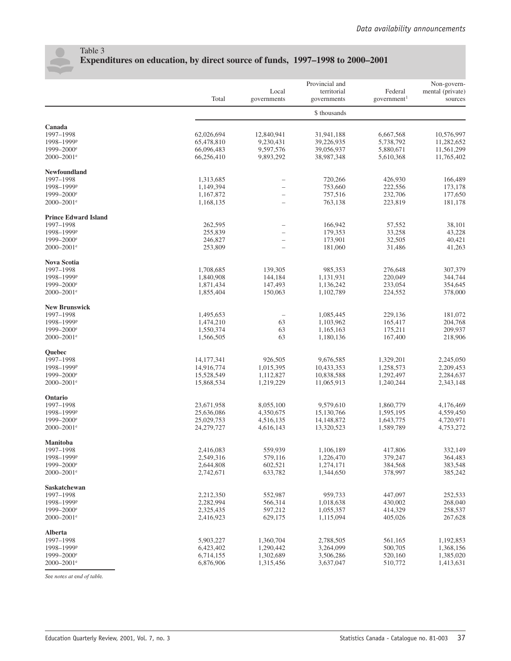

### Table 3 **Expenditures on education, by direct source of funds, 1997–1998 to 2000–2001**

|                             | Total                  | Local<br>governments     | Provincial and<br>territorial<br>governments | Federal<br>government <sup>1</sup> | Non-govern-<br>mental (private)<br>sources |
|-----------------------------|------------------------|--------------------------|----------------------------------------------|------------------------------------|--------------------------------------------|
|                             |                        |                          | \$ thousands                                 |                                    |                                            |
| Canada                      |                        |                          |                                              |                                    |                                            |
| 1997-1998                   | 62,026,694             | 12,840,941               | 31,941,188                                   | 6,667,568                          | 10,576,997                                 |
| 1998-1999P                  | 65,478,810             | 9,230,431                | 39,226,935                                   | 5,738,792                          | 11,282,652                                 |
| $1999 - 2000$ <sup>e</sup>  | 66,096,483             | 9,597,576                | 39,056,937                                   | 5,880,671                          | 11,561,299                                 |
| $2000 - 2001$ <sup>e</sup>  | 66,256,410             | 9,893,292                | 38,987,348                                   | 5,610,368                          | 11,765,402                                 |
| Newfoundland                |                        |                          |                                              |                                    |                                            |
| 1997-1998                   | 1,313,685              | $\overline{\phantom{0}}$ | 720,266                                      | 426,930                            | 166,489                                    |
| 1998-1999P                  | 1,149,394              |                          | 753,660                                      | 222,556                            | 173,178                                    |
| $1999 - 2000$ <sup>e</sup>  | 1,167,872              |                          | 757,516                                      | 232,706                            | 177,650                                    |
| $2000 - 2001$ <sup>e</sup>  | 1,168,135              |                          | 763,138                                      | 223,819                            | 181,178                                    |
| <b>Prince Edward Island</b> |                        |                          |                                              |                                    |                                            |
| 1997-1998                   | 262,595                |                          | 166,942                                      | 57,552                             | 38,101                                     |
| 1998-1999P                  | 255,839                |                          | 179,353                                      | 33,258                             | 43,228                                     |
| $1999 - 2000$ <sup>e</sup>  | 246,827                |                          | 173,901                                      | 32,505                             | 40,421                                     |
| $2000 - 2001$ <sup>e</sup>  | 253,809                |                          | 181,060                                      | 31,486                             | 41,263                                     |
| Nova Scotia                 |                        |                          |                                              |                                    |                                            |
| 1997-1998                   | 1,708,685              | 139,305                  | 985,353                                      | 276,648                            | 307,379                                    |
| 1998-1999P                  | 1,840,908              | 144,184                  | 1,131,931                                    | 220,049                            | 344,744                                    |
| $1999 - 2000$ <sup>e</sup>  | 1,871,434              | 147,493                  | 1,136,242                                    | 233,054                            | 354,645                                    |
| $2000 - 2001$ <sup>e</sup>  | 1,855,404              | 150,063                  | 1,102,789                                    | 224,552                            | 378,000                                    |
| <b>New Brunswick</b>        |                        |                          |                                              |                                    |                                            |
| 1997-1998                   | 1,495,653              |                          | 1,085,445                                    | 229,136                            | 181,072                                    |
| 1998-1999P                  | 1,474,210              | 63                       | 1,103,962                                    | 165,417                            | 204,768                                    |
| $1999 - 2000$ <sup>e</sup>  | 1,550,374              | 63                       | 1,165,163                                    | 175,211                            | 209,937                                    |
| $2000 - 2001$ <sup>e</sup>  | 1,566,505              | 63                       | 1,180,136                                    | 167,400                            | 218,906                                    |
| Quebec                      |                        |                          |                                              |                                    |                                            |
| 1997-1998                   | 14, 177, 341           | 926,505                  | 9,676,585                                    | 1,329,201                          | 2,245,050                                  |
| 1998-1999P                  | 14,916,774             | 1,015,395                | 10,433,353                                   | 1,258,573                          | 2,209,453                                  |
| $1999 - 2000$ <sup>e</sup>  | 15,528,549             | 1,112,827                | 10,838,588                                   | 1,292,497                          | 2,284,637                                  |
| $2000 - 2001$ <sup>e</sup>  | 15,868,534             | 1,219,229                | 11,065,913                                   | 1,240,244                          | 2,343,148                                  |
| Ontario                     |                        |                          |                                              |                                    |                                            |
| 1997-1998                   | 23,671,958             | 8,055,100                | 9,579,610                                    | 1,860,779                          | 4,176,469                                  |
| 1998-1999P                  | 25,636,086             | 4,350,675                | 15,130,766                                   | 1,595,195                          | 4,559,450                                  |
| $1999 - 2000$ <sup>e</sup>  | 25,029,753             | 4,516,135                | 14,148,872                                   | 1,643,775                          | 4,720,971                                  |
| $2000 - 2001$ <sup>e</sup>  | 24,279,727             | 4,616,143                | 13,320,523                                   | 1,589,789                          | 4,753,272                                  |
| <b>Manitoba</b>             |                        |                          |                                              | 417,806                            | 332,149                                    |
| 1997-1998<br>1998-1999P     | 2,416,083<br>2,549,316 | 559,939<br>579,116       | 1,106,189                                    | 379,247                            | 364,483                                    |
| 1999-2000 <sup>e</sup>      |                        | 602,521                  | 1,226,470                                    |                                    | 383,548                                    |
| $2000 - 2001$ <sup>e</sup>  | 2,644,808<br>2,742,671 | 633,782                  | 1,274,171<br>1,344,650                       | 384,568<br>378,997                 | 385,242                                    |
|                             |                        |                          |                                              |                                    |                                            |
| Saskatchewan<br>1997-1998   | 2,212,350              | 552,987                  | 959,733                                      | 447,097                            | 252,533                                    |
| 1998-1999P                  | 2,282,994              | 566,314                  | 1,018,638                                    | 430,002                            | 268,040                                    |
| $1999 - 2000$ <sup>e</sup>  | 2,325,435              | 597,212                  | 1,055,357                                    | 414,329                            | 258,537                                    |
| $2000 - 2001$ <sup>e</sup>  | 2,416,923              | 629,175                  | 1,115,094                                    | 405,026                            | 267,628                                    |
| <b>Alberta</b>              |                        |                          |                                              |                                    |                                            |
| 1997-1998                   | 5,903,227              | 1,360,704                | 2,788,505                                    | 561,165                            | 1,192,853                                  |
| 1998-1999P                  | 6,423,402              | 1,290,442                | 3,264,099                                    | 500,705                            | 1,368,156                                  |
| $1999 - 2000$ <sup>e</sup>  | 6,714,155              | 1,302,689                | 3,506,286                                    | 520,160                            | 1,385,020                                  |
| $2000 - 2001$ <sup>e</sup>  | 6,876,906              | 1,315,456                | 3,637,047                                    | 510,772                            | 1,413,631                                  |
|                             |                        |                          |                                              |                                    |                                            |

*S*ee *not*e*s at* e*nd of tabl*e*.*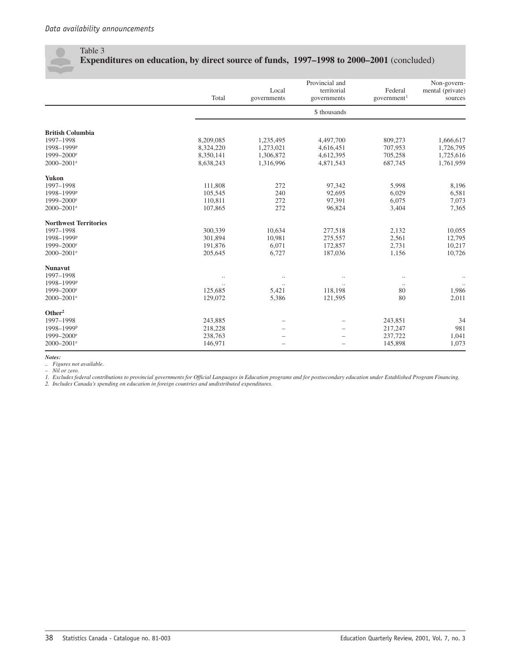### Table 3 **Expenditures on education, by direct source of funds, 1997–1998 to 2000–2001** (concluded)

|                              | Total     | Local<br>governments | Provincial and<br>territorial<br>governments | Federal<br>government <sup>1</sup> | Non-govern-<br>mental (private)<br>sources |
|------------------------------|-----------|----------------------|----------------------------------------------|------------------------------------|--------------------------------------------|
|                              |           |                      | \$ thousands                                 |                                    |                                            |
| <b>British Columbia</b>      |           |                      |                                              |                                    |                                            |
| 1997-1998                    | 8,209,085 | 1,235,495            | 4,497,700                                    | 809,273                            | 1,666,617                                  |
| 1998-1999P                   | 8,324,220 | 1,273,021            | 4,616,451                                    | 707,953                            | 1,726,795                                  |
| $1999 - 2000$ <sup>e</sup>   | 8,350,141 | 1,306,872            | 4,612,395                                    | 705,258                            | 1,725,616                                  |
| 2000-2001 <sup>e</sup>       | 8,638,243 | 1,316,996            | 4,871,543                                    | 687,745                            | 1,761,959                                  |
| <b>Yukon</b>                 |           |                      |                                              |                                    |                                            |
| 1997-1998                    | 111,808   | 272                  | 97,342                                       | 5,998                              | 8,196                                      |
| 1998-1999P                   | 105,545   | 240                  | 92,695                                       | 6,029                              | 6,581                                      |
| 1999-2000 <sup>e</sup>       | 110,811   | 272                  | 97,391                                       | 6,075                              | 7,073                                      |
| 2000-2001 <sup>e</sup>       | 107,865   | 272                  | 96,824                                       | 3,404                              | 7,365                                      |
| <b>Northwest Territories</b> |           |                      |                                              |                                    |                                            |
| 1997-1998                    | 300,339   | 10,634               | 277,518                                      | 2,132                              | 10,055                                     |
| 1998-1999P                   | 301,894   | 10,981               | 275,557                                      | 2,561                              | 12,795                                     |
| $1999 - 2000$ <sup>e</sup>   | 191,876   | 6,071                | 172,857                                      | 2,731                              | 10,217                                     |
| $2000 - 2001$ <sup>e</sup>   | 205,645   | 6,727                | 187,036                                      | 1,156                              | 10,726                                     |
| <b>Nunavut</b>               |           |                      |                                              |                                    |                                            |
| 1997-1998                    |           |                      |                                              |                                    |                                            |
| 1998-1999P                   |           | $\ddotsc$            | $\cdot$                                      | $\ddots$                           |                                            |
| 1999-2000 <sup>e</sup>       | 125,685   | 5,421                | 118,198                                      | 80                                 | 1,986                                      |
| $2000 - 2001$ <sup>e</sup>   | 129,072   | 5,386                | 121,595                                      | 80                                 | 2,011                                      |
| Other <sup>2</sup>           |           |                      |                                              |                                    |                                            |
| 1997-1998                    | 243,885   |                      |                                              | 243,851                            | 34                                         |
| 1998-1999P                   | 218,228   |                      | $\overline{\phantom{0}}$                     | 217,247                            | 981                                        |
| $1999 - 2000$ <sup>e</sup>   | 238,763   |                      |                                              | 237,722                            | 1,041                                      |
| $2000 - 2001$ <sup>e</sup>   | 146,971   |                      |                                              | 145,898                            | 1,073                                      |

*Notes:*

*.. Figures not available.*

*– Nil or zero.*

1. Excludes federal contributions to provincial governments for Official Languages in Education programs and for postsecondary education under Established Program Financing.<br>2. Includes Canada's spending on education in fo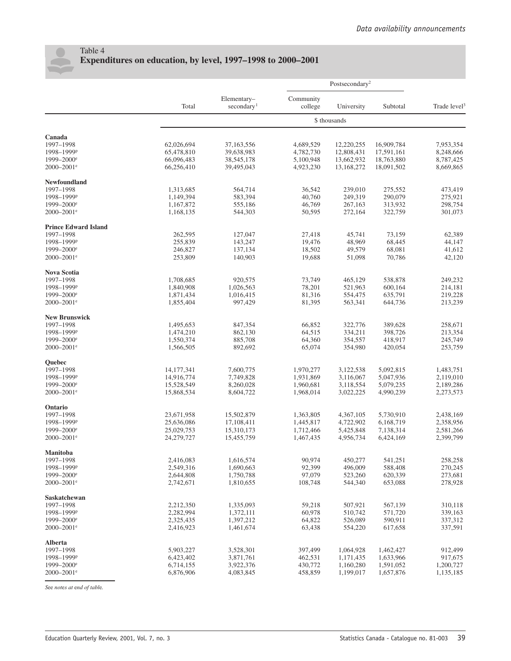

### Table 4 **Expenditures on education, by level, 1997–1998 to 2000–2001**

|                             |                        |                                       |                      | Postsecondary <sup>2</sup> |                    |                          |  |
|-----------------------------|------------------------|---------------------------------------|----------------------|----------------------------|--------------------|--------------------------|--|
|                             | Total                  | Elementary-<br>secondary <sup>1</sup> | Community<br>college | University                 | Subtotal           | Trade level <sup>3</sup> |  |
|                             |                        |                                       |                      | \$ thousands               |                    |                          |  |
| Canada                      |                        |                                       |                      |                            |                    |                          |  |
| 1997-1998                   | 62,026,694             | 37,163,556                            | 4,689,529            | 12,220,255                 | 16,909,784         | 7,953,354                |  |
| 1998-1999P                  | 65,478,810             | 39,638,983                            | 4,782,730            | 12,808,431                 | 17,591,161         | 8,248,666                |  |
| 1999-2000 <sup>e</sup>      | 66,096,483             | 38, 545, 178                          | 5,100,948            | 13,662,932                 | 18,763,880         | 8,787,425                |  |
| 2000-2001 <sup>e</sup>      | 66,256,410             | 39,495,043                            | 4,923,230            | 13,168,272                 | 18,091,502         | 8,669,865                |  |
| Newfoundland                |                        |                                       |                      |                            |                    |                          |  |
| 1997-1998                   | 1,313,685              | 564,714                               | 36,542               | 239,010                    | 275,552            | 473,419                  |  |
| 1998-1999P                  | 1,149,394              | 583,394                               | 40,760               | 249,319                    | 290,079            | 275,921                  |  |
| 1999-2000 <sup>e</sup>      | 1,167,872              | 555,186                               | 46,769               | 267,163                    | 313,932            | 298,754                  |  |
| 2000-2001 <sup>e</sup>      | 1,168,135              | 544,303                               | 50,595               | 272,164                    | 322,759            | 301,073                  |  |
| <b>Prince Edward Island</b> |                        |                                       |                      |                            |                    |                          |  |
| 1997-1998                   | 262,595                | 127,047                               | 27,418               | 45,741                     | 73,159             | 62,389                   |  |
| 1998-1999P                  | 255,839                | 143,247                               | 19,476               | 48,969                     | 68,445             | 44,147                   |  |
| 1999-2000 <sup>e</sup>      | 246,827                | 137,134                               | 18,502               | 49,579                     | 68,081             | 41,612                   |  |
| 2000-2001 <sup>e</sup>      | 253,809                | 140,903                               | 19,688               | 51,098                     | 70,786             | 42,120                   |  |
|                             |                        |                                       |                      |                            |                    |                          |  |
| Nova Scotia                 |                        |                                       |                      |                            |                    |                          |  |
| 1997-1998                   | 1,708,685              | 920,575                               | 73,749               | 465,129                    | 538,878            | 249,232                  |  |
| 1998-1999P                  | 1,840,908              | 1,026,563                             | 78,201               | 521,963                    | 600,164            | 214,181                  |  |
| 1999-2000 <sup>e</sup>      | 1,871,434              | 1,016,415                             | 81,316               | 554,475                    | 635,791            | 219,228                  |  |
| 2000-2001 <sup>e</sup>      | 1,855,404              | 997,429                               | 81,395               | 563,341                    | 644,736            | 213,239                  |  |
| <b>New Brunswick</b>        |                        |                                       |                      |                            |                    |                          |  |
| 1997-1998                   | 1,495,653              | 847,354                               | 66,852               | 322,776                    | 389,628            | 258,671                  |  |
| 1998-1999P                  | 1,474,210              | 862,130                               | 64,515               | 334,211                    | 398,726            | 213,354                  |  |
| 1999-2000 <sup>e</sup>      | 1,550,374              | 885,708                               | 64,360               | 354,557                    | 418,917            | 245,749                  |  |
| 2000-2001 <sup>e</sup>      | 1,566,505              | 892,692                               | 65,074               | 354,980                    | 420,054            | 253,759                  |  |
| Quebec                      |                        |                                       |                      |                            |                    |                          |  |
| 1997-1998                   | 14,177,341             | 7,600,775                             | 1,970,277            | 3,122,538                  | 5,092,815          | 1,483,751                |  |
| 1998-1999P                  | 14,916,774             | 7,749,828                             | 1,931,869            | 3,116,067                  | 5,047,936          | 2,119,010                |  |
| 1999-2000 <sup>e</sup>      | 15,528,549             | 8,260,028                             | 1,960,681            | 3,118,554                  | 5,079,235          | 2,189,286                |  |
| 2000-2001 <sup>e</sup>      | 15,868,534             | 8,604,722                             | 1,968,014            | 3,022,225                  | 4,990,239          | 2,273,573                |  |
| Ontario                     |                        |                                       |                      |                            |                    |                          |  |
| 1997-1998                   | 23,671,958             | 15,502,879                            | 1,363,805            | 4,367,105                  | 5,730,910          | 2,438,169                |  |
| 1998-1999P                  | 25,636,086             | 17,108,411                            | 1,445,817            | 4,722,902                  | 6,168,719          | 2,358,956                |  |
| 1999-2000 <sup>e</sup>      | 25,029,753             | 15,310,173                            | 1,712,466            | 5,425,848                  | 7,138,314          | 2,581,266                |  |
| 2000-2001 <sup>e</sup>      | 24,279,727             | 15,455,759                            | 1,467,435            | 4,956,734                  | 6,424,169          | 2,399,799                |  |
| Manitoba                    |                        |                                       |                      |                            |                    |                          |  |
| 1997-1998                   | 2,416,083              | 1,616,574                             | 90,974               | 450,277                    | 541,251            | 258,258                  |  |
| 1998-1999P                  | 2,549,316              | 1,690,663                             | 92,399               | 496,009                    | 588,408            | 270,245                  |  |
| 1999-2000 <sup>e</sup>      | 2,644,808              | 1,750,788                             | 97,079               | 523,260                    | 620,339            | 273,681                  |  |
| 2000-2001 <sup>e</sup>      | 2,742,671              | 1,810,655                             | 108,748              | 544,340                    | 653,088            | 278,928                  |  |
|                             |                        |                                       |                      |                            |                    |                          |  |
| Saskatchewan                |                        |                                       |                      |                            |                    | 310,118                  |  |
| 1997-1998<br>1998-1999P     | 2,212,350<br>2,282,994 | 1,335,093<br>1,372,111                | 59,218<br>60,978     | 507,921<br>510,742         | 567,139<br>571,720 | 339,163                  |  |
| $1999 - 2000$ <sup>e</sup>  | 2,325,435              | 1,397,212                             | 64,822               | 526,089                    | 590,911            | 337,312                  |  |
| 2000-2001 <sup>e</sup>      | 2,416,923              | 1,461,674                             | 63,438               | 554,220                    | 617,658            | 337,591                  |  |
|                             |                        |                                       |                      |                            |                    |                          |  |
| <b>Alberta</b><br>1997-1998 | 5,903,227              | 3,528,301                             |                      |                            | 1,462,427          | 912,499                  |  |
| 1998-1999P                  | 6,423,402              | 3,871,761                             | 397,499<br>462,531   | 1,064,928<br>1,171,435     | 1,633,966          | 917,675                  |  |
| $1999 - 2000$ <sup>e</sup>  | 6,714,155              | 3,922,376                             | 430,772              | 1,160,280                  | 1,591,052          | 1,200,727                |  |
| 2000-2001 <sup>e</sup>      | 6,876,906              | 4,083,845                             | 458,859              | 1,199,017                  | 1,657,876          | 1,135,185                |  |
|                             |                        |                                       |                      |                            |                    |                          |  |

*S*ee *not*e*s at* e*nd of tabl*e*.*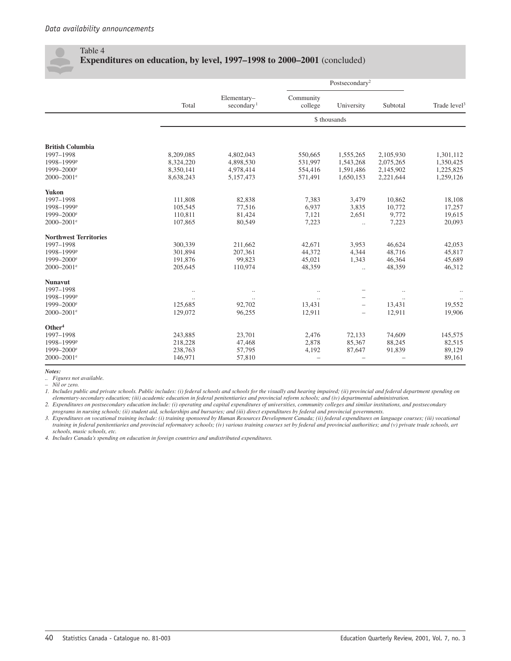### Table 4

### **Expenditures on education, by level, 1997–1998 to 2000–2001** (concluded)

|                                      |                    |                                       |                          | Postsecondary <sup>2</sup> |                          |                          |  |
|--------------------------------------|--------------------|---------------------------------------|--------------------------|----------------------------|--------------------------|--------------------------|--|
|                                      | Total              | Elementary-<br>secondary <sup>1</sup> | Community<br>college     | University                 | Subtotal                 | Trade level <sup>3</sup> |  |
|                                      |                    |                                       |                          | \$ thousands               |                          |                          |  |
| <b>British Columbia</b>              |                    |                                       |                          |                            |                          |                          |  |
| 1997-1998                            | 8,209,085          | 4,802,043                             | 550,665                  | 1,555,265                  | 2,105,930                | 1,301,112                |  |
| 1998-1999P                           | 8,324,220          | 4,898,530                             | 531,997                  | 1,543,268                  | 2,075,265                | 1,350,425                |  |
| 1999-2000 <sup>e</sup>               | 8,350,141          | 4,978,414                             | 554,416                  | 1,591,486                  | 2,145,902                | 1,225,825                |  |
| $2000 - 2001$ <sup>e</sup>           | 8,638,243          | 5,157,473                             | 571,491                  | 1,650,153                  | 2,221,644                | 1,259,126                |  |
| <b>Yukon</b>                         |                    |                                       |                          |                            |                          |                          |  |
| 1997-1998                            | 111,808            | 82,838                                | 7,383                    | 3,479                      | 10,862                   | 18,108                   |  |
| 1998-1999P                           | 105,545            | 77,516                                | 6,937                    | 3,835                      | 10,772                   | 17,257                   |  |
| $1999 - 2000$ <sup>e</sup>           | 110,811            | 81,424                                | 7,121                    | 2,651                      | 9,772                    | 19,615                   |  |
| $2000 - 2001$ <sup>e</sup>           | 107,865            | 80,549                                | 7,223                    | $\ldots$                   | 7,223                    | 20,093                   |  |
| <b>Northwest Territories</b>         |                    |                                       |                          |                            |                          |                          |  |
| 1997-1998                            | 300,339            | 211,662                               | 42,671                   | 3,953                      | 46,624                   | 42,053                   |  |
| 1998-1999P                           | 301,894            | 207,361                               | 44,372                   | 4,344                      | 48,716                   | 45,817                   |  |
| $1999 - 2000$ <sup>e</sup>           | 191,876            | 99,823                                | 45,021                   | 1,343                      | 46,364                   | 45,689                   |  |
| $2000 - 2001$ <sup>e</sup>           | 205,645            | 110,974                               | 48,359                   | $\cdot$                    | 48,359                   | 46,312                   |  |
| <b>Nunavut</b>                       |                    |                                       |                          |                            |                          |                          |  |
| 1997-1998                            | $\cdot$ .          | $\ldots$                              |                          |                            | $\ldots$                 |                          |  |
| 1998-1999P<br>1999-2000 <sup>e</sup> | $\cdot$<br>125.685 | $\ddotsc$                             | $\ddot{\phantom{0}}$     |                            | $\ddotsc$                |                          |  |
| $2000 - 2001$ <sup>e</sup>           | 129,072            | 92,702<br>96,255                      | 13,431<br>12,911         | $\overline{\phantom{0}}$   | 13,431                   | 19,552<br>19,906         |  |
|                                      |                    |                                       |                          | $\overline{\phantom{0}}$   | 12,911                   |                          |  |
| Other <sup>4</sup>                   |                    |                                       |                          |                            |                          |                          |  |
| 1997-1998                            | 243,885            | 23,701                                | 2,476                    | 72,133                     | 74,609                   | 145,575                  |  |
| 1998-1999P                           | 218,228            | 47,468                                | 2,878                    | 85,367                     | 88,245                   | 82,515                   |  |
| $1999 - 2000$ <sup>e</sup>           | 238,763            | 57,795                                | 4,192                    | 87,647                     | 91,839                   | 89,129                   |  |
| $2000 - 2001$ <sup>e</sup>           | 146,971            | 57,810                                | $\overline{\phantom{0}}$ |                            | $\overline{\phantom{0}}$ | 89,161                   |  |

*Notes:*

*.. Figures not available.*

*– Nil or zero.*

*1. Includes public and private schools. Public includes: (i) federal schools and schools for the visually and hearing impaired; (ii) provincial and federal department spending on elementary-secondary education; (iii) academic education in federal penitentiaries and provincial reform schools; and (iv) departmental administration.*

*2. Expenditures on postsecondary education include: (i) operating and capital expenditures of universities, community colleges and similar institutions, and postsecondary programs in nursing schools; (ii) student aid, scholarships and bursaries; and (iii) direct expenditures by federal and provincial governments.*

*3. Expenditures on vocational training include: (i) training sponsored by Human Resources Development Canada; (ii) federal expenditures on language courses; (iii) vocational training in federal penitentiaries and provincial reformatory schools; (iv) various training courses set by federal and provincial authorities; and (v) private trade schools, art schools, music schools, etc.*

*4. Includes Canada's spending on education in foreign countries and undistributed expenditures.*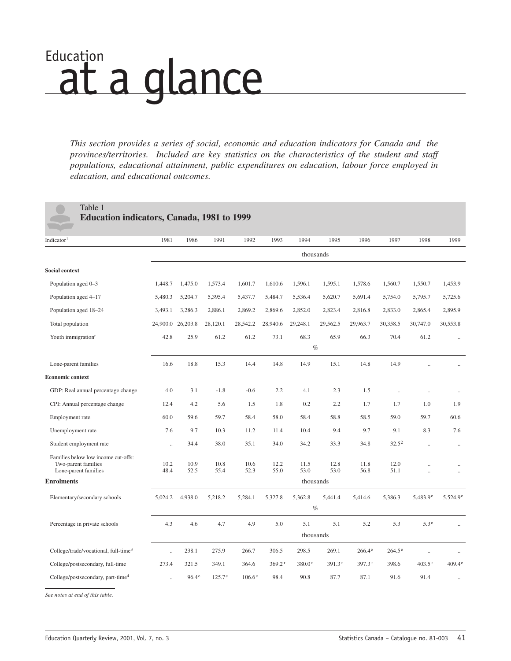# <span id="page-42-0"></span>Education<br>at a glance

*This section provides a series of social, economic and education indicators for Canada and the provinces/territories. Included are key statistics on the characteristics of the student and staff populations, educational attainment, public expenditures on education, labour force employed in education, and educational outcomes.*

### Table 1

**Education indicators, Canada, 1981 to 1999**

| Indicator <sup>1</sup>                                                             | 1981                 | 1986           | 1991            | 1992         | 1993         | 1994         | 1995               | 1996               | 1997            | 1998                 | 1999                 |
|------------------------------------------------------------------------------------|----------------------|----------------|-----------------|--------------|--------------|--------------|--------------------|--------------------|-----------------|----------------------|----------------------|
|                                                                                    | thousands            |                |                 |              |              |              |                    |                    |                 |                      |                      |
| <b>Social context</b>                                                              |                      |                |                 |              |              |              |                    |                    |                 |                      |                      |
| Population aged 0-3                                                                | 1,448.7              | 1,475.0        | 1,573.4         | 1,601.7      | 1,610.6      | 1,596.1      | 1,595.1            | 1,578.6            | 1,560.7         | 1,550.7              | 1,453.9              |
| Population aged 4-17                                                               | 5,480.3              | 5,204.7        | 5,395.4         | 5,437.7      | 5,484.7      | 5,536.4      | 5,620.7            | 5,691.4            | 5,754.0         | 5,795.7              | 5,725.6              |
| Population aged 18-24                                                              | 3,493.1              | 3,286.3        | 2,886.1         | 2,869.2      | 2,869.6      | 2,852.0      | 2,823.4            | 2,816.8            | 2,833.0         | 2,865.4              | 2,895.9              |
| Total population                                                                   | 24,900.0             | 26,203.8       | 28,120.1        | 28,542.2     | 28,940.6     | 29,248.1     | 29,562.5           | 29,963.7           | 30,358.5        | 30,747.0             | 30,553.8             |
| Youth immigration <sup>r</sup>                                                     | 42.8                 | 25.9           | 61.2            | 61.2         | 73.1         | 68.3         | 65.9               | 66.3               | 70.4            | 61.2                 | $\ddotsc$            |
|                                                                                    | $\%$                 |                |                 |              |              |              |                    |                    |                 |                      |                      |
| Lone-parent families                                                               | 16.6                 | 18.8           | 15.3            | 14.4         | 14.8         | 14.9         | 15.1               | 14.8               | 14.9            |                      |                      |
| <b>Economic context</b>                                                            |                      |                |                 |              |              |              |                    |                    |                 |                      |                      |
| GDP: Real annual percentage change                                                 | 4.0                  | 3.1            | $-1.8$          | $-0.6$       | 2.2          | 4.1          | 2.3                | 1.5                |                 |                      |                      |
| CPI: Annual percentage change                                                      | 12.4                 | 4.2            | 5.6             | 1.5          | 1.8          | 0.2          | 2.2                | 1.7                | 1.7             | 1.0                  | 1.9                  |
| Employment rate                                                                    | 60.0                 | 59.6           | 59.7            | 58.4         | 58.0         | 58.4         | 58.8               | 58.5               | 59.0            | 59.7                 | 60.6                 |
| Unemployment rate                                                                  | 7.6                  | 9.7            | 10.3            | 11.2         | 11.4         | 10.4         | 9.4                | 9.7                | 9.1             | 8.3                  | 7.6                  |
| Student employment rate                                                            | $\ddot{\phantom{a}}$ | 34.4           | 38.0            | 35.1         | 34.0         | 34.2         | 33.3               | 34.8               | $32.5^2$        | $\ddotsc$            | $\ddotsc$            |
| Families below low income cut-offs:<br>Two-parent families<br>Lone-parent families | 10.2<br>48.4         | 10.9<br>52.5   | 10.8<br>55.4    | 10.6<br>52.3 | 12.2<br>55.0 | 11.5<br>53.0 | 12.8<br>53.0       | 11.8<br>56.8       | 12.0<br>51.1    |                      | $\ddot{\phantom{a}}$ |
| <b>Enrolments</b>                                                                  |                      |                |                 |              |              |              | thousands          |                    |                 |                      |                      |
| Elementary/secondary schools                                                       | 5,024.2              | 4,938.0        | 5,218.2         | 5,284.1      | 5,327.8      | 5,362.8      | 5,441.4            | 5,414.6            | 5,386.3         | $5,483.9^e$          | $5,524.9^e$          |
|                                                                                    |                      |                |                 |              |              |              | $\%$               |                    |                 |                      |                      |
| Percentage in private schools                                                      | 4.3                  | 4.6            | 4.7             | 4.9          | 5.0          | 5.1          | 5.1                | 5.2                | 5.3             | 5.3 <sup>e</sup>     |                      |
|                                                                                    |                      |                |                 |              |              |              | thousands          |                    |                 |                      |                      |
| College/trade/vocational, full-time <sup>3</sup>                                   | $\ddot{\phantom{a}}$ | 238.1          | 275.9           | 266.7        | 306.5        | 298.5        | 269.1              | $266.4^e$          | $264.5^{\circ}$ | $\ddot{\phantom{a}}$ | $\ddot{\phantom{a}}$ |
| College/postsecondary, full-time                                                   | 273.4                | 321.5          | 349.1           | 364.6        | 369.2r       | 380.0r       | 391.3 <sup>r</sup> | 397.3 <sup>r</sup> | 398.6           | 403.5r               | $409.4^{\circ}$      |
| College/postsecondary, part-time <sup>4</sup>                                      | $\ddot{\phantom{a}}$ | $96.4^{\circ}$ | $125.7^{\circ}$ | $106.6^e$    | 98.4         | 90.8         | 87.7               | 87.1               | 91.6            | 91.4                 |                      |

*See notes at end of this table.*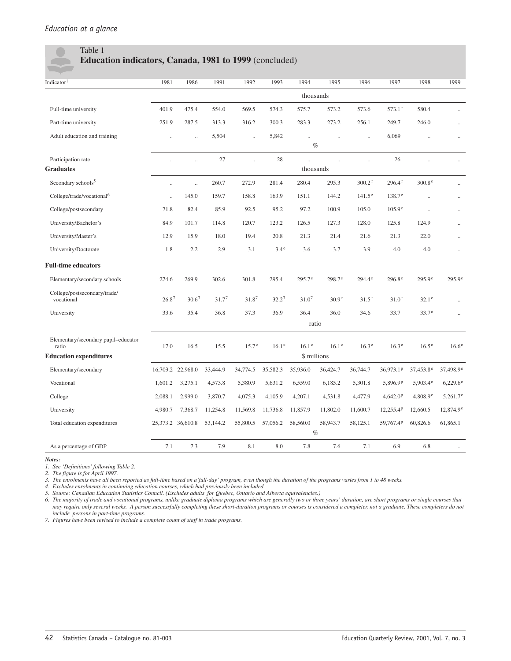### Table 1 **Education indicators, Canada, 1981 to 1999** (concluded)

| Indicator <sup>1</sup>                       | 1981                 | 1986                 | 1991              | 1992              | 1993              | 1994                 | 1995                 | 1996                 | 1997                  | 1998                 | 1999                 |
|----------------------------------------------|----------------------|----------------------|-------------------|-------------------|-------------------|----------------------|----------------------|----------------------|-----------------------|----------------------|----------------------|
|                                              |                      |                      |                   |                   |                   | thousands            |                      |                      |                       |                      |                      |
| Full-time university                         | 401.9                | 475.4                | 554.0             | 569.5             | 574.3             | 575.7                | 573.2                | 573.6                | $573.1$ <sup>r</sup>  | 580.4                |                      |
| Part-time university                         | 251.9                | 287.5                | 313.3             | 316.2             | 300.3             | 283.3                | 273.2                | 256.1                | 249.7                 | 246.0                | $\ddot{\phantom{a}}$ |
| Adult education and training                 | $\ldots$             | $\ldots$             | 5,504             |                   | 5,842             | $\ddotsc$            | $\ddotsc$            | $\ddotsc$            | 6,069                 |                      | $\ddot{\phantom{0}}$ |
|                                              |                      |                      |                   |                   |                   |                      | $\%$                 |                      |                       |                      |                      |
| Participation rate                           | $\ddot{\phantom{a}}$ | $\ddot{\phantom{a}}$ | 27                | $\ddotsc$         | 28                | $\ddot{\phantom{a}}$ | $\ddot{\phantom{a}}$ | $\ddot{\phantom{a}}$ | 26                    | $\ddot{\phantom{a}}$ | $\ddot{\phantom{a}}$ |
| <b>Graduates</b>                             |                      |                      |                   |                   |                   | thousands            |                      |                      |                       |                      |                      |
| Secondary schools <sup>5</sup>               | $\ldots$             | $\ddotsc$            | 260.7             | 272.9             | 281.4             | 280.4                | 295.3                | 300.2r               | 296.4r                | 300.8 <sup>e</sup>   | $\ddotsc$            |
| College/trade/vocational <sup>6</sup>        | $\ddot{\phantom{a}}$ | 145.0                | 159.7             | 158.8             | 163.9             | 151.1                | 144.2                | $141.5^{\circ}$      | $138.7^e$             | $\ddotsc$            |                      |
| College/postsecondary                        | 71.8                 | 82.4                 | 85.9              | 92.5              | 95.2              | 97.2                 | 100.9                | 105.0                | $105.9^e$             | $\ddot{\phantom{a}}$ | $\ddot{\phantom{a}}$ |
| University/Bachelor's                        | 84.9                 | 101.7                | 114.8             | 120.7             | 123.2             | 126.5                | 127.3                | 128.0                | 125.8                 | 124.9                | $\ddotsc$            |
| University/Master's                          | 12.9                 | 15.9                 | 18.0              | 19.4              | 20.8              | 21.3                 | 21.4                 | 21.6                 | 21.3                  | 22.0                 | $\ddotsc$            |
| University/Doctorate                         | 1.8                  | 2.2                  | 2.9               | 3.1               | $3.4^e$           | 3.6                  | 3.7                  | 3.9                  | 4.0                   | 4.0                  | $\ddot{\phantom{a}}$ |
| <b>Full-time educators</b>                   |                      |                      |                   |                   |                   |                      |                      |                      |                       |                      |                      |
| Elementary/secondary schools                 | 274.6                | 269.9                | 302.6             | 301.8             | 295.4             | $295.7^{\circ}$      | $298.7^{\circ}$      | $294.4^{\circ}$      | $296.8^{\circ}$       | $295.9^{\circ}$      | $295.9^{\circ}$      |
| College/postsecondary/trade/<br>vocational   | 26.8 <sup>7</sup>    | 30.6 <sup>7</sup>    | 31.7 <sup>7</sup> | 31.87             | $32.2^7$          | 31.0 <sup>7</sup>    | 30.9 <sup>r</sup>    | 31.5 <sup>r</sup>    | 31.0 <sup>r</sup>     | $32.1^e$             |                      |
| University                                   | 33.6                 | 35.4                 | 36.8              | 37.3              | 36.9              | 36.4                 | 36.0                 | 34.6                 | 33.7                  | 33.7 <sup>e</sup>    | $\ddotsc$            |
|                                              |                      |                      |                   |                   |                   | ratio                |                      |                      |                       |                      |                      |
| Elementary/secondary pupil-educator<br>ratio | 17.0                 | 16.5                 | 15.5              | 15.7 <sup>e</sup> | 16.1 <sup>e</sup> | 16.1 <sup>e</sup>    | 16.1 <sup>e</sup>    | 16.3 <sup>e</sup>    | 16.3 <sup>e</sup>     | 16.5 <sup>e</sup>    | 16.6 <sup>e</sup>    |
| <b>Education expenditures</b>                |                      |                      |                   |                   |                   | \$ millions          |                      |                      |                       |                      |                      |
| Elementary/secondary                         |                      | 16,703.2 22,968.0    | 33,444.9          | 34,774.5          | 35,582.3          | 35,936.0             | 36,424.7             | 36,744.7             | 36,973.1 <sup>p</sup> | $37,453.8^e$         | $37,498.9^e$         |
| Vocational                                   | 1,601.2              | 3,275.1              | 4,573.8           | 5,380.9           | 5,631.2           | 6,559.0              | 6,185.2              | 5,301.8              | 5,896.9P              | $5,903.4^e$          | $6,229.6^{\circ}$    |
| College                                      | 2,088.1              | 2,999.0              | 3,870.7           | 4,075.3           | 4,105.9           | 4,207.1              | 4,531.8              | 4,477.9              | 4,642.0 <sup>p</sup>  | 4,808.9e             | $5,261.7^e$          |
| University                                   | 4,980.7              | 7,368.7              | 11,254.8          | 11,569.8          | 11,736.8          | 11,857.9             | 11,802.0             | 11,600.7             | 12,255.4 <sup>P</sup> | 12,660.5             | $12,874.9^e$         |
| Total education expenditures                 | 25,373.2 36,610.8    |                      | 53,144.2          | 55,800.5          | 57,056.2          | 58,560.0             | 58,943.7             | 58,125.1             | 59,767.4P             | 60,826.6             | 61,865.1             |
|                                              |                      |                      |                   |                   |                   |                      | $\%$                 |                      |                       |                      |                      |
| As a percentage of GDP                       | 7.1                  | 7.3                  | 7.9               | 8.1               | 8.0               | 7.8                  | 7.6                  | 7.1                  | 6.9                   | 6.8                  |                      |

*Notes:*

*1. See 'Definitions' following Table 2.*

*2. The figure is for April 1997.*

*3. The enrolments have all been reported as full-time based on a'full-day' program, even though the duration of the programs varies from 1 to 48 weeks.*

*4. Excludes enrolments in continuing education courses, which had previously been included.*

*5. Source: Canadian Education Statistics Council. (Excludes adults for Quebec, Ontario and Alberta equivalencies.)*

*6. The majority of trade and vocational programs, unlike graduate diploma programs which are generally two or three years' duration, are short programs or single courses that may require only several weeks. A person successfully completing these short-duration programs or courses is considered a completer, not a graduate. These completers do not include persons in part-time programs.*

*7. Figures have been revised to include a complete count of staff in trade programs.*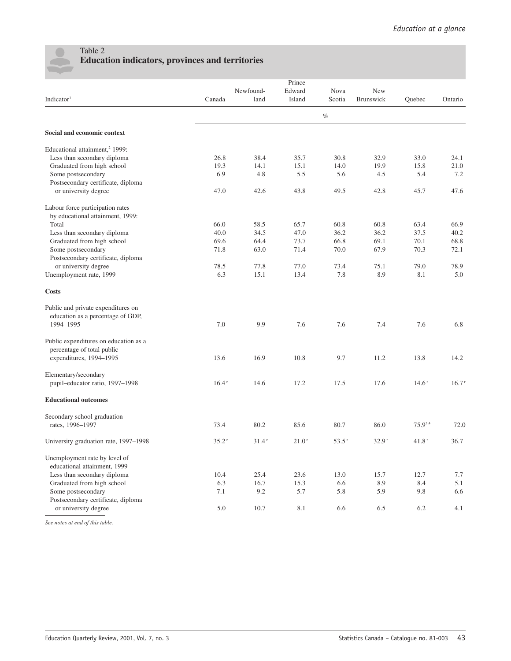

### Table 2 **Education indicators, provinces and territories**

|                                            |                   |           | Prince |                     |           |         |         |
|--------------------------------------------|-------------------|-----------|--------|---------------------|-----------|---------|---------|
|                                            |                   | Newfound- | Edward | Nova                | New       |         |         |
| Indicator <sup>1</sup>                     | Canada            | land      | Island | Scotia              | Brunswick | Quebec  | Ontario |
|                                            |                   |           |        | $\%$                |           |         |         |
| Social and economic context                |                   |           |        |                     |           |         |         |
| Educational attainment, <sup>2</sup> 1999: |                   |           |        |                     |           |         |         |
| Less than secondary diploma                | 26.8              | 38.4      | 35.7   | 30.8                | 32.9      | 33.0    | 24.1    |
| Graduated from high school                 | 19.3              | 14.1      | 15.1   | 14.0                | 19.9      | 15.8    | 21.0    |
| Some postsecondary                         | 6.9               | 4.8       | 5.5    | 5.6                 | 4.5       | 5.4     | 7.2     |
| Postsecondary certificate, diploma         |                   |           |        |                     |           |         |         |
| or university degree                       | 47.0              | 42.6      | 43.8   | 49.5                | 42.8      | 45.7    | 47.6    |
| Labour force participation rates           |                   |           |        |                     |           |         |         |
| by educational attainment, 1999:           |                   |           |        |                     |           |         |         |
| Total                                      | 66.0              | 58.5      | 65.7   | 60.8                | 60.8      | 63.4    | 66.9    |
| Less than secondary diploma                | 40.0              | 34.5      | 47.0   | 36.2                | 36.2      | 37.5    | 40.2    |
| Graduated from high school                 | 69.6              | 64.4      | 73.7   | 66.8                | 69.1      | 70.1    | 68.8    |
| Some postsecondary                         | 71.8              | 63.0      | 71.4   | 70.0                | 67.9      | 70.3    | 72.1    |
| Postsecondary certificate, diploma         |                   |           |        |                     |           |         |         |
| or university degree                       | 78.5              | 77.8      | 77.0   | 73.4                | 75.1      | 79.0    | 78.9    |
| Unemployment rate, 1999                    | 6.3               | 15.1      | 13.4   | 7.8                 | 8.9       | 8.1     | 5.0     |
| Costs                                      |                   |           |        |                     |           |         |         |
| Public and private expenditures on         |                   |           |        |                     |           |         |         |
| education as a percentage of GDP,          |                   |           |        |                     |           |         |         |
| 1994-1995                                  | 7.0               | 9.9       | 7.6    | 7.6                 | 7.4       | 7.6     | 6.8     |
| Public expenditures on education as a      |                   |           |        |                     |           |         |         |
| percentage of total public                 |                   |           |        |                     |           |         |         |
| expenditures, 1994-1995                    | 13.6              | 16.9      | 10.8   | 9.7                 | 11.2      | 13.8    | 14.2    |
| Elementary/secondary                       |                   |           |        |                     |           |         |         |
| pupil-educator ratio, 1997-1998            | 16.4r             | 14.6      | 17.2   | 17.5                | 17.6      | 14.6r   | 16.7r   |
| <b>Educational outcomes</b>                |                   |           |        |                     |           |         |         |
| Secondary school graduation                |                   |           |        |                     |           |         |         |
| rates, 1996-1997                           | 73.4              | 80.2      | 85.6   | 80.7                | 86.0      | 75.93,4 | 72.0    |
| University graduation rate, 1997-1998      | 35.2 <sup>r</sup> | 31.4r     | 21.0r  | $53.5$ <sup>r</sup> | 32.9r     | 41.8r   | 36.7    |
| Unemployment rate by level of              |                   |           |        |                     |           |         |         |
| educational attainment, 1999               |                   |           |        |                     |           |         |         |
| Less than secondary diploma                | 10.4              | 25.4      | 23.6   | 13.0                | 15.7      | 12.7    | 7.7     |
| Graduated from high school                 | 6.3               | 16.7      | 15.3   | 6.6                 | 8.9       | 8.4     | 5.1     |
| Some postsecondary                         | 7.1               | 9.2       | 5.7    | 5.8                 | 5.9       | 9.8     | 6.6     |
| Postsecondary certificate, diploma         |                   |           |        |                     |           |         |         |
| or university degree                       | 5.0               | 10.7      | 8.1    | 6.6                 | 6.5       | 6.2     | 4.1     |
|                                            |                   |           |        |                     |           |         |         |

*See notes at end of this table.*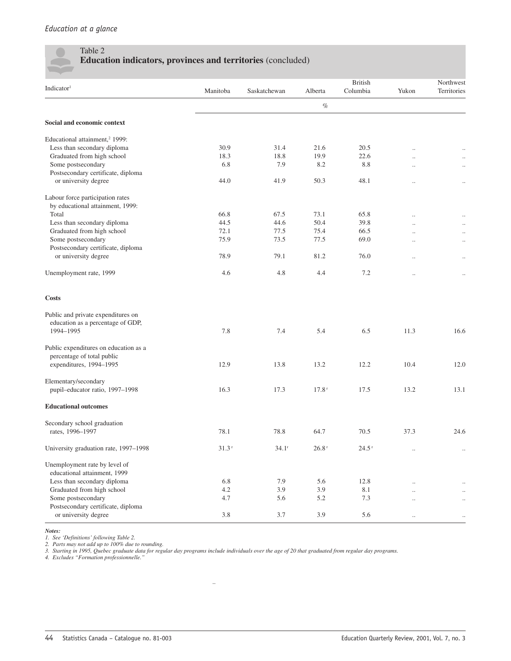### Table 2 **Education indicators, provinces and territories** (concluded)

|                                            |                  |              |         | <b>British</b>    |                      | Northwest   |
|--------------------------------------------|------------------|--------------|---------|-------------------|----------------------|-------------|
| Indicator <sup>1</sup>                     | Manitoba         | Saskatchewan | Alberta | Columbia          | Yukon                | Territories |
|                                            |                  |              | $\%$    |                   |                      |             |
| Social and economic context                |                  |              |         |                   |                      |             |
| Educational attainment, <sup>2</sup> 1999: |                  |              |         |                   |                      |             |
| Less than secondary diploma                | 30.9             | 31.4         | 21.6    | 20.5              | $\ddot{\phantom{a}}$ | $\cdot$     |
| Graduated from high school                 | 18.3             | 18.8         | 19.9    | 22.6              | $\ddotsc$            | $\ddotsc$   |
| Some postsecondary                         | 6.8              | 7.9          | 8.2     | 8.8               | $\ldots$             | $\ldots$    |
| Postsecondary certificate, diploma         |                  |              |         |                   |                      |             |
| or university degree                       | 44.0             | 41.9         | 50.3    | 48.1              | $\ddotsc$            | $\ldots$    |
| Labour force participation rates           |                  |              |         |                   |                      |             |
| by educational attainment, 1999:           |                  |              |         |                   |                      |             |
| Total                                      | 66.8             | 67.5         | 73.1    | 65.8              |                      | $\cdot$ .   |
| Less than secondary diploma                | 44.5             | 44.6         | 50.4    | 39.8              | $\ddotsc$            | $\ldots$    |
| Graduated from high school                 | 72.1             | 77.5         | 75.4    | 66.5              | $\ddotsc$            | $\ddotsc$   |
| Some postsecondary                         | 75.9             | 73.5         | 77.5    | 69.0              | $\ddotsc$            | $\ddotsc$   |
| Postsecondary certificate, diploma         |                  |              |         |                   |                      |             |
| or university degree                       | 78.9             | 79.1         | 81.2    | 76.0              | $\ddotsc$            |             |
|                                            |                  |              |         |                   |                      |             |
| Unemployment rate, 1999                    | 4.6              | 4.8          | 4.4     | 7.2               | $\ddotsc$            | $\ldots$    |
| <b>Costs</b>                               |                  |              |         |                   |                      |             |
|                                            |                  |              |         |                   |                      |             |
| Public and private expenditures on         |                  |              |         |                   |                      |             |
| education as a percentage of GDP,          |                  |              |         |                   |                      |             |
| 1994-1995                                  | 7.8              | 7.4          | 5.4     | 6.5               | 11.3                 | 16.6        |
| Public expenditures on education as a      |                  |              |         |                   |                      |             |
| percentage of total public                 |                  |              |         |                   |                      |             |
| expenditures, 1994-1995                    | 12.9             | 13.8         | 13.2    | 12.2              | 10.4                 | 12.0        |
|                                            |                  |              |         |                   |                      |             |
| Elementary/secondary                       |                  |              |         |                   |                      |             |
| pupil-educator ratio, 1997-1998            | 16.3             | 17.3         | 17.8r   | 17.5              | 13.2                 | 13.1        |
|                                            |                  |              |         |                   |                      |             |
| <b>Educational outcomes</b>                |                  |              |         |                   |                      |             |
| Secondary school graduation                |                  |              |         |                   |                      |             |
| rates, 1996-1997                           | 78.1             | 78.8         | 64.7    | 70.5              | 37.3                 | 24.6        |
| University graduation rate, 1997-1998      | $31.3\,^{\rm r}$ | $34.1^r$     | 26.8r   | $24.5$ $^{\circ}$ | $\cdot$ .            |             |
| Unemployment rate by level of              |                  |              |         |                   |                      |             |
| educational attainment, 1999               |                  |              |         |                   |                      |             |
| Less than secondary diploma                | 6.8              | 7.9          | 5.6     | 12.8              |                      |             |
| Graduated from high school                 | $4.2\,$          | 3.9          | 3.9     | 8.1               |                      |             |
| Some postsecondary                         | 4.7              | 5.6          | 5.2     | 7.3               |                      | $\ldots$    |
| Postsecondary certificate, diploma         |                  |              |         |                   | $\ddotsc$            | $\ldots$    |
| or university degree                       | 3.8              | 3.7          | 3.9     | 5.6               | $\ldots$             | $\ldots$    |
|                                            |                  |              |         |                   |                      |             |

*Notes:*

*1. See 'Definitions' following Table 2. 2. Parts may not add up to 100% due to rounding.*

*3. Starting in 1995, Quebec graduate data for regular day programs include individuals over the age of 20 that graduated from regular day programs.*

..

*4. Excludes "Formation professionnelle."*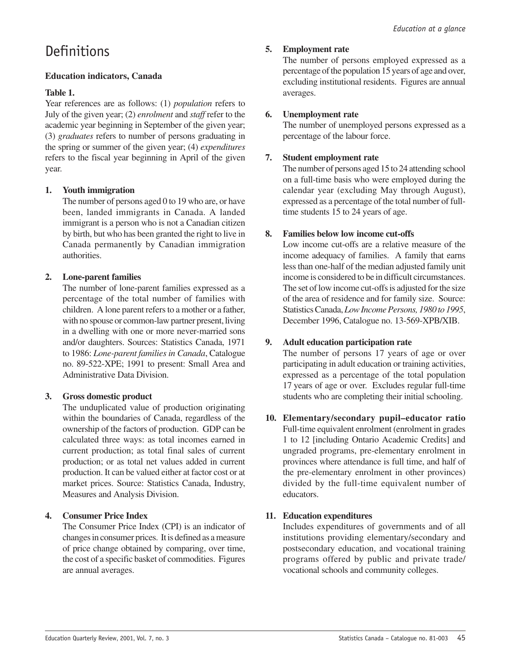### **Definitions**

### **Education indicators, Canada**

### **Table 1.**

Year references are as follows: (1) *population* refers to July of the given year; (2) *enrolment* and *staff* refer to the academic year beginning in September of the given year; (3) *graduates* refers to number of persons graduating in the spring or summer of the given year; (4) *expenditures* refers to the fiscal year beginning in April of the given year.

### **1. Youth immigration**

The number of persons aged 0 to 19 who are, or have been, landed immigrants in Canada. A landed immigrant is a person who is not a Canadian citizen by birth, but who has been granted the right to live in Canada permanently by Canadian immigration authorities.

### **2. Lone-parent families**

The number of lone-parent families expressed as a percentage of the total number of families with children. A lone parent refers to a mother or a father, with no spouse or common-law partner present, living in a dwelling with one or more never-married sons and/or daughters. Sources: Statistics Canada, 1971 to 1986: *Lone-parent families in Canada*, Catalogue no. 89-522-XPE; 1991 to present: Small Area and Administrative Data Division.

### **3. Gross domestic product**

The unduplicated value of production originating within the boundaries of Canada, regardless of the ownership of the factors of production. GDP can be calculated three ways: as total incomes earned in current production; as total final sales of current production; or as total net values added in current production. It can be valued either at factor cost or at market prices. Source: Statistics Canada, Industry, Measures and Analysis Division.

### **4. Consumer Price Index**

The Consumer Price Index (CPI) is an indicator of changes in consumer prices. It is defined as a measure of price change obtained by comparing, over time, the cost of a specific basket of commodities. Figures are annual averages.

### **5. Employment rate**

The number of persons employed expressed as a percentage of the population 15 years of age and over, excluding institutional residents. Figures are annual averages.

### **6. Unemployment rate**

The number of unemployed persons expressed as a percentage of the labour force.

### **7. Student employment rate**

The number of persons aged 15 to 24 attending school on a full-time basis who were employed during the calendar year (excluding May through August), expressed as a percentage of the total number of fulltime students 15 to 24 years of age.

### **8. Families below low income cut-offs**

Low income cut-offs are a relative measure of the income adequacy of families. A family that earns less than one-half of the median adjusted family unit income is considered to be in difficult circumstances. The set of low income cut-offs is adjusted for the size of the area of residence and for family size. Source: Statistics Canada, *Low Income Persons, 1980 to 1995*, December 1996, Catalogue no. 13-569-XPB/XIB.

### **9. Adult education participation rate**

The number of persons 17 years of age or over participating in adult education or training activities, expressed as a percentage of the total population 17 years of age or over. Excludes regular full-time students who are completing their initial schooling.

**10. Elementary/secondary pupil–educator ratio** Full-time equivalent enrolment (enrolment in grades 1 to 12 [including Ontario Academic Credits] and ungraded programs, pre-elementary enrolment in provinces where attendance is full time, and half of the pre-elementary enrolment in other provinces) divided by the full-time equivalent number of educators.

### **11. Education expenditures**

Includes expenditures of governments and of all institutions providing elementary/secondary and postsecondary education, and vocational training programs offered by public and private trade/ vocational schools and community colleges.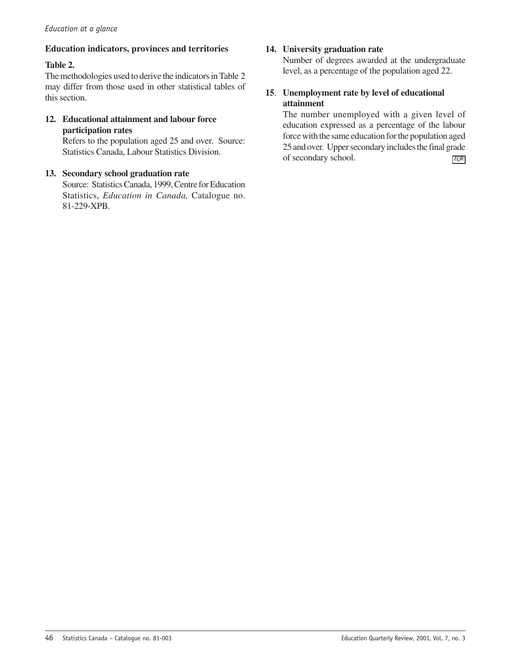### **Education indicators, provinces and territories**

### **Table 2.**

The methodologies used to derive the indicators in Table 2 may differ from those used in other statistical tables of this section.

### **12. Educational attainment and labour force participation rates**

Refers to the population aged 25 and over. Source: Statistics Canada, Labour Statistics Division.

### **13. Secondary school graduation rate**

Source: Statistics Canada, 1999, Centre for Education Statistics, *Education in Canada,* Catalogue no. 81-229-XPB.

### **14. University graduation rate**

Number of degrees awarded at the undergraduate level, as a percentage of the population aged 22.

### **15**. **Unemployment rate by level of educational attainment**

The number unemployed with a given level of education expressed as a percentage of the labour force with the same education for the population aged 25 and over. Upper secondary includes the final grade of secondary school. *EQR*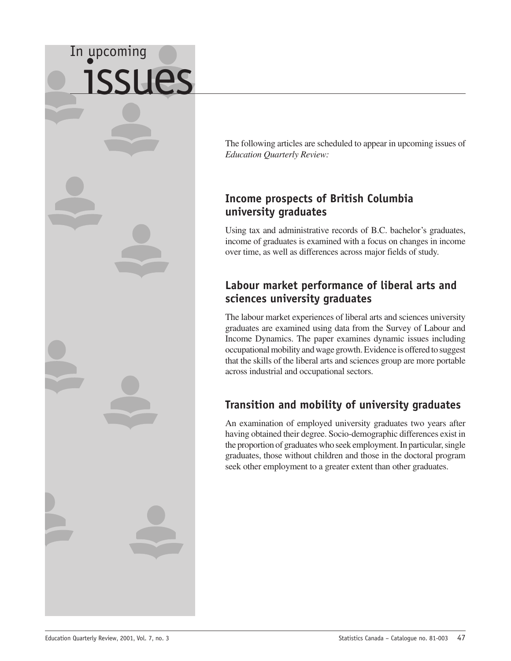# <span id="page-48-0"></span>In upcoming issues

The following articles are scheduled to appear in upcoming issues of *Education Quarterly Review:*

### **Income prospects of British Columbia university graduates**

Using tax and administrative records of B.C. bachelor's graduates, income of graduates is examined with a focus on changes in income over time, as well as differences across major fields of study.

### **Labour market performance of liberal arts and sciences university graduates**

The labour market experiences of liberal arts and sciences university graduates are examined using data from the Survey of Labour and Income Dynamics. The paper examines dynamic issues including occupational mobility and wage growth. Evidence is offered to suggest that the skills of the liberal arts and sciences group are more portable across industrial and occupational sectors.

### **Transition and mobility of university graduates**

An examination of employed university graduates two years after having obtained their degree. Socio-demographic differences exist in the proportion of graduates who seek employment. In particular, single graduates, those without children and those in the doctoral program seek other employment to a greater extent than other graduates.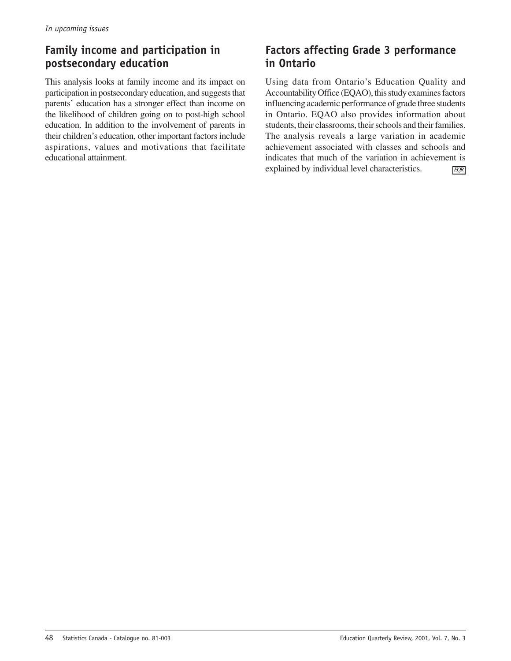### **Family income and participation in postsecondary education**

This analysis looks at family income and its impact on participation in postsecondary education, and suggests that parents' education has a stronger effect than income on the likelihood of children going on to post-high school education. In addition to the involvement of parents in their children's education, other important factors include aspirations, values and motivations that facilitate educational attainment.

### **Factors affecting Grade 3 performance in Ontario**

*EQR* Using data from Ontario's Education Quality and Accountability Office (EQAO), this study examines factors influencing academic performance of grade three students in Ontario. EQAO also provides information about students, their classrooms, their schools and their families. The analysis reveals a large variation in academic achievement associated with classes and schools and indicates that much of the variation in achievement is explained by individual level characteristics.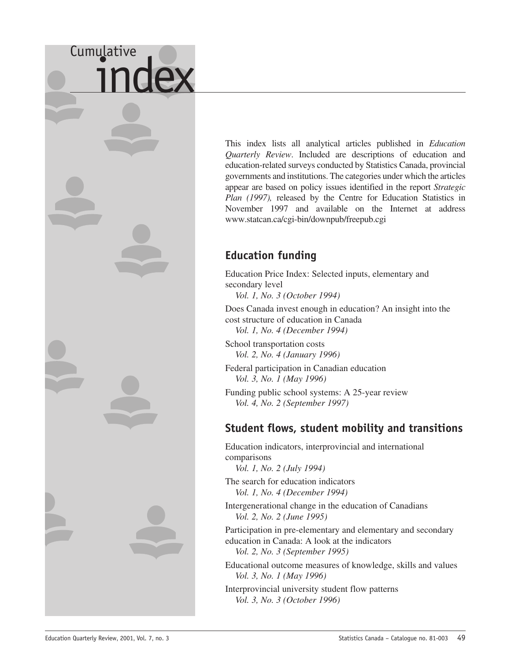# <span id="page-50-0"></span>Cumulative

This index lists all analytical articles published in *Education Quarterly Review*. Included are descriptions of education and education-related surveys conducted by Statistics Canada, provincial governments and institutions. The categories under which the articles appear are based on policy issues identified in the report *Strategic Plan (1997),* released by the Centre for Education Statistics in November 1997 and available on the Internet at address www.statcan.ca/cgi-bin/downpub/freepub.cgi

### **Education funding**

Education Price Index: Selected inputs, elementary and secondary level

*Vol. 1, No. 3 (October 1994)*

Does Canada invest enough in education? An insight into the cost structure of education in Canada

*Vol. 1, No. 4 (December 1994)*

School transportation costs *Vol. 2, No. 4 (January 1996)*

Federal participation in Canadian education *Vol. 3, No. 1 (May 1996)*

Funding public school systems: A 25-year review *Vol. 4, No. 2 (September 1997)*

### **Student flows, student mobility and transitions**

Education indicators, interprovincial and international comparisons

*Vol. 1, No. 2 (July 1994)*

The search for education indicators *Vol. 1, No. 4 (December 1994)*

Intergenerational change in the education of Canadians *Vol. 2, No. 2 (June 1995)*

Participation in pre-elementary and elementary and secondary education in Canada: A look at the indicators *Vol. 2, No. 3 (September 1995)*

Educational outcome measures of knowledge, skills and values *Vol. 3, No. 1 (May 1996)*

Interprovincial university student flow patterns *Vol. 3, No. 3 (October 1996)*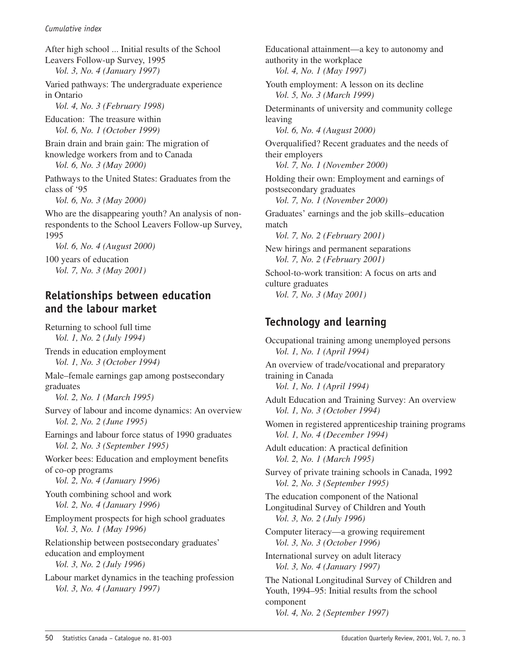After high school ... Initial results of the School Leavers Follow-up Survey, 1995 *Vol. 3, No. 4 (January 1997)* Varied pathways: The undergraduate experience in Ontario *Vol. 4, No. 3 (February 1998)* Education: The treasure within *Vol. 6, No. 1 (October 1999)* Brain drain and brain gain: The migration of knowledge workers from and to Canada *Vol. 6, No. 3 (May 2000)* Pathways to the United States: Graduates from the class of '95 *Vol. 6, No. 3 (May 2000)* Who are the disappearing youth? An analysis of nonrespondents to the School Leavers Follow-up Survey, 1995 *Vol. 6, No. 4 (August 2000)* 100 years of education *Vol. 7, No. 3 (May 2001)*

### **Relationships between education and the labour market**

Returning to school full time *Vol. 1, No. 2 (July 1994)*

Trends in education employment *Vol. 1, No. 3 (October 1994)*

Male–female earnings gap among postsecondary graduates

*Vol. 2, No. 1 (March 1995)*

Survey of labour and income dynamics: An overview *Vol. 2, No. 2 (June 1995)*

Earnings and labour force status of 1990 graduates *Vol. 2, No. 3 (September 1995)*

Worker bees: Education and employment benefits of co-op programs

- *Vol. 2, No. 4 (January 1996)*
- Youth combining school and work *Vol. 2, No. 4 (January 1996)*

Employment prospects for high school graduates *Vol. 3, No. 1 (May 1996)*

Relationship between postsecondary graduates' education and employment *Vol. 3, No. 2 (July 1996)*

Labour market dynamics in the teaching profession *Vol. 3, No. 4 (January 1997)*

Educational attainment—a key to autonomy and authority in the workplace *Vol. 4, No. 1 (May 1997)* Youth employment: A lesson on its decline *Vol. 5, No. 3 (March 1999)* Determinants of university and community college leaving *Vol. 6, No. 4 (August 2000)* Overqualified? Recent graduates and the needs of their employers *Vol. 7, No. 1 (November 2000)* Holding their own: Employment and earnings of postsecondary graduates *Vol. 7, No. 1 (November 2000)* Graduates' earnings and the job skills–education match *Vol. 7, No. 2 (February 2001)* New hirings and permanent separations *Vol. 7, No. 2 (February 2001)* School-to-work transition: A focus on arts and culture graduates *Vol. 7, No. 3 (May 2001)* **Technology and learning**

Occupational training among unemployed persons *Vol. 1, No. 1 (April 1994)* An overview of trade/vocational and preparatory training in Canada *Vol. 1, No. 1 (April 1994)* Adult Education and Training Survey: An overview *Vol. 1, No. 3 (October 1994)* Women in registered apprenticeship training programs *Vol. 1, No. 4 (December 1994)* Adult education: A practical definition *Vol. 2, No. 1 (March 1995)* Survey of private training schools in Canada, 1992 *Vol. 2, No. 3 (September 1995)* The education component of the National Longitudinal Survey of Children and Youth *Vol. 3, No. 2 (July 1996)* Computer literacy—a growing requirement *Vol. 3, No. 3 (October 1996)* International survey on adult literacy *Vol. 3, No. 4 (January 1997)* The National Longitudinal Survey of Children and Youth, 1994–95: Initial results from the school component *Vol. 4, No. 2 (September 1997)*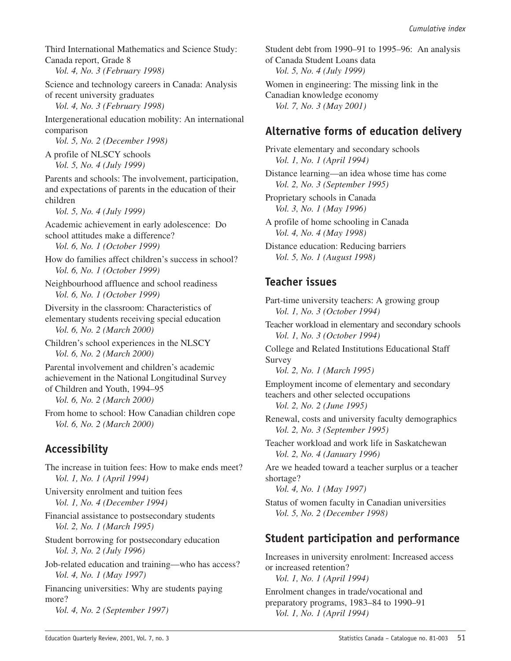Third International Mathematics and Science Study: Canada report, Grade 8

*Vol. 4, No. 3 (February 1998)*

Science and technology careers in Canada: Analysis of recent university graduates

*Vol. 4, No. 3 (February 1998)*

Intergenerational education mobility: An international comparison

*Vol. 5, No. 2 (December 1998)*

A profile of NLSCY schools *Vol. 5, No. 4 (July 1999)*

Parents and schools: The involvement, participation, and expectations of parents in the education of their children

*Vol. 5, No. 4 (July 1999)*

Academic achievement in early adolescence: Do school attitudes make a difference?

*Vol. 6, No. 1 (October 1999)*

How do families affect children's success in school? *Vol. 6, No. 1 (October 1999)*

Neighbourhood affluence and school readiness *Vol. 6, No. 1 (October 1999)*

Diversity in the classroom: Characteristics of elementary students receiving special education *Vol. 6, No. 2 (March 2000)*

Children's school experiences in the NLSCY *Vol. 6, No. 2 (March 2000)*

Parental involvement and children's academic achievement in the National Longitudinal Survey of Children and Youth, 1994–95

*Vol. 6, No. 2 (March 2000)*

From home to school: How Canadian children cope *Vol. 6, No. 2 (March 2000)*

### **Accessibility**

The increase in tuition fees: How to make ends meet? *Vol. 1, No. 1 (April 1994)* University enrolment and tuition fees *Vol. 1, No. 4 (December 1994)* Financial assistance to postsecondary students *Vol. 2, No. 1 (March 1995)* Student borrowing for postsecondary education *Vol. 3, No. 2 (July 1996)*

Job-related education and training—who has access? *Vol. 4, No. 1 (May 1997)*

Financing universities: Why are students paying more?

*Vol. 4, No. 2 (September 1997)*

Student debt from 1990–91 to 1995–96: An analysis of Canada Student Loans data *Vol. 5, No. 4 (July 1999)* Women in engineering: The missing link in the Canadian knowledge economy *Vol. 7, No. 3 (May 2001)*

### **Alternative forms of education delivery**

Private elementary and secondary schools *Vol. 1, No. 1 (April 1994)*

Distance learning—an idea whose time has come *Vol. 2, No. 3 (September 1995)*

Proprietary schools in Canada *Vol. 3, No. 1 (May 1996)*

A profile of home schooling in Canada *Vol. 4, No. 4 (May 1998)*

Distance education: Reducing barriers *Vol. 5, No. 1 (August 1998)*

### **Teacher issues**

Part-time university teachers: A growing group *Vol. 1, No. 3 (October 1994)*

Teacher workload in elementary and secondary schools *Vol. 1, No. 3 (October 1994)*

College and Related Institutions Educational Staff Survey

*Vol. 2, No. 1 (March 1995)*

Employment income of elementary and secondary teachers and other selected occupations *Vol. 2, No. 2 (June 1995)*

Renewal, costs and university faculty demographics *Vol. 2, No. 3 (September 1995)*

Teacher workload and work life in Saskatchewan *Vol. 2, No. 4 (January 1996)*

Are we headed toward a teacher surplus or a teacher shortage?

*Vol. 4, No. 1 (May 1997)*

Status of women faculty in Canadian universities *Vol. 5, No. 2 (December 1998)*

### **Student participation and performance**

Increases in university enrolment: Increased access or increased retention? *Vol. 1, No. 1 (April 1994)* Enrolment changes in trade/vocational and preparatory programs, 1983–84 to 1990–91

*Vol. 1, No. 1 (April 1994)*